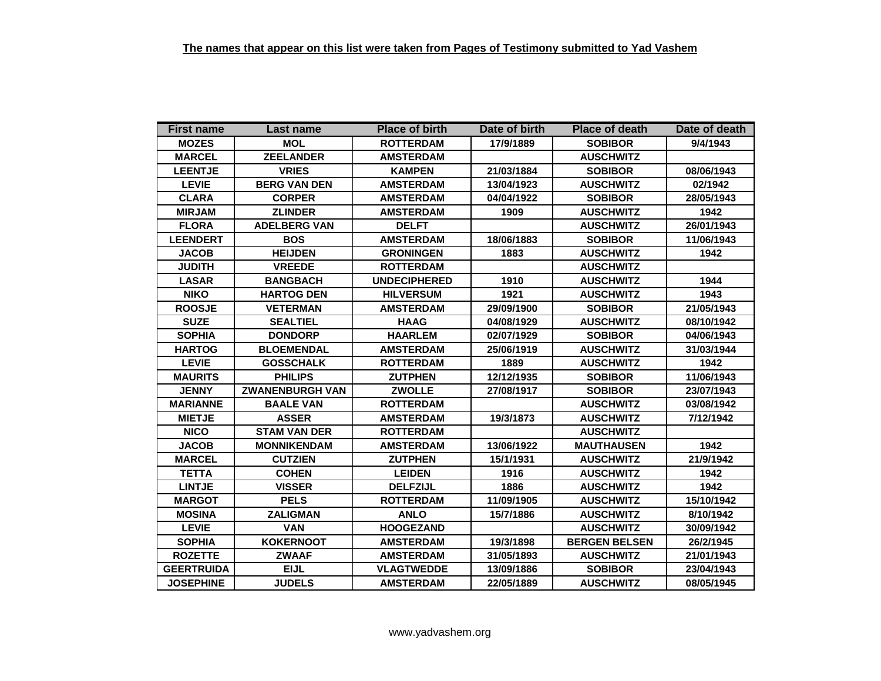| <b>First name</b> | Last name              | <b>Place of birth</b> | Date of birth | <b>Place of death</b> | Date of death |
|-------------------|------------------------|-----------------------|---------------|-----------------------|---------------|
| <b>MOZES</b>      | <b>MOL</b>             | <b>ROTTERDAM</b>      | 17/9/1889     | <b>SOBIBOR</b>        | 9/4/1943      |
| <b>MARCEL</b>     | <b>ZEELANDER</b>       | <b>AMSTERDAM</b>      |               | <b>AUSCHWITZ</b>      |               |
| <b>LEENTJE</b>    | <b>VRIES</b>           | <b>KAMPEN</b>         | 21/03/1884    | <b>SOBIBOR</b>        | 08/06/1943    |
| <b>LEVIE</b>      | <b>BERG VAN DEN</b>    | <b>AMSTERDAM</b>      | 13/04/1923    | <b>AUSCHWITZ</b>      | 02/1942       |
| <b>CLARA</b>      | <b>CORPER</b>          | <b>AMSTERDAM</b>      | 04/04/1922    | <b>SOBIBOR</b>        | 28/05/1943    |
| <b>MIRJAM</b>     | <b>ZLINDER</b>         | <b>AMSTERDAM</b>      | 1909          | <b>AUSCHWITZ</b>      | 1942          |
| <b>FLORA</b>      | <b>ADELBERG VAN</b>    | <b>DELFT</b>          |               | <b>AUSCHWITZ</b>      | 26/01/1943    |
| <b>LEENDERT</b>   | <b>BOS</b>             | <b>AMSTERDAM</b>      | 18/06/1883    | <b>SOBIBOR</b>        | 11/06/1943    |
| <b>JACOB</b>      | <b>HEIJDEN</b>         | <b>GRONINGEN</b>      | 1883          | <b>AUSCHWITZ</b>      | 1942          |
| <b>JUDITH</b>     | <b>VREEDE</b>          | <b>ROTTERDAM</b>      |               | <b>AUSCHWITZ</b>      |               |
| <b>LASAR</b>      | <b>BANGBACH</b>        | <b>UNDECIPHERED</b>   | 1910          | <b>AUSCHWITZ</b>      | 1944          |
| <b>NIKO</b>       | <b>HARTOG DEN</b>      | <b>HILVERSUM</b>      | 1921          | <b>AUSCHWITZ</b>      | 1943          |
| <b>ROOSJE</b>     | <b>VETERMAN</b>        | <b>AMSTERDAM</b>      | 29/09/1900    | <b>SOBIBOR</b>        | 21/05/1943    |
| <b>SUZE</b>       | <b>SEALTIEL</b>        | <b>HAAG</b>           | 04/08/1929    | <b>AUSCHWITZ</b>      | 08/10/1942    |
| <b>SOPHIA</b>     | <b>DONDORP</b>         | <b>HAARLEM</b>        | 02/07/1929    | <b>SOBIBOR</b>        | 04/06/1943    |
| <b>HARTOG</b>     | <b>BLOEMENDAL</b>      | <b>AMSTERDAM</b>      | 25/06/1919    | <b>AUSCHWITZ</b>      | 31/03/1944    |
| <b>LEVIE</b>      | <b>GOSSCHALK</b>       | <b>ROTTERDAM</b>      | 1889          | <b>AUSCHWITZ</b>      | 1942          |
| <b>MAURITS</b>    | <b>PHILIPS</b>         | <b>ZUTPHEN</b>        | 12/12/1935    | <b>SOBIBOR</b>        | 11/06/1943    |
| <b>JENNY</b>      | <b>ZWANENBURGH VAN</b> | <b>ZWOLLE</b>         | 27/08/1917    | <b>SOBIBOR</b>        | 23/07/1943    |
| <b>MARIANNE</b>   | <b>BAALE VAN</b>       | <b>ROTTERDAM</b>      |               | <b>AUSCHWITZ</b>      | 03/08/1942    |
| <b>MIETJE</b>     | <b>ASSER</b>           | <b>AMSTERDAM</b>      | 19/3/1873     | <b>AUSCHWITZ</b>      | 7/12/1942     |
| <b>NICO</b>       | <b>STAM VAN DER</b>    | <b>ROTTERDAM</b>      |               | <b>AUSCHWITZ</b>      |               |
| <b>JACOB</b>      | <b>MONNIKENDAM</b>     | <b>AMSTERDAM</b>      | 13/06/1922    | <b>MAUTHAUSEN</b>     | 1942          |
| <b>MARCEL</b>     | <b>CUTZIEN</b>         | <b>ZUTPHEN</b>        | 15/1/1931     | <b>AUSCHWITZ</b>      | 21/9/1942     |
| <b>TETTA</b>      | <b>COHEN</b>           | <b>LEIDEN</b>         | 1916          | <b>AUSCHWITZ</b>      | 1942          |
| <b>LINTJE</b>     | <b>VISSER</b>          | <b>DELFZIJL</b>       | 1886          | <b>AUSCHWITZ</b>      | 1942          |
| <b>MARGOT</b>     | <b>PELS</b>            | <b>ROTTERDAM</b>      | 11/09/1905    | <b>AUSCHWITZ</b>      | 15/10/1942    |
| <b>MOSINA</b>     | <b>ZALIGMAN</b>        | <b>ANLO</b>           | 15/7/1886     | <b>AUSCHWITZ</b>      | 8/10/1942     |
| <b>LEVIE</b>      | <b>VAN</b>             | <b>HOOGEZAND</b>      |               | <b>AUSCHWITZ</b>      | 30/09/1942    |
| <b>SOPHIA</b>     | <b>KOKERNOOT</b>       | <b>AMSTERDAM</b>      | 19/3/1898     | <b>BERGEN BELSEN</b>  | 26/2/1945     |
| <b>ROZETTE</b>    | <b>ZWAAF</b>           | <b>AMSTERDAM</b>      | 31/05/1893    | <b>AUSCHWITZ</b>      | 21/01/1943    |
| <b>GEERTRUIDA</b> | <b>EIJL</b>            | <b>VLAGTWEDDE</b>     | 13/09/1886    | <b>SOBIBOR</b>        | 23/04/1943    |
| <b>JOSEPHINE</b>  | <b>JUDELS</b>          | <b>AMSTERDAM</b>      | 22/05/1889    | <b>AUSCHWITZ</b>      | 08/05/1945    |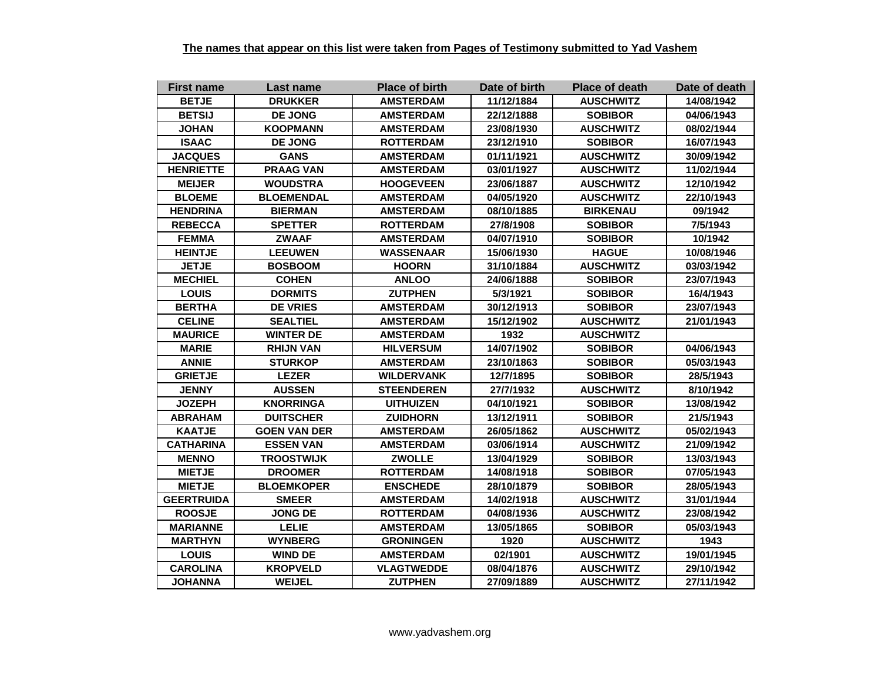| <b>First name</b> | Last name           | <b>Place of birth</b> | Date of birth | <b>Place of death</b> | Date of death |
|-------------------|---------------------|-----------------------|---------------|-----------------------|---------------|
| <b>BETJE</b>      | <b>DRUKKER</b>      | <b>AMSTERDAM</b>      | 11/12/1884    | <b>AUSCHWITZ</b>      | 14/08/1942    |
| <b>BETSIJ</b>     | DE JONG             | <b>AMSTERDAM</b>      | 22/12/1888    | <b>SOBIBOR</b>        | 04/06/1943    |
| <b>JOHAN</b>      | <b>KOOPMANN</b>     | <b>AMSTERDAM</b>      | 23/08/1930    | <b>AUSCHWITZ</b>      | 08/02/1944    |
| <b>ISAAC</b>      | <b>DE JONG</b>      | <b>ROTTERDAM</b>      | 23/12/1910    | <b>SOBIBOR</b>        | 16/07/1943    |
| <b>JACQUES</b>    | <b>GANS</b>         | <b>AMSTERDAM</b>      | 01/11/1921    | <b>AUSCHWITZ</b>      | 30/09/1942    |
| <b>HENRIETTE</b>  | <b>PRAAG VAN</b>    | <b>AMSTERDAM</b>      | 03/01/1927    | <b>AUSCHWITZ</b>      | 11/02/1944    |
| <b>MEIJER</b>     | <b>WOUDSTRA</b>     | <b>HOOGEVEEN</b>      | 23/06/1887    | <b>AUSCHWITZ</b>      | 12/10/1942    |
| <b>BLOEME</b>     | <b>BLOEMENDAL</b>   | <b>AMSTERDAM</b>      | 04/05/1920    | <b>AUSCHWITZ</b>      | 22/10/1943    |
| <b>HENDRINA</b>   | <b>BIERMAN</b>      | <b>AMSTERDAM</b>      | 08/10/1885    | <b>BIRKENAU</b>       | 09/1942       |
| <b>REBECCA</b>    | <b>SPETTER</b>      | <b>ROTTERDAM</b>      | 27/8/1908     | <b>SOBIBOR</b>        | 7/5/1943      |
| <b>FEMMA</b>      | <b>ZWAAF</b>        | <b>AMSTERDAM</b>      | 04/07/1910    | <b>SOBIBOR</b>        | 10/1942       |
| <b>HEINTJE</b>    | <b>LEEUWEN</b>      | <b>WASSENAAR</b>      | 15/06/1930    | <b>HAGUE</b>          | 10/08/1946    |
| <b>JETJE</b>      | <b>BOSBOOM</b>      | <b>HOORN</b>          | 31/10/1884    | <b>AUSCHWITZ</b>      | 03/03/1942    |
| <b>MECHIEL</b>    | <b>COHEN</b>        | <b>ANLOO</b>          | 24/06/1888    | <b>SOBIBOR</b>        | 23/07/1943    |
| <b>LOUIS</b>      | <b>DORMITS</b>      | <b>ZUTPHEN</b>        | 5/3/1921      | <b>SOBIBOR</b>        | 16/4/1943     |
| <b>BERTHA</b>     | <b>DE VRIES</b>     | <b>AMSTERDAM</b>      | 30/12/1913    | <b>SOBIBOR</b>        | 23/07/1943    |
| <b>CELINE</b>     | <b>SEALTIEL</b>     | <b>AMSTERDAM</b>      | 15/12/1902    | <b>AUSCHWITZ</b>      | 21/01/1943    |
| <b>MAURICE</b>    | <b>WINTER DE</b>    | <b>AMSTERDAM</b>      | 1932          | <b>AUSCHWITZ</b>      |               |
| <b>MARIE</b>      | <b>RHIJN VAN</b>    | <b>HILVERSUM</b>      | 14/07/1902    | <b>SOBIBOR</b>        | 04/06/1943    |
| <b>ANNIE</b>      | <b>STURKOP</b>      | <b>AMSTERDAM</b>      | 23/10/1863    | <b>SOBIBOR</b>        | 05/03/1943    |
| <b>GRIETJE</b>    | <b>LEZER</b>        | <b>WILDERVANK</b>     | 12/7/1895     | <b>SOBIBOR</b>        | 28/5/1943     |
| <b>JENNY</b>      | <b>AUSSEN</b>       | <b>STEENDEREN</b>     | 27/7/1932     | <b>AUSCHWITZ</b>      | 8/10/1942     |
| <b>JOZEPH</b>     | <b>KNORRINGA</b>    | <b>UITHUIZEN</b>      | 04/10/1921    | <b>SOBIBOR</b>        | 13/08/1942    |
| <b>ABRAHAM</b>    | <b>DUITSCHER</b>    | <b>ZUIDHORN</b>       | 13/12/1911    | <b>SOBIBOR</b>        | 21/5/1943     |
| <b>KAATJE</b>     | <b>GOEN VAN DER</b> | <b>AMSTERDAM</b>      | 26/05/1862    | <b>AUSCHWITZ</b>      | 05/02/1943    |
| <b>CATHARINA</b>  | <b>ESSEN VAN</b>    | <b>AMSTERDAM</b>      | 03/06/1914    | <b>AUSCHWITZ</b>      | 21/09/1942    |
| <b>MENNO</b>      | <b>TROOSTWIJK</b>   | <b>ZWOLLE</b>         | 13/04/1929    | <b>SOBIBOR</b>        | 13/03/1943    |
| <b>MIETJE</b>     | <b>DROOMER</b>      | <b>ROTTERDAM</b>      | 14/08/1918    | <b>SOBIBOR</b>        | 07/05/1943    |
| <b>MIETJE</b>     | <b>BLOEMKOPER</b>   | <b>ENSCHEDE</b>       | 28/10/1879    | <b>SOBIBOR</b>        | 28/05/1943    |
| <b>GEERTRUIDA</b> | <b>SMEER</b>        | <b>AMSTERDAM</b>      | 14/02/1918    | <b>AUSCHWITZ</b>      | 31/01/1944    |
| <b>ROOSJE</b>     | <b>JONG DE</b>      | <b>ROTTERDAM</b>      | 04/08/1936    | <b>AUSCHWITZ</b>      | 23/08/1942    |
| <b>MARIANNE</b>   | <b>LELIE</b>        | <b>AMSTERDAM</b>      | 13/05/1865    | <b>SOBIBOR</b>        | 05/03/1943    |
| <b>MARTHYN</b>    | <b>WYNBERG</b>      | <b>GRONINGEN</b>      | 1920          | <b>AUSCHWITZ</b>      | 1943          |
| <b>LOUIS</b>      | <b>WIND DE</b>      | <b>AMSTERDAM</b>      | 02/1901       | <b>AUSCHWITZ</b>      | 19/01/1945    |
| <b>CAROLINA</b>   | <b>KROPVELD</b>     | <b>VLAGTWEDDE</b>     | 08/04/1876    | <b>AUSCHWITZ</b>      | 29/10/1942    |
| <b>JOHANNA</b>    | <b>WEIJEL</b>       | <b>ZUTPHEN</b>        | 27/09/1889    | <b>AUSCHWITZ</b>      | 27/11/1942    |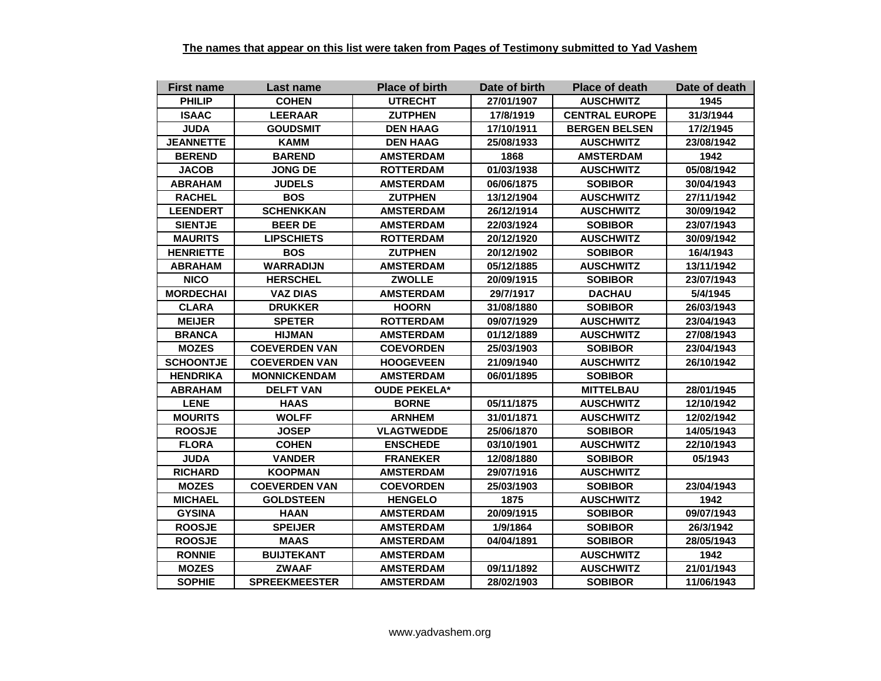| <b>First name</b> | Last name            | <b>Place of birth</b> | Date of birth | <b>Place of death</b> | Date of death |
|-------------------|----------------------|-----------------------|---------------|-----------------------|---------------|
| <b>PHILIP</b>     | <b>COHEN</b>         | <b>UTRECHT</b>        | 27/01/1907    | <b>AUSCHWITZ</b>      | 1945          |
| <b>ISAAC</b>      | <b>LEERAAR</b>       | <b>ZUTPHEN</b>        | 17/8/1919     | <b>CENTRAL EUROPE</b> | 31/3/1944     |
| <b>JUDA</b>       | <b>GOUDSMIT</b>      | <b>DEN HAAG</b>       | 17/10/1911    | <b>BERGEN BELSEN</b>  | 17/2/1945     |
| <b>JEANNETTE</b>  | KAMM                 | <b>DEN HAAG</b>       | 25/08/1933    | <b>AUSCHWITZ</b>      | 23/08/1942    |
| <b>BEREND</b>     | <b>BAREND</b>        | <b>AMSTERDAM</b>      | 1868          | <b>AMSTERDAM</b>      | 1942          |
| <b>JACOB</b>      | JONG DE              | <b>ROTTERDAM</b>      | 01/03/1938    | <b>AUSCHWITZ</b>      | 05/08/1942    |
| <b>ABRAHAM</b>    | <b>JUDELS</b>        | <b>AMSTERDAM</b>      | 06/06/1875    | <b>SOBIBOR</b>        | 30/04/1943    |
| <b>RACHEL</b>     | <b>BOS</b>           | <b>ZUTPHEN</b>        | 13/12/1904    | <b>AUSCHWITZ</b>      | 27/11/1942    |
| <b>LEENDERT</b>   | <b>SCHENKKAN</b>     | <b>AMSTERDAM</b>      | 26/12/1914    | <b>AUSCHWITZ</b>      | 30/09/1942    |
| <b>SIENTJE</b>    | <b>BEER DE</b>       | <b>AMSTERDAM</b>      | 22/03/1924    | <b>SOBIBOR</b>        | 23/07/1943    |
| <b>MAURITS</b>    | <b>LIPSCHIETS</b>    | <b>ROTTERDAM</b>      | 20/12/1920    | <b>AUSCHWITZ</b>      | 30/09/1942    |
| <b>HENRIETTE</b>  | <b>BOS</b>           | <b>ZUTPHEN</b>        | 20/12/1902    | <b>SOBIBOR</b>        | 16/4/1943     |
| <b>ABRAHAM</b>    | <b>WARRADIJN</b>     | <b>AMSTERDAM</b>      | 05/12/1885    | <b>AUSCHWITZ</b>      | 13/11/1942    |
| <b>NICO</b>       | <b>HERSCHEL</b>      | <b>ZWOLLE</b>         | 20/09/1915    | <b>SOBIBOR</b>        | 23/07/1943    |
| <b>MORDECHAI</b>  | <b>VAZ DIAS</b>      | <b>AMSTERDAM</b>      | 29/7/1917     | <b>DACHAU</b>         | 5/4/1945      |
| <b>CLARA</b>      | <b>DRUKKER</b>       | <b>HOORN</b>          | 31/08/1880    | <b>SOBIBOR</b>        | 26/03/1943    |
| <b>MEIJER</b>     | <b>SPETER</b>        | <b>ROTTERDAM</b>      | 09/07/1929    | <b>AUSCHWITZ</b>      | 23/04/1943    |
| <b>BRANCA</b>     | <b>HIJMAN</b>        | <b>AMSTERDAM</b>      | 01/12/1889    | <b>AUSCHWITZ</b>      | 27/08/1943    |
| <b>MOZES</b>      | <b>COEVERDEN VAN</b> | <b>COEVORDEN</b>      | 25/03/1903    | <b>SOBIBOR</b>        | 23/04/1943    |
| <b>SCHOONTJE</b>  | <b>COEVERDEN VAN</b> | <b>HOOGEVEEN</b>      | 21/09/1940    | <b>AUSCHWITZ</b>      | 26/10/1942    |
| <b>HENDRIKA</b>   | <b>MONNICKENDAM</b>  | <b>AMSTERDAM</b>      | 06/01/1895    | <b>SOBIBOR</b>        |               |
| <b>ABRAHAM</b>    | <b>DELFT VAN</b>     | <b>OUDE PEKELA*</b>   |               | <b>MITTELBAU</b>      | 28/01/1945    |
| <b>LENE</b>       | <b>HAAS</b>          | <b>BORNE</b>          | 05/11/1875    | <b>AUSCHWITZ</b>      | 12/10/1942    |
| <b>MOURITS</b>    | <b>WOLFF</b>         | <b>ARNHEM</b>         | 31/01/1871    | <b>AUSCHWITZ</b>      | 12/02/1942    |
| <b>ROOSJE</b>     | <b>JOSEP</b>         | <b>VLAGTWEDDE</b>     | 25/06/1870    | <b>SOBIBOR</b>        | 14/05/1943    |
| <b>FLORA</b>      | <b>COHEN</b>         | <b>ENSCHEDE</b>       | 03/10/1901    | <b>AUSCHWITZ</b>      | 22/10/1943    |
| <b>JUDA</b>       | <b>VANDER</b>        | <b>FRANEKER</b>       | 12/08/1880    | <b>SOBIBOR</b>        | 05/1943       |
| <b>RICHARD</b>    | <b>KOOPMAN</b>       | <b>AMSTERDAM</b>      | 29/07/1916    | <b>AUSCHWITZ</b>      |               |
| <b>MOZES</b>      | <b>COEVERDEN VAN</b> | <b>COEVORDEN</b>      | 25/03/1903    | <b>SOBIBOR</b>        | 23/04/1943    |
| <b>MICHAEL</b>    | <b>GOLDSTEEN</b>     | <b>HENGELO</b>        | 1875          | <b>AUSCHWITZ</b>      | 1942          |
| <b>GYSINA</b>     | <b>HAAN</b>          | <b>AMSTERDAM</b>      | 20/09/1915    | <b>SOBIBOR</b>        | 09/07/1943    |
| <b>ROOSJE</b>     | <b>SPEIJER</b>       | <b>AMSTERDAM</b>      | 1/9/1864      | <b>SOBIBOR</b>        | 26/3/1942     |
| <b>ROOSJE</b>     | <b>MAAS</b>          | <b>AMSTERDAM</b>      | 04/04/1891    | <b>SOBIBOR</b>        | 28/05/1943    |
| <b>RONNIE</b>     | <b>BUIJTEKANT</b>    | <b>AMSTERDAM</b>      |               | <b>AUSCHWITZ</b>      | 1942          |
| <b>MOZES</b>      | <b>ZWAAF</b>         | <b>AMSTERDAM</b>      | 09/11/1892    | <b>AUSCHWITZ</b>      | 21/01/1943    |
| <b>SOPHIE</b>     | <b>SPREEKMEESTER</b> | <b>AMSTERDAM</b>      | 28/02/1903    | <b>SOBIBOR</b>        | 11/06/1943    |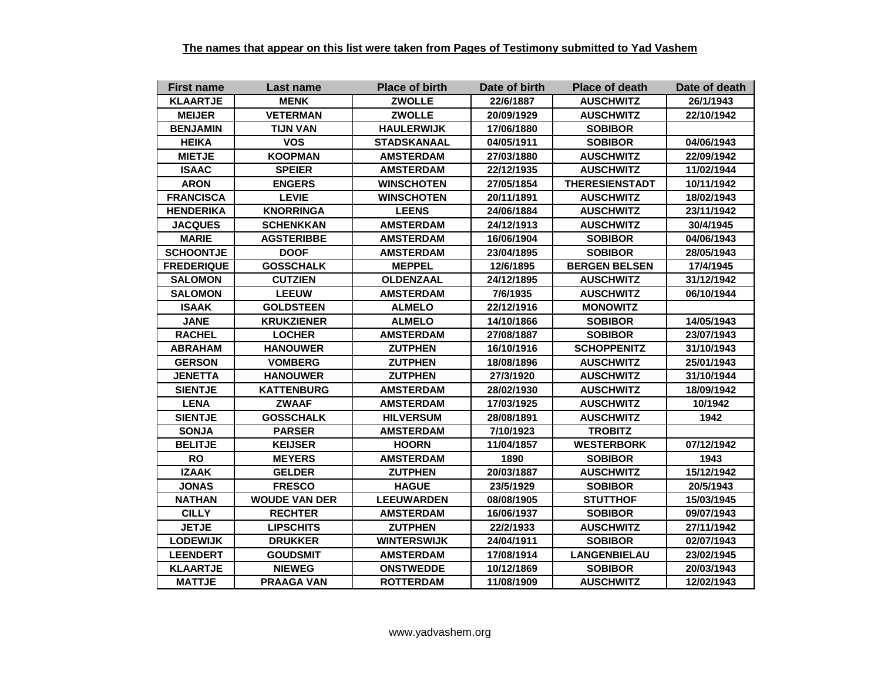| <b>First name</b> | Last name            | <b>Place of birth</b> | Date of birth | <b>Place of death</b> | Date of death |
|-------------------|----------------------|-----------------------|---------------|-----------------------|---------------|
| <b>KLAARTJE</b>   | <b>MENK</b>          | <b>ZWOLLE</b>         | 22/6/1887     | <b>AUSCHWITZ</b>      | 26/1/1943     |
| <b>MEIJER</b>     | <b>VETERMAN</b>      | <b>ZWOLLE</b>         | 20/09/1929    | <b>AUSCHWITZ</b>      | 22/10/1942    |
| <b>BENJAMIN</b>   | <b>TIJN VAN</b>      | <b>HAULERWIJK</b>     | 17/06/1880    | <b>SOBIBOR</b>        |               |
| <b>HEIKA</b>      | <b>VOS</b>           | STADSKANAAL           | 04/05/1911    | <b>SOBIBOR</b>        | 04/06/1943    |
| <b>MIETJE</b>     | <b>KOOPMAN</b>       | <b>AMSTERDAM</b>      | 27/03/1880    | <b>AUSCHWITZ</b>      | 22/09/1942    |
| <b>ISAAC</b>      | <b>SPEIER</b>        | <b>AMSTERDAM</b>      | 22/12/1935    | <b>AUSCHWITZ</b>      | 11/02/1944    |
| <b>ARON</b>       | <b>ENGERS</b>        | <b>WINSCHOTEN</b>     | 27/05/1854    | <b>THERESIENSTADT</b> | 10/11/1942    |
| <b>FRANCISCA</b>  | <b>LEVIE</b>         | <b>WINSCHOTEN</b>     | 20/11/1891    | <b>AUSCHWITZ</b>      | 18/02/1943    |
| <b>HENDERIKA</b>  | <b>KNORRINGA</b>     | <b>LEENS</b>          | 24/06/1884    | <b>AUSCHWITZ</b>      | 23/11/1942    |
| <b>JACQUES</b>    | <b>SCHENKKAN</b>     | <b>AMSTERDAM</b>      | 24/12/1913    | <b>AUSCHWITZ</b>      | 30/4/1945     |
| <b>MARIE</b>      | <b>AGSTERIBBE</b>    | <b>AMSTERDAM</b>      | 16/06/1904    | <b>SOBIBOR</b>        | 04/06/1943    |
| <b>SCHOONTJE</b>  | <b>DOOF</b>          | <b>AMSTERDAM</b>      | 23/04/1895    | <b>SOBIBOR</b>        | 28/05/1943    |
| <b>FREDERIQUE</b> | <b>GOSSCHALK</b>     | <b>MEPPEL</b>         | 12/6/1895     | <b>BERGEN BELSEN</b>  | 17/4/1945     |
| <b>SALOMON</b>    | <b>CUTZIEN</b>       | <b>OLDENZAAL</b>      | 24/12/1895    | <b>AUSCHWITZ</b>      | 31/12/1942    |
| <b>SALOMON</b>    | <b>LEEUW</b>         | <b>AMSTERDAM</b>      | 7/6/1935      | <b>AUSCHWITZ</b>      | 06/10/1944    |
| <b>ISAAK</b>      | <b>GOLDSTEEN</b>     | <b>ALMELO</b>         | 22/12/1916    | <b>MONOWITZ</b>       |               |
| <b>JANE</b>       | <b>KRUKZIENER</b>    | <b>ALMELO</b>         | 14/10/1866    | <b>SOBIBOR</b>        | 14/05/1943    |
| <b>RACHEL</b>     | <b>LOCHER</b>        | <b>AMSTERDAM</b>      | 27/08/1887    | <b>SOBIBOR</b>        | 23/07/1943    |
| <b>ABRAHAM</b>    | <b>HANOUWER</b>      | <b>ZUTPHEN</b>        | 16/10/1916    | <b>SCHOPPENITZ</b>    | 31/10/1943    |
| <b>GERSON</b>     | <b>VOMBERG</b>       | <b>ZUTPHEN</b>        | 18/08/1896    | <b>AUSCHWITZ</b>      | 25/01/1943    |
| <b>JENETTA</b>    | <b>HANOUWER</b>      | <b>ZUTPHEN</b>        | 27/3/1920     | <b>AUSCHWITZ</b>      | 31/10/1944    |
| <b>SIENTJE</b>    | <b>KATTENBURG</b>    | <b>AMSTERDAM</b>      | 28/02/1930    | <b>AUSCHWITZ</b>      | 18/09/1942    |
| <b>LENA</b>       | <b>ZWAAF</b>         | <b>AMSTERDAM</b>      | 17/03/1925    | <b>AUSCHWITZ</b>      | 10/1942       |
| <b>SIENTJE</b>    | <b>GOSSCHALK</b>     | <b>HILVERSUM</b>      | 28/08/1891    | <b>AUSCHWITZ</b>      | 1942          |
| <b>SONJA</b>      | <b>PARSER</b>        | <b>AMSTERDAM</b>      | 7/10/1923     | <b>TROBITZ</b>        |               |
| <b>BELITJE</b>    | <b>KEIJSER</b>       | <b>HOORN</b>          | 11/04/1857    | <b>WESTERBORK</b>     | 07/12/1942    |
| <b>RO</b>         | <b>MEYERS</b>        | <b>AMSTERDAM</b>      | 1890          | <b>SOBIBOR</b>        | 1943          |
| <b>IZAAK</b>      | <b>GELDER</b>        | <b>ZUTPHEN</b>        | 20/03/1887    | <b>AUSCHWITZ</b>      | 15/12/1942    |
| <b>JONAS</b>      | <b>FRESCO</b>        | <b>HAGUE</b>          | 23/5/1929     | <b>SOBIBOR</b>        | 20/5/1943     |
| <b>NATHAN</b>     | <b>WOUDE VAN DER</b> | <b>LEEUWARDEN</b>     | 08/08/1905    | <b>STUTTHOF</b>       | 15/03/1945    |
| <b>CILLY</b>      | <b>RECHTER</b>       | <b>AMSTERDAM</b>      | 16/06/1937    | <b>SOBIBOR</b>        | 09/07/1943    |
| <b>JETJE</b>      | <b>LIPSCHITS</b>     | <b>ZUTPHEN</b>        | 22/2/1933     | <b>AUSCHWITZ</b>      | 27/11/1942    |
| <b>LODEWIJK</b>   | <b>DRUKKER</b>       | <b>WINTERSWIJK</b>    | 24/04/1911    | <b>SOBIBOR</b>        | 02/07/1943    |
| <b>LEENDERT</b>   | <b>GOUDSMIT</b>      | <b>AMSTERDAM</b>      | 17/08/1914    | <b>LANGENBIELAU</b>   | 23/02/1945    |
| <b>KLAARTJE</b>   | <b>NIEWEG</b>        | <b>ONSTWEDDE</b>      | 10/12/1869    | <b>SOBIBOR</b>        | 20/03/1943    |
| <b>MATTJE</b>     | <b>PRAAGA VAN</b>    | <b>ROTTERDAM</b>      | 11/08/1909    | <b>AUSCHWITZ</b>      | 12/02/1943    |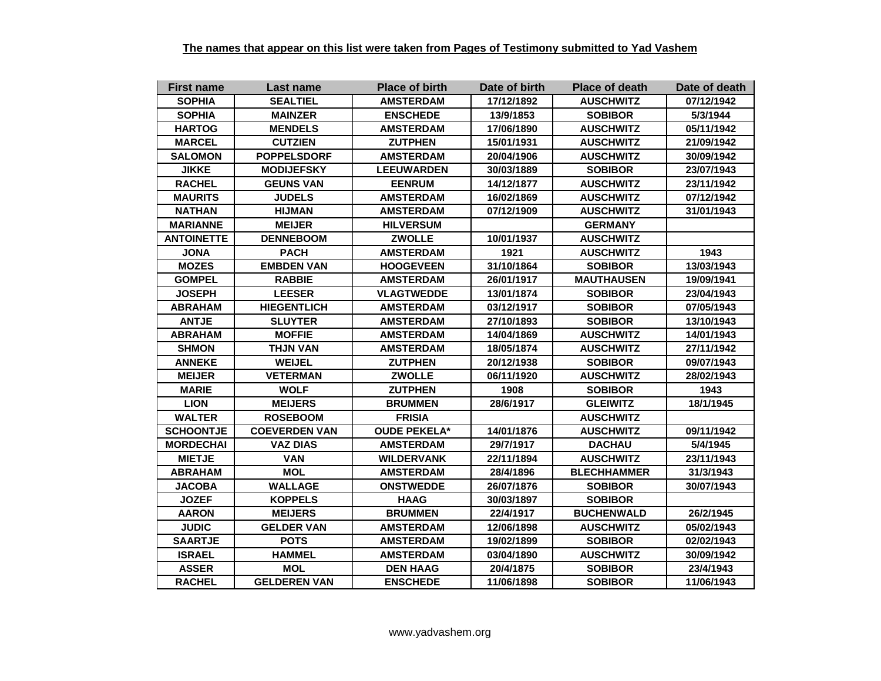| <b>First name</b> | Last name            | <b>Place of birth</b> | Date of birth | <b>Place of death</b> | Date of death |
|-------------------|----------------------|-----------------------|---------------|-----------------------|---------------|
| <b>SOPHIA</b>     | <b>SEALTIEL</b>      | <b>AMSTERDAM</b>      | 17/12/1892    | <b>AUSCHWITZ</b>      | 07/12/1942    |
| <b>SOPHIA</b>     | <b>MAINZER</b>       | <b>ENSCHEDE</b>       | 13/9/1853     | <b>SOBIBOR</b>        | 5/3/1944      |
| <b>HARTOG</b>     | <b>MENDELS</b>       | <b>AMSTERDAM</b>      | 17/06/1890    | <b>AUSCHWITZ</b>      | 05/11/1942    |
| <b>MARCEL</b>     | <b>CUTZIEN</b>       | <b>ZUTPHEN</b>        | 15/01/1931    | <b>AUSCHWITZ</b>      | 21/09/1942    |
| <b>SALOMON</b>    | <b>POPPELSDORF</b>   | <b>AMSTERDAM</b>      | 20/04/1906    | <b>AUSCHWITZ</b>      | 30/09/1942    |
| <b>JIKKE</b>      | <b>MODIJEFSKY</b>    | <b>LEEUWARDEN</b>     | 30/03/1889    | <b>SOBIBOR</b>        | 23/07/1943    |
| <b>RACHEL</b>     | <b>GEUNS VAN</b>     | <b>EENRUM</b>         | 14/12/1877    | <b>AUSCHWITZ</b>      | 23/11/1942    |
| <b>MAURITS</b>    | <b>JUDELS</b>        | <b>AMSTERDAM</b>      | 16/02/1869    | <b>AUSCHWITZ</b>      | 07/12/1942    |
| <b>NATHAN</b>     | <b>HIJMAN</b>        | <b>AMSTERDAM</b>      | 07/12/1909    | <b>AUSCHWITZ</b>      | 31/01/1943    |
| <b>MARIANNE</b>   | <b>MEIJER</b>        | <b>HILVERSUM</b>      |               | <b>GERMANY</b>        |               |
| <b>ANTOINETTE</b> | <b>DENNEBOOM</b>     | <b>ZWOLLE</b>         | 10/01/1937    | <b>AUSCHWITZ</b>      |               |
| <b>JONA</b>       | <b>PACH</b>          | <b>AMSTERDAM</b>      | 1921          | <b>AUSCHWITZ</b>      | 1943          |
| <b>MOZES</b>      | <b>EMBDEN VAN</b>    | <b>HOOGEVEEN</b>      | 31/10/1864    | <b>SOBIBOR</b>        | 13/03/1943    |
| <b>GOMPEL</b>     | <b>RABBIE</b>        | <b>AMSTERDAM</b>      | 26/01/1917    | <b>MAUTHAUSEN</b>     | 19/09/1941    |
| <b>JOSEPH</b>     | <b>LEESER</b>        | <b>VLAGTWEDDE</b>     | 13/01/1874    | <b>SOBIBOR</b>        | 23/04/1943    |
| <b>ABRAHAM</b>    | <b>HIEGENTLICH</b>   | <b>AMSTERDAM</b>      | 03/12/1917    | <b>SOBIBOR</b>        | 07/05/1943    |
| <b>ANTJE</b>      | <b>SLUYTER</b>       | <b>AMSTERDAM</b>      | 27/10/1893    | <b>SOBIBOR</b>        | 13/10/1943    |
| <b>ABRAHAM</b>    | <b>MOFFIE</b>        | <b>AMSTERDAM</b>      | 14/04/1869    | <b>AUSCHWITZ</b>      | 14/01/1943    |
| <b>SHMON</b>      | <b>THJN VAN</b>      | <b>AMSTERDAM</b>      | 18/05/1874    | <b>AUSCHWITZ</b>      | 27/11/1942    |
| <b>ANNEKE</b>     | <b>WEIJEL</b>        | <b>ZUTPHEN</b>        | 20/12/1938    | <b>SOBIBOR</b>        | 09/07/1943    |
| <b>MEIJER</b>     | <b>VETERMAN</b>      | <b>ZWOLLE</b>         | 06/11/1920    | <b>AUSCHWITZ</b>      | 28/02/1943    |
| <b>MARIE</b>      | <b>WOLF</b>          | <b>ZUTPHEN</b>        | 1908          | <b>SOBIBOR</b>        | 1943          |
| <b>LION</b>       | <b>MEIJERS</b>       | <b>BRUMMEN</b>        | 28/6/1917     | <b>GLEIWITZ</b>       | 18/1/1945     |
| <b>WALTER</b>     | <b>ROSEBOOM</b>      | <b>FRISIA</b>         |               | <b>AUSCHWITZ</b>      |               |
| <b>SCHOONTJE</b>  | <b>COEVERDEN VAN</b> | <b>OUDE PEKELA*</b>   | 14/01/1876    | <b>AUSCHWITZ</b>      | 09/11/1942    |
| <b>MORDECHAI</b>  | <b>VAZ DIAS</b>      | <b>AMSTERDAM</b>      | 29/7/1917     | <b>DACHAU</b>         | 5/4/1945      |
| <b>MIETJE</b>     | <b>VAN</b>           | <b>WILDERVANK</b>     | 22/11/1894    | <b>AUSCHWITZ</b>      | 23/11/1943    |
| <b>ABRAHAM</b>    | <b>MOL</b>           | <b>AMSTERDAM</b>      | 28/4/1896     | <b>BLECHHAMMER</b>    | 31/3/1943     |
| <b>JACOBA</b>     | <b>WALLAGE</b>       | <b>ONSTWEDDE</b>      | 26/07/1876    | <b>SOBIBOR</b>        | 30/07/1943    |
| <b>JOZEF</b>      | <b>KOPPELS</b>       | <b>HAAG</b>           | 30/03/1897    | <b>SOBIBOR</b>        |               |
| <b>AARON</b>      | <b>MEIJERS</b>       | <b>BRUMMEN</b>        | 22/4/1917     | <b>BUCHENWALD</b>     | 26/2/1945     |
| <b>JUDIC</b>      | <b>GELDER VAN</b>    | <b>AMSTERDAM</b>      | 12/06/1898    | <b>AUSCHWITZ</b>      | 05/02/1943    |
| <b>SAARTJE</b>    | <b>POTS</b>          | <b>AMSTERDAM</b>      | 19/02/1899    | <b>SOBIBOR</b>        | 02/02/1943    |
| <b>ISRAEL</b>     | <b>HAMMEL</b>        | <b>AMSTERDAM</b>      | 03/04/1890    | <b>AUSCHWITZ</b>      | 30/09/1942    |
| <b>ASSER</b>      | <b>MOL</b>           | <b>DEN HAAG</b>       | 20/4/1875     | <b>SOBIBOR</b>        | 23/4/1943     |
| <b>RACHEL</b>     | <b>GELDEREN VAN</b>  | <b>ENSCHEDE</b>       | 11/06/1898    | <b>SOBIBOR</b>        | 11/06/1943    |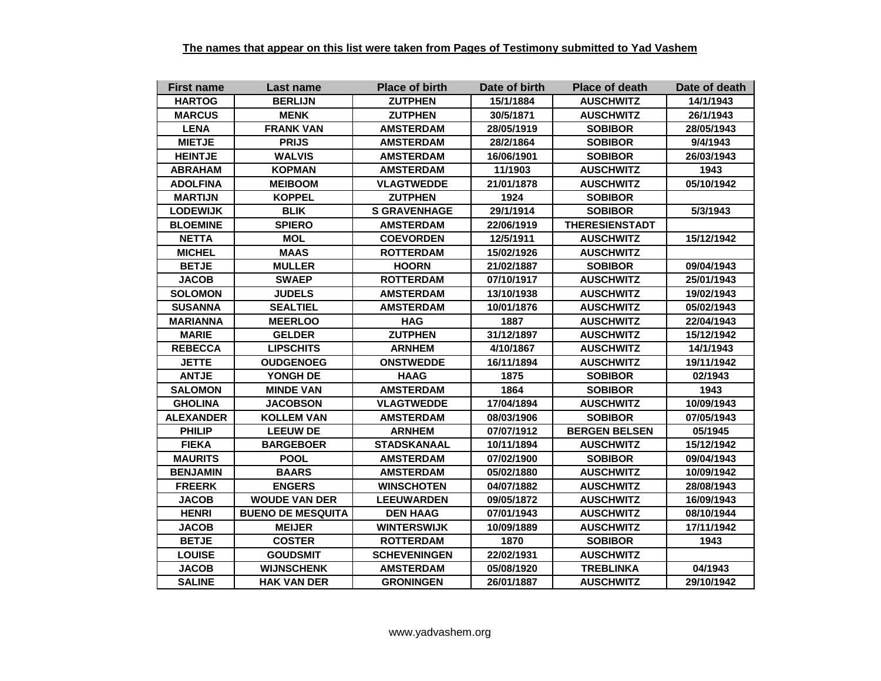| <b>First name</b> | Last name                | <b>Place of birth</b> | Date of birth | <b>Place of death</b> | Date of death |
|-------------------|--------------------------|-----------------------|---------------|-----------------------|---------------|
| <b>HARTOG</b>     | <b>BERLIJN</b>           | <b>ZUTPHEN</b>        | 15/1/1884     | <b>AUSCHWITZ</b>      | 14/1/1943     |
| <b>MARCUS</b>     | <b>MENK</b>              | <b>ZUTPHEN</b>        | 30/5/1871     | <b>AUSCHWITZ</b>      | 26/1/1943     |
| <b>LENA</b>       | <b>FRANK VAN</b>         | <b>AMSTERDAM</b>      | 28/05/1919    | <b>SOBIBOR</b>        | 28/05/1943    |
| <b>MIETJE</b>     | <b>PRIJS</b>             | <b>AMSTERDAM</b>      | 28/2/1864     | <b>SOBIBOR</b>        | 9/4/1943      |
| <b>HEINTJE</b>    | <b>WALVIS</b>            | <b>AMSTERDAM</b>      | 16/06/1901    | <b>SOBIBOR</b>        | 26/03/1943    |
| <b>ABRAHAM</b>    | <b>KOPMAN</b>            | <b>AMSTERDAM</b>      | 11/1903       | <b>AUSCHWITZ</b>      | 1943          |
| <b>ADOLFINA</b>   | <b>MEIBOOM</b>           | <b>VLAGTWEDDE</b>     | 21/01/1878    | <b>AUSCHWITZ</b>      | 05/10/1942    |
| <b>MARTIJN</b>    | <b>KOPPEL</b>            | <b>ZUTPHEN</b>        | 1924          | <b>SOBIBOR</b>        |               |
| <b>LODEWIJK</b>   | <b>BLIK</b>              | <b>S GRAVENHAGE</b>   | 29/1/1914     | <b>SOBIBOR</b>        | 5/3/1943      |
| <b>BLOEMINE</b>   | <b>SPIERO</b>            | <b>AMSTERDAM</b>      | 22/06/1919    | <b>THERESIENSTADT</b> |               |
| <b>NETTA</b>      | <b>MOL</b>               | <b>COEVORDEN</b>      | 12/5/1911     | <b>AUSCHWITZ</b>      | 15/12/1942    |
| <b>MICHEL</b>     | <b>MAAS</b>              | <b>ROTTERDAM</b>      | 15/02/1926    | <b>AUSCHWITZ</b>      |               |
| <b>BETJE</b>      | <b>MULLER</b>            | <b>HOORN</b>          | 21/02/1887    | <b>SOBIBOR</b>        | 09/04/1943    |
| <b>JACOB</b>      | <b>SWAEP</b>             | <b>ROTTERDAM</b>      | 07/10/1917    | <b>AUSCHWITZ</b>      | 25/01/1943    |
| <b>SOLOMON</b>    | <b>JUDELS</b>            | <b>AMSTERDAM</b>      | 13/10/1938    | <b>AUSCHWITZ</b>      | 19/02/1943    |
| <b>SUSANNA</b>    | <b>SEALTIEL</b>          | <b>AMSTERDAM</b>      | 10/01/1876    | <b>AUSCHWITZ</b>      | 05/02/1943    |
| <b>MARIANNA</b>   | <b>MEERLOO</b>           | <b>HAG</b>            | 1887          | <b>AUSCHWITZ</b>      | 22/04/1943    |
| <b>MARIE</b>      | <b>GELDER</b>            | <b>ZUTPHEN</b>        | 31/12/1897    | <b>AUSCHWITZ</b>      | 15/12/1942    |
| <b>REBECCA</b>    | <b>LIPSCHITS</b>         | <b>ARNHEM</b>         | 4/10/1867     | <b>AUSCHWITZ</b>      | 14/1/1943     |
| <b>JETTE</b>      | <b>OUDGENOEG</b>         | <b>ONSTWEDDE</b>      | 16/11/1894    | <b>AUSCHWITZ</b>      | 19/11/1942    |
| <b>ANTJE</b>      | YONGH DE                 | <b>HAAG</b>           | 1875          | <b>SOBIBOR</b>        | 02/1943       |
| <b>SALOMON</b>    | <b>MINDE VAN</b>         | <b>AMSTERDAM</b>      | 1864          | <b>SOBIBOR</b>        | 1943          |
| <b>GHOLINA</b>    | <b>JACOBSON</b>          | <b>VLAGTWEDDE</b>     | 17/04/1894    | <b>AUSCHWITZ</b>      | 10/09/1943    |
| <b>ALEXANDER</b>  | <b>KOLLEM VAN</b>        | <b>AMSTERDAM</b>      | 08/03/1906    | <b>SOBIBOR</b>        | 07/05/1943    |
| <b>PHILIP</b>     | <b>LEEUW DE</b>          | <b>ARNHEM</b>         | 07/07/1912    | <b>BERGEN BELSEN</b>  | 05/1945       |
| <b>FIEKA</b>      | <b>BARGEBOER</b>         | <b>STADSKANAAL</b>    | 10/11/1894    | <b>AUSCHWITZ</b>      | 15/12/1942    |
| <b>MAURITS</b>    | <b>POOL</b>              | <b>AMSTERDAM</b>      | 07/02/1900    | <b>SOBIBOR</b>        | 09/04/1943    |
| <b>BENJAMIN</b>   | <b>BAARS</b>             | <b>AMSTERDAM</b>      | 05/02/1880    | <b>AUSCHWITZ</b>      | 10/09/1942    |
| <b>FREERK</b>     | <b>ENGERS</b>            | <b>WINSCHOTEN</b>     | 04/07/1882    | <b>AUSCHWITZ</b>      | 28/08/1943    |
| <b>JACOB</b>      | <b>WOUDE VAN DER</b>     | <b>LEEUWARDEN</b>     | 09/05/1872    | <b>AUSCHWITZ</b>      | 16/09/1943    |
| <b>HENRI</b>      | <b>BUENO DE MESQUITA</b> | <b>DEN HAAG</b>       | 07/01/1943    | <b>AUSCHWITZ</b>      | 08/10/1944    |
| <b>JACOB</b>      | <b>MEIJER</b>            | <b>WINTERSWIJK</b>    | 10/09/1889    | <b>AUSCHWITZ</b>      | 17/11/1942    |
| <b>BETJE</b>      | <b>COSTER</b>            | <b>ROTTERDAM</b>      | 1870          | <b>SOBIBOR</b>        | 1943          |
| <b>LOUISE</b>     | <b>GOUDSMIT</b>          | <b>SCHEVENINGEN</b>   | 22/02/1931    | <b>AUSCHWITZ</b>      |               |
| <b>JACOB</b>      | <b>WIJNSCHENK</b>        | <b>AMSTERDAM</b>      | 05/08/1920    | <b>TREBLINKA</b>      | 04/1943       |
| <b>SALINE</b>     | <b>HAK VAN DER</b>       | <b>GRONINGEN</b>      | 26/01/1887    | <b>AUSCHWITZ</b>      | 29/10/1942    |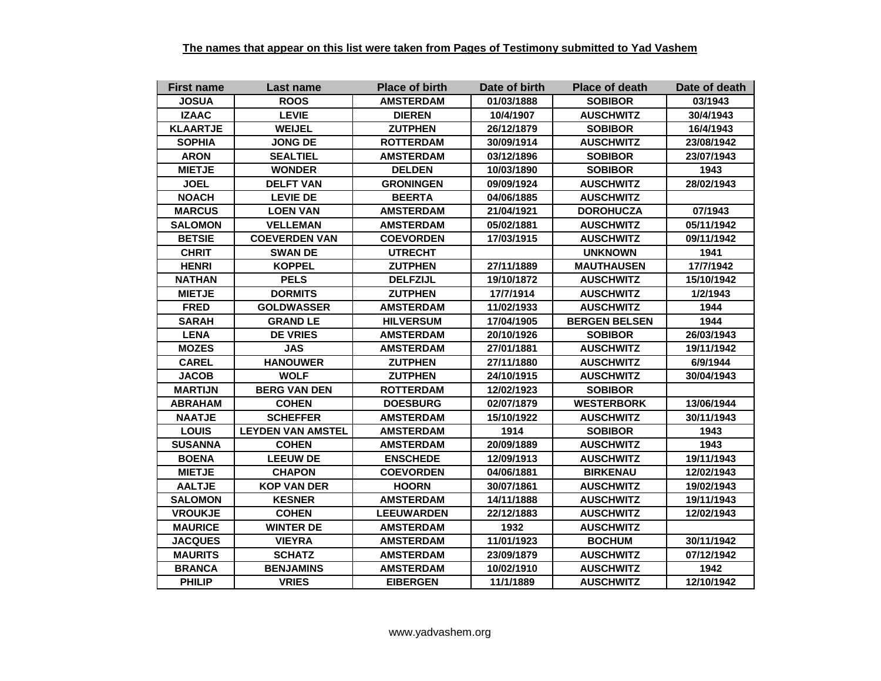| <b>First name</b> | Last name                | <b>Place of birth</b> | Date of birth | <b>Place of death</b> | Date of death |
|-------------------|--------------------------|-----------------------|---------------|-----------------------|---------------|
| <b>JOSUA</b>      | <b>ROOS</b>              | <b>AMSTERDAM</b>      | 01/03/1888    | <b>SOBIBOR</b>        | 03/1943       |
| <b>IZAAC</b>      | <b>LEVIE</b>             | <b>DIEREN</b>         | 10/4/1907     | <b>AUSCHWITZ</b>      | 30/4/1943     |
| <b>KLAARTJE</b>   | <b>WEIJEL</b>            | <b>ZUTPHEN</b>        | 26/12/1879    | <b>SOBIBOR</b>        | 16/4/1943     |
| <b>SOPHIA</b>     | JONG DE                  | <b>ROTTERDAM</b>      | 30/09/1914    | <b>AUSCHWITZ</b>      | 23/08/1942    |
| <b>ARON</b>       | <b>SEALTIEL</b>          | <b>AMSTERDAM</b>      | 03/12/1896    | <b>SOBIBOR</b>        | 23/07/1943    |
| <b>MIETJE</b>     | <b>WONDER</b>            | <b>DELDEN</b>         | 10/03/1890    | <b>SOBIBOR</b>        | 1943          |
| <b>JOEL</b>       | <b>DELFT VAN</b>         | <b>GRONINGEN</b>      | 09/09/1924    | <b>AUSCHWITZ</b>      | 28/02/1943    |
| <b>NOACH</b>      | <b>LEVIE DE</b>          | <b>BEERTA</b>         | 04/06/1885    | <b>AUSCHWITZ</b>      |               |
| <b>MARCUS</b>     | <b>LOEN VAN</b>          | <b>AMSTERDAM</b>      | 21/04/1921    | <b>DOROHUCZA</b>      | 07/1943       |
| <b>SALOMON</b>    | <b>VELLEMAN</b>          | <b>AMSTERDAM</b>      | 05/02/1881    | <b>AUSCHWITZ</b>      | 05/11/1942    |
| <b>BETSIE</b>     | <b>COEVERDEN VAN</b>     | <b>COEVORDEN</b>      | 17/03/1915    | <b>AUSCHWITZ</b>      | 09/11/1942    |
| <b>CHRIT</b>      | <b>SWAN DE</b>           | <b>UTRECHT</b>        |               | <b>UNKNOWN</b>        | 1941          |
| <b>HENRI</b>      | <b>KOPPEL</b>            | <b>ZUTPHEN</b>        | 27/11/1889    | <b>MAUTHAUSEN</b>     | 17/7/1942     |
| <b>NATHAN</b>     | <b>PELS</b>              | <b>DELFZIJL</b>       | 19/10/1872    | <b>AUSCHWITZ</b>      | 15/10/1942    |
| <b>MIETJE</b>     | <b>DORMITS</b>           | <b>ZUTPHEN</b>        | 17/7/1914     | <b>AUSCHWITZ</b>      | 1/2/1943      |
| <b>FRED</b>       | <b>GOLDWASSER</b>        | <b>AMSTERDAM</b>      | 11/02/1933    | <b>AUSCHWITZ</b>      | 1944          |
| <b>SARAH</b>      | <b>GRAND LE</b>          | <b>HILVERSUM</b>      | 17/04/1905    | <b>BERGEN BELSEN</b>  | 1944          |
| <b>LENA</b>       | <b>DE VRIES</b>          | <b>AMSTERDAM</b>      | 20/10/1926    | <b>SOBIBOR</b>        | 26/03/1943    |
| <b>MOZES</b>      | <b>JAS</b>               | <b>AMSTERDAM</b>      | 27/01/1881    | <b>AUSCHWITZ</b>      | 19/11/1942    |
| <b>CAREL</b>      | <b>HANOUWER</b>          | <b>ZUTPHEN</b>        | 27/11/1880    | <b>AUSCHWITZ</b>      | 6/9/1944      |
| <b>JACOB</b>      | <b>WOLF</b>              | <b>ZUTPHEN</b>        | 24/10/1915    | <b>AUSCHWITZ</b>      | 30/04/1943    |
| <b>MARTIJN</b>    | <b>BERG VAN DEN</b>      | <b>ROTTERDAM</b>      | 12/02/1923    | <b>SOBIBOR</b>        |               |
| <b>ABRAHAM</b>    | <b>COHEN</b>             | <b>DOESBURG</b>       | 02/07/1879    | <b>WESTERBORK</b>     | 13/06/1944    |
| <b>NAATJE</b>     | <b>SCHEFFER</b>          | <b>AMSTERDAM</b>      | 15/10/1922    | <b>AUSCHWITZ</b>      | 30/11/1943    |
| <b>LOUIS</b>      | <b>LEYDEN VAN AMSTEL</b> | <b>AMSTERDAM</b>      | 1914          | <b>SOBIBOR</b>        | 1943          |
| <b>SUSANNA</b>    | <b>COHEN</b>             | <b>AMSTERDAM</b>      | 20/09/1889    | <b>AUSCHWITZ</b>      | 1943          |
| <b>BOENA</b>      | <b>LEEUW DE</b>          | <b>ENSCHEDE</b>       | 12/09/1913    | <b>AUSCHWITZ</b>      | 19/11/1943    |
| <b>MIETJE</b>     | <b>CHAPON</b>            | <b>COEVORDEN</b>      | 04/06/1881    | <b>BIRKENAU</b>       | 12/02/1943    |
| <b>AALTJE</b>     | <b>KOP VAN DER</b>       | <b>HOORN</b>          | 30/07/1861    | <b>AUSCHWITZ</b>      | 19/02/1943    |
| <b>SALOMON</b>    | <b>KESNER</b>            | <b>AMSTERDAM</b>      | 14/11/1888    | <b>AUSCHWITZ</b>      | 19/11/1943    |
| <b>VROUKJE</b>    | <b>COHEN</b>             | <b>LEEUWARDEN</b>     | 22/12/1883    | <b>AUSCHWITZ</b>      | 12/02/1943    |
| <b>MAURICE</b>    | <b>WINTER DE</b>         | <b>AMSTERDAM</b>      | 1932          | <b>AUSCHWITZ</b>      |               |
| <b>JACQUES</b>    | <b>VIEYRA</b>            | <b>AMSTERDAM</b>      | 11/01/1923    | <b>BOCHUM</b>         | 30/11/1942    |
| <b>MAURITS</b>    | <b>SCHATZ</b>            | <b>AMSTERDAM</b>      | 23/09/1879    | <b>AUSCHWITZ</b>      | 07/12/1942    |
| <b>BRANCA</b>     | <b>BENJAMINS</b>         | <b>AMSTERDAM</b>      | 10/02/1910    | <b>AUSCHWITZ</b>      | 1942          |
| <b>PHILIP</b>     | <b>VRIES</b>             | <b>EIBERGEN</b>       | 11/1/1889     | <b>AUSCHWITZ</b>      | 12/10/1942    |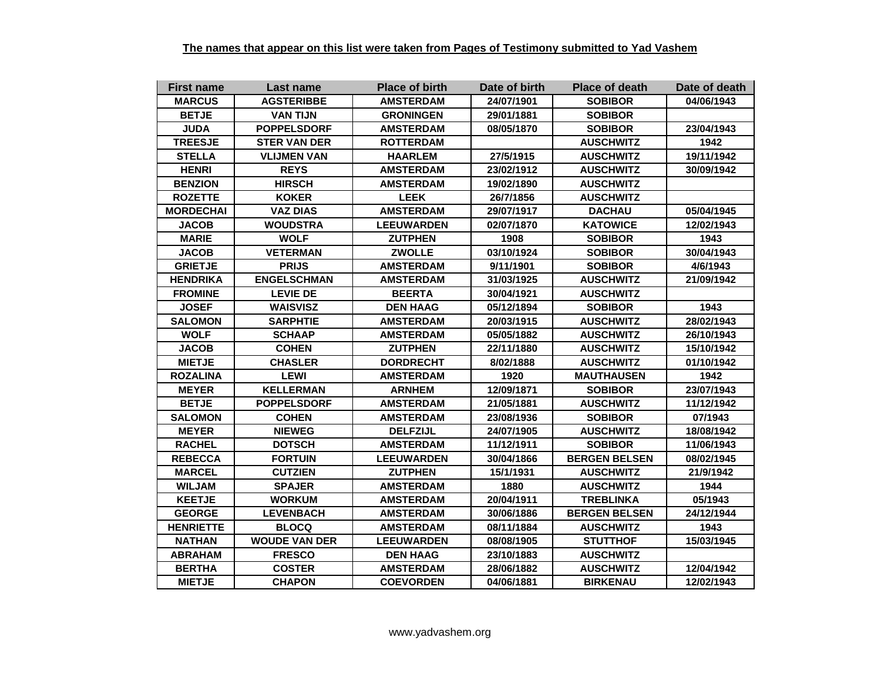| <b>First name</b> | Last name            | <b>Place of birth</b> | Date of birth | <b>Place of death</b> | Date of death |
|-------------------|----------------------|-----------------------|---------------|-----------------------|---------------|
| <b>MARCUS</b>     | <b>AGSTERIBBE</b>    | <b>AMSTERDAM</b>      | 24/07/1901    | <b>SOBIBOR</b>        | 04/06/1943    |
| <b>BETJE</b>      | <b>VAN TIJN</b>      | <b>GRONINGEN</b>      | 29/01/1881    | <b>SOBIBOR</b>        |               |
| <b>JUDA</b>       | <b>POPPELSDORF</b>   | <b>AMSTERDAM</b>      | 08/05/1870    | <b>SOBIBOR</b>        | 23/04/1943    |
| <b>TREESJE</b>    | <b>STER VAN DER</b>  | <b>ROTTERDAM</b>      |               | <b>AUSCHWITZ</b>      | 1942          |
| <b>STELLA</b>     | <b>VLIJMEN VAN</b>   | <b>HAARLEM</b>        | 27/5/1915     | <b>AUSCHWITZ</b>      | 19/11/1942    |
| <b>HENRI</b>      | <b>REYS</b>          | <b>AMSTERDAM</b>      | 23/02/1912    | <b>AUSCHWITZ</b>      | 30/09/1942    |
| <b>BENZION</b>    | <b>HIRSCH</b>        | <b>AMSTERDAM</b>      | 19/02/1890    | <b>AUSCHWITZ</b>      |               |
| <b>ROZETTE</b>    | <b>KOKER</b>         | <b>LEEK</b>           | 26/7/1856     | <b>AUSCHWITZ</b>      |               |
| <b>MORDECHAI</b>  | <b>VAZ DIAS</b>      | <b>AMSTERDAM</b>      | 29/07/1917    | <b>DACHAU</b>         | 05/04/1945    |
| <b>JACOB</b>      | <b>WOUDSTRA</b>      | <b>LEEUWARDEN</b>     | 02/07/1870    | <b>KATOWICE</b>       | 12/02/1943    |
| <b>MARIE</b>      | <b>WOLF</b>          | <b>ZUTPHEN</b>        | 1908          | <b>SOBIBOR</b>        | 1943          |
| <b>JACOB</b>      | <b>VETERMAN</b>      | <b>ZWOLLE</b>         | 03/10/1924    | <b>SOBIBOR</b>        | 30/04/1943    |
| <b>GRIETJE</b>    | <b>PRIJS</b>         | <b>AMSTERDAM</b>      | 9/11/1901     | <b>SOBIBOR</b>        | 4/6/1943      |
| <b>HENDRIKA</b>   | <b>ENGELSCHMAN</b>   | <b>AMSTERDAM</b>      | 31/03/1925    | <b>AUSCHWITZ</b>      | 21/09/1942    |
| <b>FROMINE</b>    | <b>LEVIE DE</b>      | <b>BEERTA</b>         | 30/04/1921    | <b>AUSCHWITZ</b>      |               |
| <b>JOSEF</b>      | <b>WAISVISZ</b>      | <b>DEN HAAG</b>       | 05/12/1894    | <b>SOBIBOR</b>        | 1943          |
| <b>SALOMON</b>    | <b>SARPHTIE</b>      | <b>AMSTERDAM</b>      | 20/03/1915    | <b>AUSCHWITZ</b>      | 28/02/1943    |
| <b>WOLF</b>       | <b>SCHAAP</b>        | <b>AMSTERDAM</b>      | 05/05/1882    | <b>AUSCHWITZ</b>      | 26/10/1943    |
| <b>JACOB</b>      | <b>COHEN</b>         | <b>ZUTPHEN</b>        | 22/11/1880    | <b>AUSCHWITZ</b>      | 15/10/1942    |
| <b>MIETJE</b>     | <b>CHASLER</b>       | <b>DORDRECHT</b>      | 8/02/1888     | <b>AUSCHWITZ</b>      | 01/10/1942    |
| <b>ROZALINA</b>   | <b>LEWI</b>          | <b>AMSTERDAM</b>      | 1920          | <b>MAUTHAUSEN</b>     | 1942          |
| <b>MEYER</b>      | <b>KELLERMAN</b>     | <b>ARNHEM</b>         | 12/09/1871    | <b>SOBIBOR</b>        | 23/07/1943    |
| <b>BETJE</b>      | <b>POPPELSDORF</b>   | <b>AMSTERDAM</b>      | 21/05/1881    | <b>AUSCHWITZ</b>      | 11/12/1942    |
| <b>SALOMON</b>    | <b>COHEN</b>         | <b>AMSTERDAM</b>      | 23/08/1936    | <b>SOBIBOR</b>        | 07/1943       |
| <b>MEYER</b>      | <b>NIEWEG</b>        | <b>DELFZIJL</b>       | 24/07/1905    | <b>AUSCHWITZ</b>      | 18/08/1942    |
| <b>RACHEL</b>     | <b>DOTSCH</b>        | <b>AMSTERDAM</b>      | 11/12/1911    | <b>SOBIBOR</b>        | 11/06/1943    |
| <b>REBECCA</b>    | <b>FORTUIN</b>       | <b>LEEUWARDEN</b>     | 30/04/1866    | <b>BERGEN BELSEN</b>  | 08/02/1945    |
| <b>MARCEL</b>     | <b>CUTZIEN</b>       | <b>ZUTPHEN</b>        | 15/1/1931     | <b>AUSCHWITZ</b>      | 21/9/1942     |
| <b>WILJAM</b>     | <b>SPAJER</b>        | <b>AMSTERDAM</b>      | 1880          | <b>AUSCHWITZ</b>      | 1944          |
| <b>KEETJE</b>     | <b>WORKUM</b>        | <b>AMSTERDAM</b>      | 20/04/1911    | <b>TREBLINKA</b>      | 05/1943       |
| <b>GEORGE</b>     | <b>LEVENBACH</b>     | <b>AMSTERDAM</b>      | 30/06/1886    | <b>BERGEN BELSEN</b>  | 24/12/1944    |
| <b>HENRIETTE</b>  | <b>BLOCQ</b>         | <b>AMSTERDAM</b>      | 08/11/1884    | <b>AUSCHWITZ</b>      | 1943          |
| <b>NATHAN</b>     | <b>WOUDE VAN DER</b> | <b>LEEUWARDEN</b>     | 08/08/1905    | <b>STUTTHOF</b>       | 15/03/1945    |
| <b>ABRAHAM</b>    | <b>FRESCO</b>        | <b>DEN HAAG</b>       | 23/10/1883    | <b>AUSCHWITZ</b>      |               |
| <b>BERTHA</b>     | <b>COSTER</b>        | <b>AMSTERDAM</b>      | 28/06/1882    | <b>AUSCHWITZ</b>      | 12/04/1942    |
| <b>MIETJE</b>     | <b>CHAPON</b>        | <b>COEVORDEN</b>      | 04/06/1881    | <b>BIRKENAU</b>       | 12/02/1943    |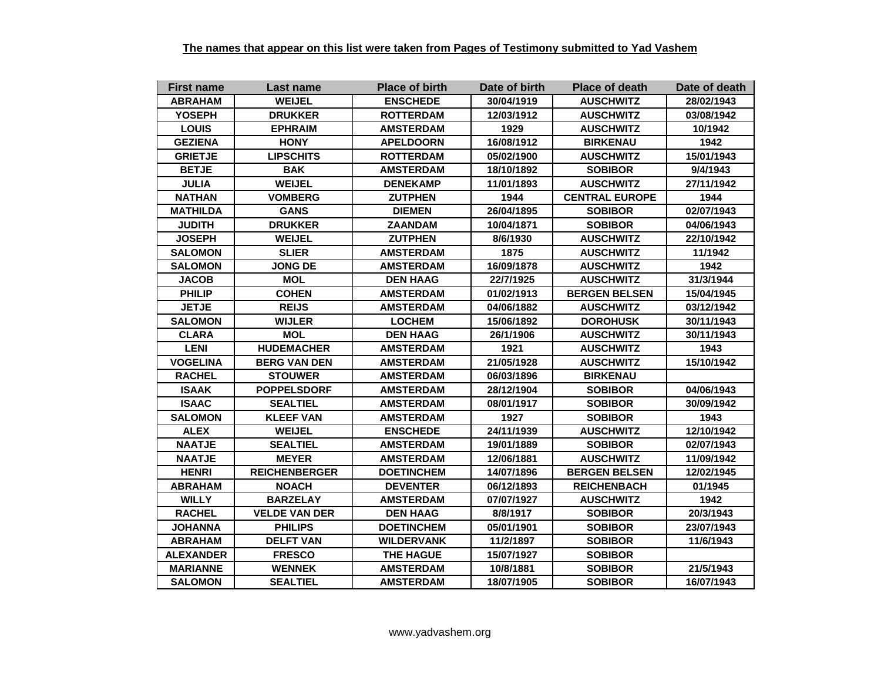| <b>First name</b> | Last name            | <b>Place of birth</b> | Date of birth | <b>Place of death</b> | Date of death                                            |  |
|-------------------|----------------------|-----------------------|---------------|-----------------------|----------------------------------------------------------|--|
| <b>ABRAHAM</b>    | <b>WEIJEL</b>        | <b>ENSCHEDE</b>       | 30/04/1919    | <b>AUSCHWITZ</b>      | 28/02/1943                                               |  |
| <b>YOSEPH</b>     | <b>DRUKKER</b>       | <b>ROTTERDAM</b>      | 12/03/1912    | <b>AUSCHWITZ</b>      | 03/08/1942                                               |  |
| <b>LOUIS</b>      | <b>EPHRAIM</b>       | <b>AMSTERDAM</b>      | 1929          | <b>AUSCHWITZ</b>      | 10/1942                                                  |  |
| <b>GEZIENA</b>    | <b>HONY</b>          | <b>APELDOORN</b>      | 16/08/1912    | <b>BIRKENAU</b>       | 1942                                                     |  |
| <b>GRIETJE</b>    | <b>LIPSCHITS</b>     | <b>ROTTERDAM</b>      | 05/02/1900    | <b>AUSCHWITZ</b>      | 15/01/1943                                               |  |
| <b>BETJE</b>      | <b>BAK</b>           | <b>AMSTERDAM</b>      | 18/10/1892    | <b>SOBIBOR</b>        | 9/4/1943                                                 |  |
| <b>JULIA</b>      | <b>WEIJEL</b>        | <b>DENEKAMP</b>       | 11/01/1893    | <b>AUSCHWITZ</b>      | 27/11/1942                                               |  |
| <b>NATHAN</b>     | <b>VOMBERG</b>       | <b>ZUTPHEN</b>        | 1944          | <b>CENTRAL EUROPE</b> | 1944                                                     |  |
| <b>MATHILDA</b>   | <b>GANS</b>          | <b>DIEMEN</b>         | 26/04/1895    | <b>SOBIBOR</b>        | 02/07/1943                                               |  |
| <b>JUDITH</b>     | <b>DRUKKER</b>       | <b>ZAANDAM</b>        | 10/04/1871    | <b>SOBIBOR</b>        | 04/06/1943                                               |  |
| <b>JOSEPH</b>     | <b>WEIJEL</b>        | <b>ZUTPHEN</b>        | 8/6/1930      | <b>AUSCHWITZ</b>      | 22/10/1942<br>11/1942<br>1942<br>31/3/1944<br>15/04/1945 |  |
| <b>SALOMON</b>    | <b>SLIER</b>         | <b>AMSTERDAM</b>      | 1875          | <b>AUSCHWITZ</b>      |                                                          |  |
| <b>SALOMON</b>    | <b>JONG DE</b>       | <b>AMSTERDAM</b>      | 16/09/1878    | <b>AUSCHWITZ</b>      |                                                          |  |
| <b>JACOB</b>      | <b>MOL</b>           | <b>DEN HAAG</b>       | 22/7/1925     | <b>AUSCHWITZ</b>      |                                                          |  |
| <b>PHILIP</b>     | <b>COHEN</b>         | <b>AMSTERDAM</b>      | 01/02/1913    | <b>BERGEN BELSEN</b>  |                                                          |  |
| <b>JETJE</b>      | <b>REIJS</b>         | <b>AMSTERDAM</b>      | 04/06/1882    | <b>AUSCHWITZ</b>      | 03/12/1942                                               |  |
| <b>SALOMON</b>    | <b>WIJLER</b>        | <b>LOCHEM</b>         | 15/06/1892    | <b>DOROHUSK</b>       | 30/11/1943                                               |  |
| <b>CLARA</b>      | <b>MOL</b>           | <b>DEN HAAG</b>       | 26/1/1906     | <b>AUSCHWITZ</b>      | 30/11/1943                                               |  |
| <b>LENI</b>       | <b>HUDEMACHER</b>    | <b>AMSTERDAM</b>      | 1921          | <b>AUSCHWITZ</b>      | 1943                                                     |  |
| <b>VOGELINA</b>   | <b>BERG VAN DEN</b>  | <b>AMSTERDAM</b>      | 21/05/1928    | <b>AUSCHWITZ</b>      | 15/10/1942                                               |  |
| <b>RACHEL</b>     | <b>STOUWER</b>       | <b>AMSTERDAM</b>      | 06/03/1896    | <b>BIRKENAU</b>       |                                                          |  |
| <b>ISAAK</b>      | <b>POPPELSDORF</b>   | <b>AMSTERDAM</b>      | 28/12/1904    | <b>SOBIBOR</b>        | 04/06/1943                                               |  |
| <b>ISAAC</b>      | <b>SEALTIEL</b>      | <b>AMSTERDAM</b>      | 08/01/1917    | <b>SOBIBOR</b>        | 30/09/1942                                               |  |
| <b>SALOMON</b>    | <b>KLEEF VAN</b>     | <b>AMSTERDAM</b>      | 1927          | <b>SOBIBOR</b>        | 1943                                                     |  |
| <b>ALEX</b>       | <b>WEIJEL</b>        | <b>ENSCHEDE</b>       | 24/11/1939    | <b>AUSCHWITZ</b>      | 12/10/1942                                               |  |
| <b>NAATJE</b>     | <b>SEALTIEL</b>      | <b>AMSTERDAM</b>      | 19/01/1889    | <b>SOBIBOR</b>        | 02/07/1943                                               |  |
| <b>NAATJE</b>     | <b>MEYER</b>         | <b>AMSTERDAM</b>      | 12/06/1881    | <b>AUSCHWITZ</b>      | 11/09/1942                                               |  |
| <b>HENRI</b>      | <b>REICHENBERGER</b> | <b>DOETINCHEM</b>     | 14/07/1896    | <b>BERGEN BELSEN</b>  | 12/02/1945                                               |  |
| <b>ABRAHAM</b>    | <b>NOACH</b>         | <b>DEVENTER</b>       | 06/12/1893    | <b>REICHENBACH</b>    | 01/1945                                                  |  |
| <b>WILLY</b>      | <b>BARZELAY</b>      | <b>AMSTERDAM</b>      | 07/07/1927    | <b>AUSCHWITZ</b>      | 1942                                                     |  |
| <b>RACHEL</b>     | <b>VELDE VAN DER</b> | <b>DEN HAAG</b>       | 8/8/1917      | <b>SOBIBOR</b>        | 20/3/1943                                                |  |
| <b>JOHANNA</b>    | <b>PHILIPS</b>       | <b>DOETINCHEM</b>     | 05/01/1901    | <b>SOBIBOR</b>        | 23/07/1943                                               |  |
| <b>ABRAHAM</b>    | <b>DELFT VAN</b>     | <b>WILDERVANK</b>     | 11/2/1897     | <b>SOBIBOR</b>        | 11/6/1943                                                |  |
| <b>ALEXANDER</b>  | <b>FRESCO</b>        | <b>THE HAGUE</b>      | 15/07/1927    | <b>SOBIBOR</b>        |                                                          |  |
| <b>MARIANNE</b>   | <b>WENNEK</b>        | <b>AMSTERDAM</b>      | 10/8/1881     | <b>SOBIBOR</b>        | 21/5/1943                                                |  |
| <b>SALOMON</b>    | <b>SEALTIEL</b>      | <b>AMSTERDAM</b>      | 18/07/1905    | <b>SOBIBOR</b>        | 16/07/1943                                               |  |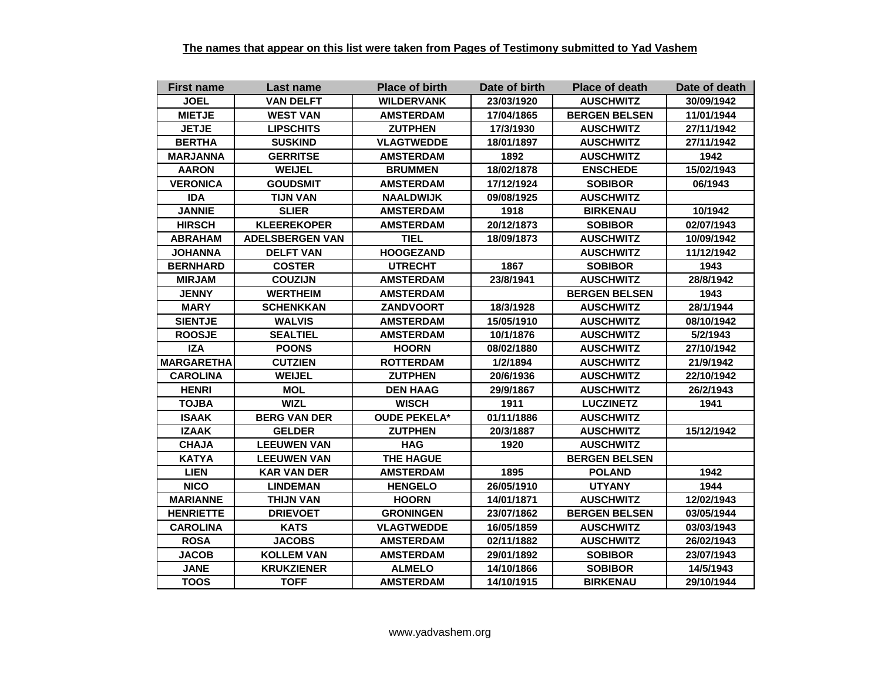| <b>First name</b> | Last name              | <b>Place of birth</b> | Date of birth | <b>Place of death</b> | Date of death |
|-------------------|------------------------|-----------------------|---------------|-----------------------|---------------|
| <b>JOEL</b>       | <b>VAN DELFT</b>       | <b>WILDERVANK</b>     | 23/03/1920    | <b>AUSCHWITZ</b>      | 30/09/1942    |
| <b>MIETJE</b>     | <b>WEST VAN</b>        | <b>AMSTERDAM</b>      | 17/04/1865    | <b>BERGEN BELSEN</b>  | 11/01/1944    |
| <b>JETJE</b>      | <b>LIPSCHITS</b>       | <b>ZUTPHEN</b>        | 17/3/1930     | <b>AUSCHWITZ</b>      | 27/11/1942    |
| <b>BERTHA</b>     | <b>SUSKIND</b>         | <b>VLAGTWEDDE</b>     | 18/01/1897    | <b>AUSCHWITZ</b>      | 27/11/1942    |
| <b>MARJANNA</b>   | <b>GERRITSE</b>        | <b>AMSTERDAM</b>      | 1892          | <b>AUSCHWITZ</b>      | 1942          |
| <b>AARON</b>      | <b>WEIJEL</b>          | <b>BRUMMEN</b>        | 18/02/1878    | <b>ENSCHEDE</b>       | 15/02/1943    |
| <b>VERONICA</b>   | <b>GOUDSMIT</b>        | <b>AMSTERDAM</b>      | 17/12/1924    | <b>SOBIBOR</b>        | 06/1943       |
| <b>IDA</b>        | <b>TIJN VAN</b>        | <b>NAALDWIJK</b>      | 09/08/1925    | <b>AUSCHWITZ</b>      |               |
| <b>JANNIE</b>     | <b>SLIER</b>           | <b>AMSTERDAM</b>      | 1918          | <b>BIRKENAU</b>       | 10/1942       |
| <b>HIRSCH</b>     | <b>KLEEREKOPER</b>     | <b>AMSTERDAM</b>      | 20/12/1873    | <b>SOBIBOR</b>        | 02/07/1943    |
| <b>ABRAHAM</b>    | <b>ADELSBERGEN VAN</b> | <b>TIEL</b>           | 18/09/1873    | <b>AUSCHWITZ</b>      | 10/09/1942    |
| <b>JOHANNA</b>    | <b>DELFT VAN</b>       | <b>HOOGEZAND</b>      |               | <b>AUSCHWITZ</b>      | 11/12/1942    |
| <b>BERNHARD</b>   | <b>COSTER</b>          | <b>UTRECHT</b>        | 1867          | <b>SOBIBOR</b>        | 1943          |
| <b>MIRJAM</b>     | <b>COUZIJN</b>         | <b>AMSTERDAM</b>      | 23/8/1941     | <b>AUSCHWITZ</b>      | 28/8/1942     |
| <b>JENNY</b>      | <b>WERTHEIM</b>        | <b>AMSTERDAM</b>      |               | <b>BERGEN BELSEN</b>  | 1943          |
| <b>MARY</b>       | <b>SCHENKKAN</b>       | <b>ZANDVOORT</b>      | 18/3/1928     | <b>AUSCHWITZ</b>      | 28/1/1944     |
| <b>SIENTJE</b>    | <b>WALVIS</b>          | <b>AMSTERDAM</b>      | 15/05/1910    | <b>AUSCHWITZ</b>      | 08/10/1942    |
| <b>ROOSJE</b>     | <b>SEALTIEL</b>        | <b>AMSTERDAM</b>      | 10/1/1876     | <b>AUSCHWITZ</b>      | 5/2/1943      |
| <b>IZA</b>        | <b>POONS</b>           | <b>HOORN</b>          | 08/02/1880    | <b>AUSCHWITZ</b>      | 27/10/1942    |
| <b>MARGARETHA</b> | <b>CUTZIEN</b>         | <b>ROTTERDAM</b>      | 1/2/1894      | <b>AUSCHWITZ</b>      | 21/9/1942     |
| <b>CAROLINA</b>   | <b>WEIJEL</b>          | <b>ZUTPHEN</b>        | 20/6/1936     | <b>AUSCHWITZ</b>      | 22/10/1942    |
| <b>HENRI</b>      | <b>MOL</b>             | <b>DEN HAAG</b>       | 29/9/1867     | <b>AUSCHWITZ</b>      | 26/2/1943     |
| <b>TOJBA</b>      | <b>WIZL</b>            | <b>WISCH</b>          | 1911          | <b>LUCZINETZ</b>      | 1941          |
| <b>ISAAK</b>      | <b>BERG VAN DER</b>    | <b>OUDE PEKELA*</b>   | 01/11/1886    | <b>AUSCHWITZ</b>      |               |
| <b>IZAAK</b>      | <b>GELDER</b>          | <b>ZUTPHEN</b>        | 20/3/1887     | <b>AUSCHWITZ</b>      | 15/12/1942    |
| <b>CHAJA</b>      | <b>LEEUWEN VAN</b>     | <b>HAG</b>            | 1920          | <b>AUSCHWITZ</b>      |               |
| <b>KATYA</b>      | <b>LEEUWEN VAN</b>     | <b>THE HAGUE</b>      |               | <b>BERGEN BELSEN</b>  |               |
| <b>LIEN</b>       | <b>KAR VAN DER</b>     | <b>AMSTERDAM</b>      | 1895          | <b>POLAND</b>         | 1942          |
| <b>NICO</b>       | <b>LINDEMAN</b>        | <b>HENGELO</b>        | 26/05/1910    | <b>UTYANY</b>         | 1944          |
| <b>MARIANNE</b>   | <b>THIJN VAN</b>       | <b>HOORN</b>          | 14/01/1871    | <b>AUSCHWITZ</b>      | 12/02/1943    |
| <b>HENRIETTE</b>  | <b>DRIEVOET</b>        | <b>GRONINGEN</b>      | 23/07/1862    | <b>BERGEN BELSEN</b>  | 03/05/1944    |
| <b>CAROLINA</b>   | <b>KATS</b>            | <b>VLAGTWEDDE</b>     | 16/05/1859    | <b>AUSCHWITZ</b>      | 03/03/1943    |
| <b>ROSA</b>       | <b>JACOBS</b>          | <b>AMSTERDAM</b>      | 02/11/1882    | <b>AUSCHWITZ</b>      | 26/02/1943    |
| <b>JACOB</b>      | <b>KOLLEM VAN</b>      | <b>AMSTERDAM</b>      | 29/01/1892    | <b>SOBIBOR</b>        | 23/07/1943    |
| <b>JANE</b>       | <b>KRUKZIENER</b>      | <b>ALMELO</b>         | 14/10/1866    | <b>SOBIBOR</b>        | 14/5/1943     |
| <b>TOOS</b>       | <b>TOFF</b>            | <b>AMSTERDAM</b>      | 14/10/1915    | <b>BIRKENAU</b>       | 29/10/1944    |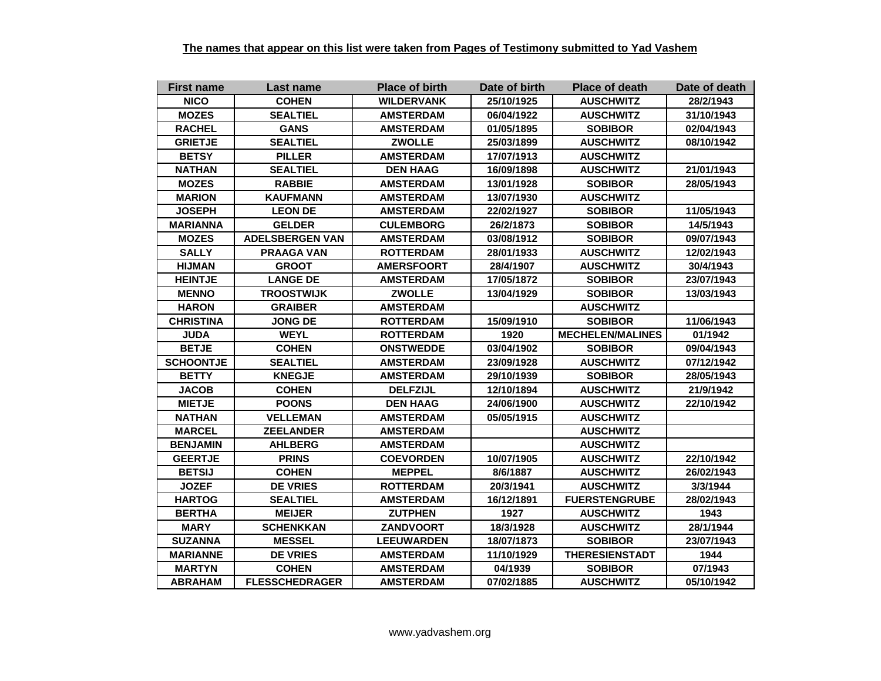| <b>First name</b> | Last name              | <b>Place of birth</b> | Date of birth | <b>Place of death</b>   | Date of death |
|-------------------|------------------------|-----------------------|---------------|-------------------------|---------------|
| <b>NICO</b>       | <b>COHEN</b>           | <b>WILDERVANK</b>     | 25/10/1925    | <b>AUSCHWITZ</b>        | 28/2/1943     |
| <b>MOZES</b>      | <b>SEALTIEL</b>        | <b>AMSTERDAM</b>      | 06/04/1922    | <b>AUSCHWITZ</b>        | 31/10/1943    |
| <b>RACHEL</b>     | <b>GANS</b>            | <b>AMSTERDAM</b>      | 01/05/1895    | <b>SOBIBOR</b>          | 02/04/1943    |
| <b>GRIETJE</b>    | <b>SEALTIEL</b>        | <b>ZWOLLE</b>         | 25/03/1899    | <b>AUSCHWITZ</b>        | 08/10/1942    |
| <b>BETSY</b>      | <b>PILLER</b>          | <b>AMSTERDAM</b>      | 17/07/1913    | <b>AUSCHWITZ</b>        |               |
| <b>NATHAN</b>     | <b>SEALTIEL</b>        | <b>DEN HAAG</b>       | 16/09/1898    | <b>AUSCHWITZ</b>        | 21/01/1943    |
| <b>MOZES</b>      | <b>RABBIE</b>          | <b>AMSTERDAM</b>      | 13/01/1928    | <b>SOBIBOR</b>          | 28/05/1943    |
| <b>MARION</b>     | <b>KAUFMANN</b>        | <b>AMSTERDAM</b>      | 13/07/1930    | <b>AUSCHWITZ</b>        |               |
| <b>JOSEPH</b>     | <b>LEON DE</b>         | <b>AMSTERDAM</b>      | 22/02/1927    | <b>SOBIBOR</b>          | 11/05/1943    |
| <b>MARIANNA</b>   | <b>GELDER</b>          | <b>CULEMBORG</b>      | 26/2/1873     | <b>SOBIBOR</b>          | 14/5/1943     |
| <b>MOZES</b>      | <b>ADELSBERGEN VAN</b> | <b>AMSTERDAM</b>      | 03/08/1912    | <b>SOBIBOR</b>          | 09/07/1943    |
| <b>SALLY</b>      | <b>PRAAGA VAN</b>      | <b>ROTTERDAM</b>      | 28/01/1933    | <b>AUSCHWITZ</b>        | 12/02/1943    |
| <b>HIJMAN</b>     | <b>GROOT</b>           | <b>AMERSFOORT</b>     | 28/4/1907     | <b>AUSCHWITZ</b>        | 30/4/1943     |
| <b>HEINTJE</b>    | <b>LANGE DE</b>        | <b>AMSTERDAM</b>      | 17/05/1872    | <b>SOBIBOR</b>          | 23/07/1943    |
| <b>MENNO</b>      | <b>TROOSTWIJK</b>      | <b>ZWOLLE</b>         | 13/04/1929    | <b>SOBIBOR</b>          | 13/03/1943    |
| <b>HARON</b>      | <b>GRAIBER</b>         | <b>AMSTERDAM</b>      |               | <b>AUSCHWITZ</b>        |               |
| <b>CHRISTINA</b>  | <b>JONG DE</b>         | <b>ROTTERDAM</b>      | 15/09/1910    | <b>SOBIBOR</b>          | 11/06/1943    |
| <b>JUDA</b>       | <b>WEYL</b>            | <b>ROTTERDAM</b>      | 1920          | <b>MECHELEN/MALINES</b> | 01/1942       |
| <b>BETJE</b>      | <b>COHEN</b>           | <b>ONSTWEDDE</b>      | 03/04/1902    | <b>SOBIBOR</b>          | 09/04/1943    |
| <b>SCHOONTJE</b>  | <b>SEALTIEL</b>        | <b>AMSTERDAM</b>      | 23/09/1928    | <b>AUSCHWITZ</b>        | 07/12/1942    |
| <b>BETTY</b>      | <b>KNEGJE</b>          | <b>AMSTERDAM</b>      | 29/10/1939    | <b>SOBIBOR</b>          | 28/05/1943    |
| <b>JACOB</b>      | <b>COHEN</b>           | <b>DELFZIJL</b>       | 12/10/1894    | <b>AUSCHWITZ</b>        | 21/9/1942     |
| <b>MIETJE</b>     | <b>POONS</b>           | <b>DEN HAAG</b>       | 24/06/1900    | <b>AUSCHWITZ</b>        | 22/10/1942    |
| <b>NATHAN</b>     | <b>VELLEMAN</b>        | <b>AMSTERDAM</b>      | 05/05/1915    | <b>AUSCHWITZ</b>        |               |
| <b>MARCEL</b>     | <b>ZEELANDER</b>       | <b>AMSTERDAM</b>      |               | <b>AUSCHWITZ</b>        |               |
| <b>BENJAMIN</b>   | <b>AHLBERG</b>         | <b>AMSTERDAM</b>      |               | <b>AUSCHWITZ</b>        |               |
| <b>GEERTJE</b>    | <b>PRINS</b>           | <b>COEVORDEN</b>      | 10/07/1905    | <b>AUSCHWITZ</b>        | 22/10/1942    |
| <b>BETSIJ</b>     | <b>COHEN</b>           | <b>MEPPEL</b>         | 8/6/1887      | <b>AUSCHWITZ</b>        | 26/02/1943    |
| <b>JOZEF</b>      | <b>DE VRIES</b>        | <b>ROTTERDAM</b>      | 20/3/1941     | <b>AUSCHWITZ</b>        | 3/3/1944      |
| <b>HARTOG</b>     | <b>SEALTIEL</b>        | <b>AMSTERDAM</b>      | 16/12/1891    | <b>FUERSTENGRUBE</b>    | 28/02/1943    |
| <b>BERTHA</b>     | <b>MEIJER</b>          | <b>ZUTPHEN</b>        | 1927          | <b>AUSCHWITZ</b>        | 1943          |
| <b>MARY</b>       | <b>SCHENKKAN</b>       | <b>ZANDVOORT</b>      | 18/3/1928     | <b>AUSCHWITZ</b>        | 28/1/1944     |
| <b>SUZANNA</b>    | <b>MESSEL</b>          | <b>LEEUWARDEN</b>     | 18/07/1873    | <b>SOBIBOR</b>          | 23/07/1943    |
| <b>MARIANNE</b>   | <b>DE VRIES</b>        | <b>AMSTERDAM</b>      | 11/10/1929    | <b>THERESIENSTADT</b>   | 1944          |
| <b>MARTYN</b>     | <b>COHEN</b>           | <b>AMSTERDAM</b>      | 04/1939       | <b>SOBIBOR</b>          | 07/1943       |
| <b>ABRAHAM</b>    | <b>FLESSCHEDRAGER</b>  | <b>AMSTERDAM</b>      | 07/02/1885    | <b>AUSCHWITZ</b>        | 05/10/1942    |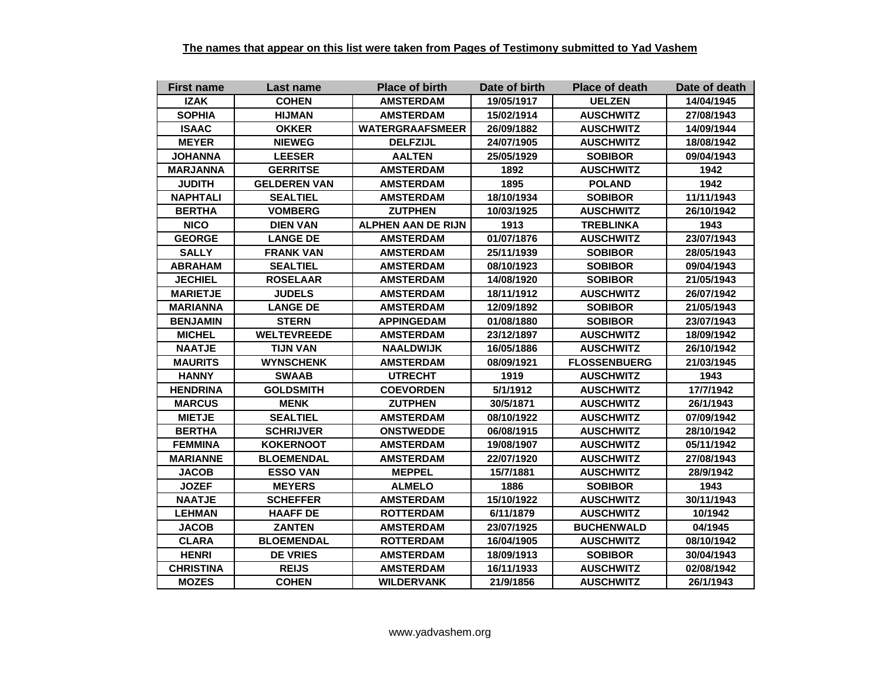| <b>First name</b> | Last name           | <b>Place of birth</b>     | Date of birth | <b>Place of death</b> | Date of death |
|-------------------|---------------------|---------------------------|---------------|-----------------------|---------------|
| <b>IZAK</b>       | <b>COHEN</b>        | <b>AMSTERDAM</b>          | 19/05/1917    | <b>UELZEN</b>         | 14/04/1945    |
| <b>SOPHIA</b>     | <b>HIJMAN</b>       | <b>AMSTERDAM</b>          | 15/02/1914    | <b>AUSCHWITZ</b>      | 27/08/1943    |
| <b>ISAAC</b>      | <b>OKKER</b>        | <b>WATERGRAAFSMEER</b>    | 26/09/1882    | <b>AUSCHWITZ</b>      | 14/09/1944    |
| <b>MEYER</b>      | <b>NIEWEG</b>       | <b>DELFZIJL</b>           | 24/07/1905    | <b>AUSCHWITZ</b>      | 18/08/1942    |
| <b>JOHANNA</b>    | <b>LEESER</b>       | <b>AALTEN</b>             | 25/05/1929    | <b>SOBIBOR</b>        | 09/04/1943    |
| <b>MARJANNA</b>   | <b>GERRITSE</b>     | <b>AMSTERDAM</b>          | 1892          | <b>AUSCHWITZ</b>      | 1942          |
| <b>JUDITH</b>     | <b>GELDEREN VAN</b> | <b>AMSTERDAM</b>          | 1895          | <b>POLAND</b>         | 1942          |
| <b>NAPHTALI</b>   | <b>SEALTIEL</b>     | <b>AMSTERDAM</b>          | 18/10/1934    | <b>SOBIBOR</b>        | 11/11/1943    |
| <b>BERTHA</b>     | <b>VOMBERG</b>      | <b>ZUTPHEN</b>            | 10/03/1925    | <b>AUSCHWITZ</b>      | 26/10/1942    |
| <b>NICO</b>       | <b>DIEN VAN</b>     | <b>ALPHEN AAN DE RIJN</b> | 1913          | <b>TREBLINKA</b>      | 1943          |
| <b>GEORGE</b>     | <b>LANGE DE</b>     | <b>AMSTERDAM</b>          | 01/07/1876    | <b>AUSCHWITZ</b>      | 23/07/1943    |
| <b>SALLY</b>      | <b>FRANK VAN</b>    | <b>AMSTERDAM</b>          | 25/11/1939    | <b>SOBIBOR</b>        | 28/05/1943    |
| <b>ABRAHAM</b>    | <b>SEALTIEL</b>     | <b>AMSTERDAM</b>          | 08/10/1923    | <b>SOBIBOR</b>        | 09/04/1943    |
| <b>JECHIEL</b>    | <b>ROSELAAR</b>     | <b>AMSTERDAM</b>          | 14/08/1920    | <b>SOBIBOR</b>        | 21/05/1943    |
| <b>MARIETJE</b>   | <b>JUDELS</b>       | <b>AMSTERDAM</b>          | 18/11/1912    | <b>AUSCHWITZ</b>      | 26/07/1942    |
| <b>MARIANNA</b>   | <b>LANGE DE</b>     | <b>AMSTERDAM</b>          | 12/09/1892    | <b>SOBIBOR</b>        | 21/05/1943    |
| <b>BENJAMIN</b>   | <b>STERN</b>        | <b>APPINGEDAM</b>         | 01/08/1880    | <b>SOBIBOR</b>        | 23/07/1943    |
| <b>MICHEL</b>     | <b>WELTEVREEDE</b>  | <b>AMSTERDAM</b>          | 23/12/1897    | <b>AUSCHWITZ</b>      | 18/09/1942    |
| <b>NAATJE</b>     | <b>TIJN VAN</b>     | <b>NAALDWIJK</b>          | 16/05/1886    | <b>AUSCHWITZ</b>      | 26/10/1942    |
| <b>MAURITS</b>    | <b>WYNSCHENK</b>    | <b>AMSTERDAM</b>          | 08/09/1921    | <b>FLOSSENBUERG</b>   | 21/03/1945    |
| <b>HANNY</b>      | <b>SWAAB</b>        | <b>UTRECHT</b>            | 1919          | <b>AUSCHWITZ</b>      | 1943          |
| <b>HENDRINA</b>   | <b>GOLDSMITH</b>    | <b>COEVORDEN</b>          | 5/1/1912      | <b>AUSCHWITZ</b>      | 17/7/1942     |
| <b>MARCUS</b>     | <b>MENK</b>         | <b>ZUTPHEN</b>            | 30/5/1871     | <b>AUSCHWITZ</b>      | 26/1/1943     |
| <b>MIETJE</b>     | <b>SEALTIEL</b>     | <b>AMSTERDAM</b>          | 08/10/1922    | <b>AUSCHWITZ</b>      | 07/09/1942    |
| <b>BERTHA</b>     | <b>SCHRIJVER</b>    | <b>ONSTWEDDE</b>          | 06/08/1915    | <b>AUSCHWITZ</b>      | 28/10/1942    |
| <b>FEMMINA</b>    | <b>KOKERNOOT</b>    | <b>AMSTERDAM</b>          | 19/08/1907    | <b>AUSCHWITZ</b>      | 05/11/1942    |
| <b>MARIANNE</b>   | <b>BLOEMENDAL</b>   | <b>AMSTERDAM</b>          | 22/07/1920    | <b>AUSCHWITZ</b>      | 27/08/1943    |
| <b>JACOB</b>      | <b>ESSO VAN</b>     | <b>MEPPEL</b>             | 15/7/1881     | <b>AUSCHWITZ</b>      | 28/9/1942     |
| <b>JOZEF</b>      | <b>MEYERS</b>       | <b>ALMELO</b>             | 1886          | <b>SOBIBOR</b>        | 1943          |
| <b>NAATJE</b>     | <b>SCHEFFER</b>     | <b>AMSTERDAM</b>          | 15/10/1922    | <b>AUSCHWITZ</b>      | 30/11/1943    |
| <b>LEHMAN</b>     | <b>HAAFF DE</b>     | <b>ROTTERDAM</b>          | 6/11/1879     | <b>AUSCHWITZ</b>      | 10/1942       |
| <b>JACOB</b>      | <b>ZANTEN</b>       | <b>AMSTERDAM</b>          | 23/07/1925    | <b>BUCHENWALD</b>     | 04/1945       |
| <b>CLARA</b>      | <b>BLOEMENDAL</b>   | <b>ROTTERDAM</b>          | 16/04/1905    | <b>AUSCHWITZ</b>      | 08/10/1942    |
| <b>HENRI</b>      | <b>DE VRIES</b>     | <b>AMSTERDAM</b>          | 18/09/1913    | <b>SOBIBOR</b>        | 30/04/1943    |
| <b>CHRISTINA</b>  | <b>REIJS</b>        | <b>AMSTERDAM</b>          | 16/11/1933    | <b>AUSCHWITZ</b>      | 02/08/1942    |
| <b>MOZES</b>      | <b>COHEN</b>        | <b>WILDERVANK</b>         | 21/9/1856     | <b>AUSCHWITZ</b>      | 26/1/1943     |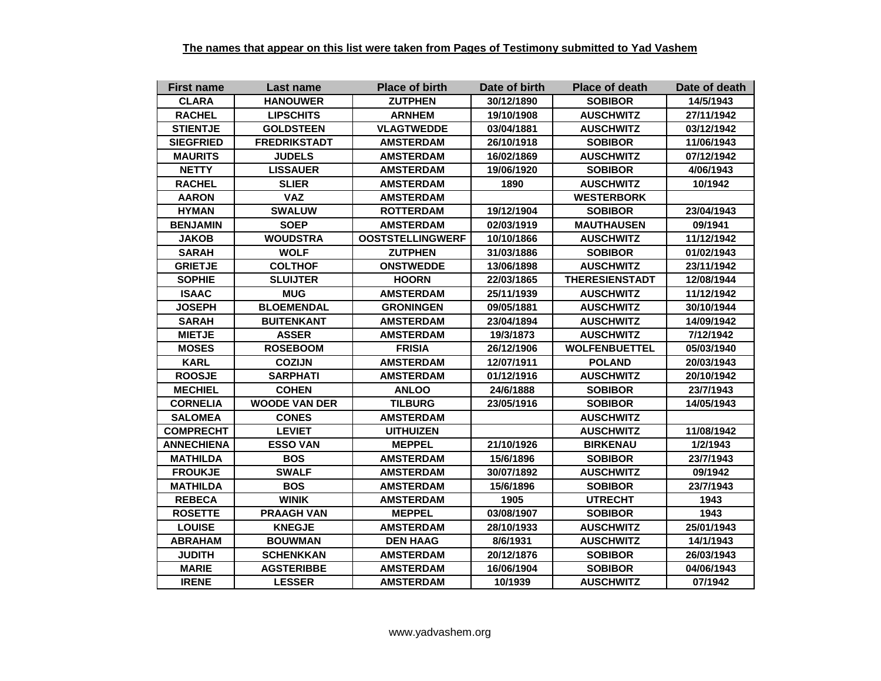| <b>First name</b> | Last name            | <b>Place of birth</b>   | Date of birth | <b>Place of death</b> | Date of death |
|-------------------|----------------------|-------------------------|---------------|-----------------------|---------------|
| <b>CLARA</b>      | <b>HANOUWER</b>      | <b>ZUTPHEN</b>          | 30/12/1890    | <b>SOBIBOR</b>        | 14/5/1943     |
| <b>RACHEL</b>     | <b>LIPSCHITS</b>     | <b>ARNHEM</b>           | 19/10/1908    | <b>AUSCHWITZ</b>      | 27/11/1942    |
| <b>STIENTJE</b>   | <b>GOLDSTEEN</b>     | <b>VLAGTWEDDE</b>       | 03/04/1881    | <b>AUSCHWITZ</b>      | 03/12/1942    |
| <b>SIEGFRIED</b>  | <b>FREDRIKSTADT</b>  | <b>AMSTERDAM</b>        | 26/10/1918    | <b>SOBIBOR</b>        | 11/06/1943    |
| <b>MAURITS</b>    | <b>JUDELS</b>        | <b>AMSTERDAM</b>        | 16/02/1869    | <b>AUSCHWITZ</b>      | 07/12/1942    |
| <b>NETTY</b>      | <b>LISSAUER</b>      | <b>AMSTERDAM</b>        | 19/06/1920    | <b>SOBIBOR</b>        | 4/06/1943     |
| <b>RACHEL</b>     | <b>SLIER</b>         | <b>AMSTERDAM</b>        | 1890          | <b>AUSCHWITZ</b>      | 10/1942       |
| <b>AARON</b>      | <b>VAZ</b>           | <b>AMSTERDAM</b>        |               | <b>WESTERBORK</b>     |               |
| <b>HYMAN</b>      | <b>SWALUW</b>        | <b>ROTTERDAM</b>        | 19/12/1904    | <b>SOBIBOR</b>        | 23/04/1943    |
| <b>BENJAMIN</b>   | <b>SOEP</b>          | <b>AMSTERDAM</b>        | 02/03/1919    | <b>MAUTHAUSEN</b>     | 09/1941       |
| <b>JAKOB</b>      | <b>WOUDSTRA</b>      | <b>OOSTSTELLINGWERF</b> | 10/10/1866    | <b>AUSCHWITZ</b>      | 11/12/1942    |
| <b>SARAH</b>      | <b>WOLF</b>          | <b>ZUTPHEN</b>          | 31/03/1886    | <b>SOBIBOR</b>        | 01/02/1943    |
| <b>GRIETJE</b>    | <b>COLTHOF</b>       | <b>ONSTWEDDE</b>        | 13/06/1898    | <b>AUSCHWITZ</b>      | 23/11/1942    |
| <b>SOPHIE</b>     | <b>SLUIJTER</b>      | <b>HOORN</b>            | 22/03/1865    | <b>THERESIENSTADT</b> | 12/08/1944    |
| <b>ISAAC</b>      | <b>MUG</b>           | <b>AMSTERDAM</b>        | 25/11/1939    | <b>AUSCHWITZ</b>      | 11/12/1942    |
| <b>JOSEPH</b>     | <b>BLOEMENDAL</b>    | <b>GRONINGEN</b>        | 09/05/1881    | <b>AUSCHWITZ</b>      | 30/10/1944    |
| <b>SARAH</b>      | <b>BUITENKANT</b>    | <b>AMSTERDAM</b>        | 23/04/1894    | <b>AUSCHWITZ</b>      | 14/09/1942    |
| <b>MIETJE</b>     | <b>ASSER</b>         | <b>AMSTERDAM</b>        | 19/3/1873     | <b>AUSCHWITZ</b>      | 7/12/1942     |
| <b>MOSES</b>      | <b>ROSEBOOM</b>      | <b>FRISIA</b>           | 26/12/1906    | <b>WOLFENBUETTEL</b>  | 05/03/1940    |
| <b>KARL</b>       | <b>COZIJN</b>        | <b>AMSTERDAM</b>        | 12/07/1911    | <b>POLAND</b>         | 20/03/1943    |
| <b>ROOSJE</b>     | <b>SARPHATI</b>      | <b>AMSTERDAM</b>        | 01/12/1916    | <b>AUSCHWITZ</b>      | 20/10/1942    |
| <b>MECHIEL</b>    | <b>COHEN</b>         | <b>ANLOO</b>            | 24/6/1888     | <b>SOBIBOR</b>        | 23/7/1943     |
| <b>CORNELIA</b>   | <b>WOODE VAN DER</b> | <b>TILBURG</b>          | 23/05/1916    | <b>SOBIBOR</b>        | 14/05/1943    |
| <b>SALOMEA</b>    | <b>CONES</b>         | <b>AMSTERDAM</b>        |               | <b>AUSCHWITZ</b>      |               |
| <b>COMPRECHT</b>  | <b>LEVIET</b>        | <b>UITHUIZEN</b>        |               | <b>AUSCHWITZ</b>      | 11/08/1942    |
| <b>ANNECHIENA</b> | <b>ESSO VAN</b>      | <b>MEPPEL</b>           | 21/10/1926    | <b>BIRKENAU</b>       | 1/2/1943      |
| <b>MATHILDA</b>   | <b>BOS</b>           | <b>AMSTERDAM</b>        | 15/6/1896     | <b>SOBIBOR</b>        | 23/7/1943     |
| <b>FROUKJE</b>    | <b>SWALF</b>         | <b>AMSTERDAM</b>        | 30/07/1892    | <b>AUSCHWITZ</b>      | 09/1942       |
| <b>MATHILDA</b>   | <b>BOS</b>           | <b>AMSTERDAM</b>        | 15/6/1896     | <b>SOBIBOR</b>        | 23/7/1943     |
| <b>REBECA</b>     | <b>WINIK</b>         | <b>AMSTERDAM</b>        | 1905          | <b>UTRECHT</b>        | 1943          |
| <b>ROSETTE</b>    | <b>PRAAGH VAN</b>    | <b>MEPPEL</b>           | 03/08/1907    | <b>SOBIBOR</b>        | 1943          |
| <b>LOUISE</b>     | <b>KNEGJE</b>        | <b>AMSTERDAM</b>        | 28/10/1933    | <b>AUSCHWITZ</b>      | 25/01/1943    |
| <b>ABRAHAM</b>    | <b>BOUWMAN</b>       | <b>DEN HAAG</b>         | 8/6/1931      | <b>AUSCHWITZ</b>      | 14/1/1943     |
| <b>JUDITH</b>     | <b>SCHENKKAN</b>     | <b>AMSTERDAM</b>        | 20/12/1876    | <b>SOBIBOR</b>        | 26/03/1943    |
| <b>MARIE</b>      | <b>AGSTERIBBE</b>    | <b>AMSTERDAM</b>        | 16/06/1904    | <b>SOBIBOR</b>        | 04/06/1943    |
| <b>IRENE</b>      | <b>LESSER</b>        | <b>AMSTERDAM</b>        | 10/1939       | <b>AUSCHWITZ</b>      | 07/1942       |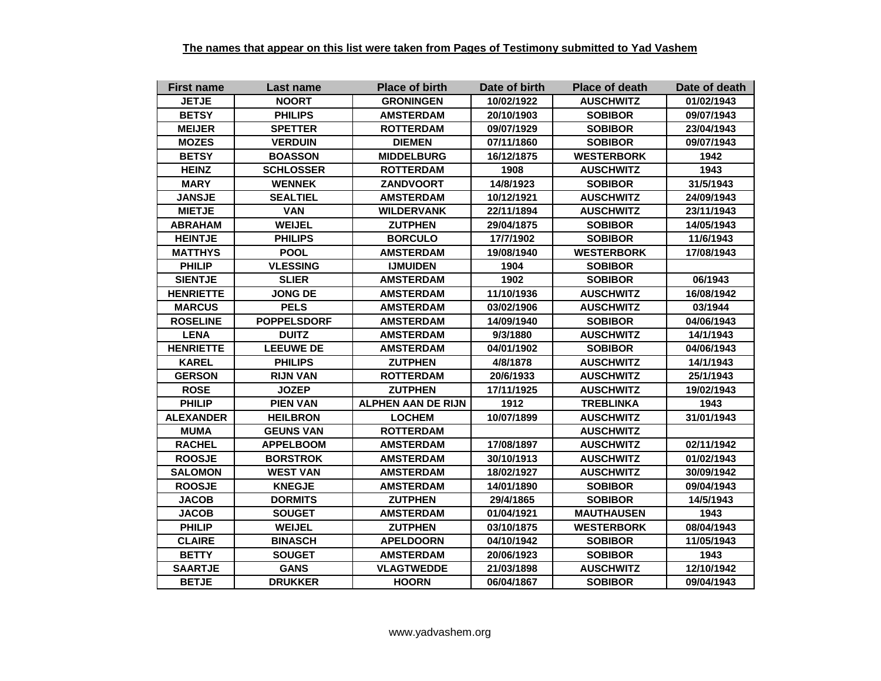| <b>First name</b> | Last name          | <b>Place of birth</b>     | Date of birth | <b>Place of death</b> | Date of death |
|-------------------|--------------------|---------------------------|---------------|-----------------------|---------------|
| <b>JETJE</b>      | <b>NOORT</b>       | <b>GRONINGEN</b>          | 10/02/1922    | <b>AUSCHWITZ</b>      | 01/02/1943    |
| <b>BETSY</b>      | <b>PHILIPS</b>     | <b>AMSTERDAM</b>          | 20/10/1903    | <b>SOBIBOR</b>        | 09/07/1943    |
| <b>MEIJER</b>     | <b>SPETTER</b>     | <b>ROTTERDAM</b>          | 09/07/1929    | <b>SOBIBOR</b>        | 23/04/1943    |
| <b>MOZES</b>      | <b>VERDUIN</b>     | <b>DIEMEN</b>             | 07/11/1860    | <b>SOBIBOR</b>        | 09/07/1943    |
| <b>BETSY</b>      | <b>BOASSON</b>     | <b>MIDDELBURG</b>         | 16/12/1875    | <b>WESTERBORK</b>     | 1942          |
| <b>HEINZ</b>      | <b>SCHLOSSER</b>   | <b>ROTTERDAM</b>          | 1908          | <b>AUSCHWITZ</b>      | 1943          |
| <b>MARY</b>       | <b>WENNEK</b>      | <b>ZANDVOORT</b>          | 14/8/1923     | <b>SOBIBOR</b>        | 31/5/1943     |
| <b>JANSJE</b>     | <b>SEALTIEL</b>    | <b>AMSTERDAM</b>          | 10/12/1921    | <b>AUSCHWITZ</b>      | 24/09/1943    |
| <b>MIETJE</b>     | <b>VAN</b>         | <b>WILDERVANK</b>         | 22/11/1894    | <b>AUSCHWITZ</b>      | 23/11/1943    |
| <b>ABRAHAM</b>    | <b>WEIJEL</b>      | <b>ZUTPHEN</b>            | 29/04/1875    | <b>SOBIBOR</b>        | 14/05/1943    |
| <b>HEINTJE</b>    | <b>PHILIPS</b>     | <b>BORCULO</b>            | 17/7/1902     | <b>SOBIBOR</b>        | 11/6/1943     |
| <b>MATTHYS</b>    | <b>POOL</b>        | <b>AMSTERDAM</b>          | 19/08/1940    | <b>WESTERBORK</b>     | 17/08/1943    |
| <b>PHILIP</b>     | <b>VLESSING</b>    | <b>IJMUIDEN</b>           | 1904          | <b>SOBIBOR</b>        |               |
| <b>SIENTJE</b>    | <b>SLIER</b>       | <b>AMSTERDAM</b>          | 1902          | <b>SOBIBOR</b>        | 06/1943       |
| <b>HENRIETTE</b>  | <b>JONG DE</b>     | <b>AMSTERDAM</b>          | 11/10/1936    | <b>AUSCHWITZ</b>      | 16/08/1942    |
| <b>MARCUS</b>     | <b>PELS</b>        | <b>AMSTERDAM</b>          | 03/02/1906    | <b>AUSCHWITZ</b>      | 03/1944       |
| <b>ROSELINE</b>   | <b>POPPELSDORF</b> | <b>AMSTERDAM</b>          | 14/09/1940    | <b>SOBIBOR</b>        | 04/06/1943    |
| <b>LENA</b>       | <b>DUITZ</b>       | <b>AMSTERDAM</b>          | 9/3/1880      | <b>AUSCHWITZ</b>      | 14/1/1943     |
| <b>HENRIETTE</b>  | <b>LEEUWE DE</b>   | <b>AMSTERDAM</b>          | 04/01/1902    | <b>SOBIBOR</b>        | 04/06/1943    |
| <b>KAREL</b>      | <b>PHILIPS</b>     | <b>ZUTPHEN</b>            | 4/8/1878      | <b>AUSCHWITZ</b>      | 14/1/1943     |
| <b>GERSON</b>     | <b>RIJN VAN</b>    | <b>ROTTERDAM</b>          | 20/6/1933     | <b>AUSCHWITZ</b>      | 25/1/1943     |
| <b>ROSE</b>       | <b>JOZEP</b>       | <b>ZUTPHEN</b>            | 17/11/1925    | <b>AUSCHWITZ</b>      | 19/02/1943    |
| <b>PHILIP</b>     | <b>PIEN VAN</b>    | <b>ALPHEN AAN DE RIJN</b> | 1912          | <b>TREBLINKA</b>      | 1943          |
| <b>ALEXANDER</b>  | <b>HEILBRON</b>    | <b>LOCHEM</b>             | 10/07/1899    | <b>AUSCHWITZ</b>      | 31/01/1943    |
| <b>MUMA</b>       | <b>GEUNS VAN</b>   | <b>ROTTERDAM</b>          |               | <b>AUSCHWITZ</b>      |               |
| <b>RACHEL</b>     | <b>APPELBOOM</b>   | <b>AMSTERDAM</b>          | 17/08/1897    | <b>AUSCHWITZ</b>      | 02/11/1942    |
| <b>ROOSJE</b>     | <b>BORSTROK</b>    | <b>AMSTERDAM</b>          | 30/10/1913    | <b>AUSCHWITZ</b>      | 01/02/1943    |
| <b>SALOMON</b>    | <b>WEST VAN</b>    | <b>AMSTERDAM</b>          | 18/02/1927    | <b>AUSCHWITZ</b>      | 30/09/1942    |
| <b>ROOSJE</b>     | <b>KNEGJE</b>      | <b>AMSTERDAM</b>          | 14/01/1890    | <b>SOBIBOR</b>        | 09/04/1943    |
| <b>JACOB</b>      | <b>DORMITS</b>     | <b>ZUTPHEN</b>            | 29/4/1865     | <b>SOBIBOR</b>        | 14/5/1943     |
| <b>JACOB</b>      | <b>SOUGET</b>      | <b>AMSTERDAM</b>          | 01/04/1921    | <b>MAUTHAUSEN</b>     | 1943          |
| <b>PHILIP</b>     | <b>WEIJEL</b>      | <b>ZUTPHEN</b>            | 03/10/1875    | <b>WESTERBORK</b>     | 08/04/1943    |
| <b>CLAIRE</b>     | <b>BINASCH</b>     | <b>APELDOORN</b>          | 04/10/1942    | <b>SOBIBOR</b>        | 11/05/1943    |
| <b>BETTY</b>      | <b>SOUGET</b>      | <b>AMSTERDAM</b>          | 20/06/1923    | <b>SOBIBOR</b>        | 1943          |
| <b>SAARTJE</b>    | <b>GANS</b>        | <b>VLAGTWEDDE</b>         | 21/03/1898    | <b>AUSCHWITZ</b>      | 12/10/1942    |
| <b>BETJE</b>      | <b>DRUKKER</b>     | <b>HOORN</b>              | 06/04/1867    | <b>SOBIBOR</b>        | 09/04/1943    |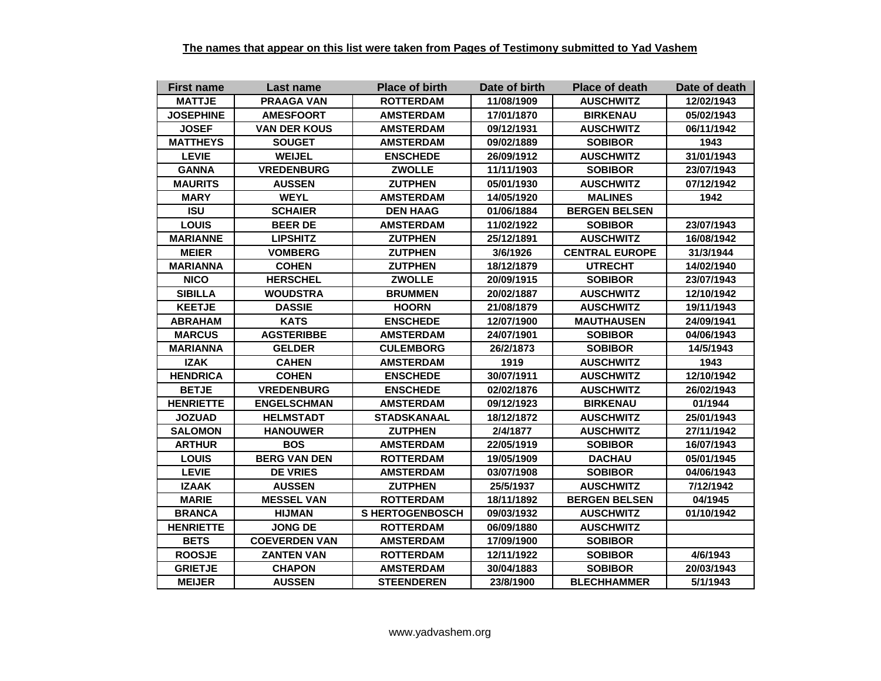| <b>First name</b> | Last name            | <b>Place of birth</b> | Date of birth | <b>Place of death</b> | Date of death |
|-------------------|----------------------|-----------------------|---------------|-----------------------|---------------|
| <b>MATTJE</b>     | <b>PRAAGA VAN</b>    | <b>ROTTERDAM</b>      | 11/08/1909    | <b>AUSCHWITZ</b>      | 12/02/1943    |
| <b>JOSEPHINE</b>  | <b>AMESFOORT</b>     | <b>AMSTERDAM</b>      | 17/01/1870    | <b>BIRKENAU</b>       | 05/02/1943    |
| <b>JOSEF</b>      | <b>VAN DER KOUS</b>  | <b>AMSTERDAM</b>      | 09/12/1931    | <b>AUSCHWITZ</b>      | 06/11/1942    |
| <b>MATTHEYS</b>   | <b>SOUGET</b>        | <b>AMSTERDAM</b>      | 09/02/1889    | <b>SOBIBOR</b>        | 1943          |
| <b>LEVIE</b>      | <b>WEIJEL</b>        | <b>ENSCHEDE</b>       | 26/09/1912    | <b>AUSCHWITZ</b>      | 31/01/1943    |
| <b>GANNA</b>      | <b>VREDENBURG</b>    | <b>ZWOLLE</b>         | 11/11/1903    | <b>SOBIBOR</b>        | 23/07/1943    |
| <b>MAURITS</b>    | <b>AUSSEN</b>        | <b>ZUTPHEN</b>        | 05/01/1930    | <b>AUSCHWITZ</b>      | 07/12/1942    |
| <b>MARY</b>       | <b>WEYL</b>          | <b>AMSTERDAM</b>      | 14/05/1920    | <b>MALINES</b>        | 1942          |
| <b>ISU</b>        | <b>SCHAIER</b>       | <b>DEN HAAG</b>       | 01/06/1884    | <b>BERGEN BELSEN</b>  |               |
| <b>LOUIS</b>      | <b>BEER DE</b>       | <b>AMSTERDAM</b>      | 11/02/1922    | <b>SOBIBOR</b>        | 23/07/1943    |
| <b>MARIANNE</b>   | <b>LIPSHITZ</b>      | <b>ZUTPHEN</b>        | 25/12/1891    | <b>AUSCHWITZ</b>      | 16/08/1942    |
| <b>MEIER</b>      | <b>VOMBERG</b>       | <b>ZUTPHEN</b>        | 3/6/1926      | <b>CENTRAL EUROPE</b> | 31/3/1944     |
| <b>MARIANNA</b>   | <b>COHEN</b>         | <b>ZUTPHEN</b>        | 18/12/1879    | <b>UTRECHT</b>        | 14/02/1940    |
| <b>NICO</b>       | <b>HERSCHEL</b>      | <b>ZWOLLE</b>         | 20/09/1915    | <b>SOBIBOR</b>        | 23/07/1943    |
| <b>SIBILLA</b>    | <b>WOUDSTRA</b>      | <b>BRUMMEN</b>        | 20/02/1887    | <b>AUSCHWITZ</b>      | 12/10/1942    |
| <b>KEETJE</b>     | <b>DASSIE</b>        | <b>HOORN</b>          | 21/08/1879    | <b>AUSCHWITZ</b>      | 19/11/1943    |
| <b>ABRAHAM</b>    | <b>KATS</b>          | <b>ENSCHEDE</b>       | 12/07/1900    | <b>MAUTHAUSEN</b>     | 24/09/1941    |
| <b>MARCUS</b>     | <b>AGSTERIBBE</b>    | <b>AMSTERDAM</b>      | 24/07/1901    | <b>SOBIBOR</b>        | 04/06/1943    |
| <b>MARIANNA</b>   | <b>GELDER</b>        | <b>CULEMBORG</b>      | 26/2/1873     | <b>SOBIBOR</b>        | 14/5/1943     |
| <b>IZAK</b>       | <b>CAHEN</b>         | <b>AMSTERDAM</b>      | 1919          | <b>AUSCHWITZ</b>      | 1943          |
| <b>HENDRICA</b>   | <b>COHEN</b>         | <b>ENSCHEDE</b>       | 30/07/1911    | <b>AUSCHWITZ</b>      | 12/10/1942    |
| <b>BETJE</b>      | <b>VREDENBURG</b>    | <b>ENSCHEDE</b>       | 02/02/1876    | <b>AUSCHWITZ</b>      | 26/02/1943    |
| <b>HENRIETTE</b>  | <b>ENGELSCHMAN</b>   | <b>AMSTERDAM</b>      | 09/12/1923    | <b>BIRKENAU</b>       | 01/1944       |
| <b>JOZUAD</b>     | <b>HELMSTADT</b>     | <b>STADSKANAAL</b>    | 18/12/1872    | <b>AUSCHWITZ</b>      | 25/01/1943    |
| <b>SALOMON</b>    | <b>HANOUWER</b>      | <b>ZUTPHEN</b>        | 2/4/1877      | <b>AUSCHWITZ</b>      | 27/11/1942    |
| <b>ARTHUR</b>     | <b>BOS</b>           | <b>AMSTERDAM</b>      | 22/05/1919    | <b>SOBIBOR</b>        | 16/07/1943    |
| <b>LOUIS</b>      | <b>BERG VAN DEN</b>  | <b>ROTTERDAM</b>      | 19/05/1909    | <b>DACHAU</b>         | 05/01/1945    |
| <b>LEVIE</b>      | <b>DE VRIES</b>      | <b>AMSTERDAM</b>      | 03/07/1908    | <b>SOBIBOR</b>        | 04/06/1943    |
| <b>IZAAK</b>      | <b>AUSSEN</b>        | <b>ZUTPHEN</b>        | 25/5/1937     | <b>AUSCHWITZ</b>      | 7/12/1942     |
| <b>MARIE</b>      | <b>MESSEL VAN</b>    | <b>ROTTERDAM</b>      | 18/11/1892    | <b>BERGEN BELSEN</b>  | 04/1945       |
| <b>BRANCA</b>     | <b>HIJMAN</b>        | <b>SHERTOGENBOSCH</b> | 09/03/1932    | <b>AUSCHWITZ</b>      | 01/10/1942    |
| <b>HENRIETTE</b>  | <b>JONG DE</b>       | <b>ROTTERDAM</b>      | 06/09/1880    | <b>AUSCHWITZ</b>      |               |
| <b>BETS</b>       | <b>COEVERDEN VAN</b> | <b>AMSTERDAM</b>      | 17/09/1900    | <b>SOBIBOR</b>        |               |
| <b>ROOSJE</b>     | <b>ZANTEN VAN</b>    | <b>ROTTERDAM</b>      | 12/11/1922    | <b>SOBIBOR</b>        | 4/6/1943      |
| <b>GRIETJE</b>    | <b>CHAPON</b>        | <b>AMSTERDAM</b>      | 30/04/1883    | <b>SOBIBOR</b>        | 20/03/1943    |
| <b>MEIJER</b>     | <b>AUSSEN</b>        | <b>STEENDEREN</b>     | 23/8/1900     | <b>BLECHHAMMER</b>    | 5/1/1943      |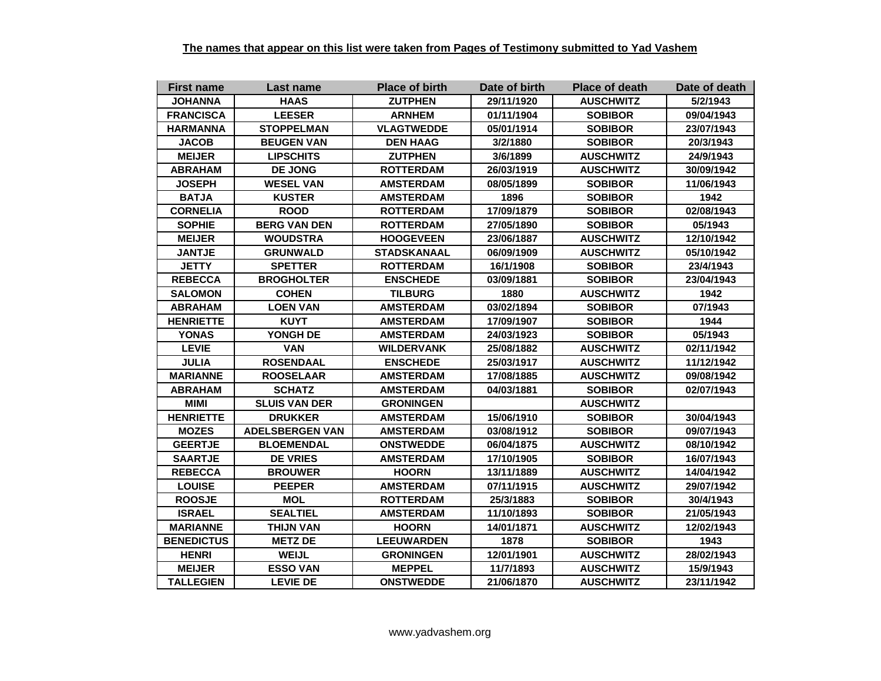| <b>First name</b> | Last name              | <b>Place of birth</b> | Date of birth | <b>Place of death</b> | Date of death |
|-------------------|------------------------|-----------------------|---------------|-----------------------|---------------|
| <b>JOHANNA</b>    | <b>HAAS</b>            | <b>ZUTPHEN</b>        | 29/11/1920    | <b>AUSCHWITZ</b>      | 5/2/1943      |
| <b>FRANCISCA</b>  | <b>LEESER</b>          | <b>ARNHEM</b>         | 01/11/1904    | <b>SOBIBOR</b>        | 09/04/1943    |
| <b>HARMANNA</b>   | <b>STOPPELMAN</b>      | <b>VLAGTWEDDE</b>     | 05/01/1914    | <b>SOBIBOR</b>        | 23/07/1943    |
| <b>JACOB</b>      | <b>BEUGEN VAN</b>      | <b>DEN HAAG</b>       | 3/2/1880      | <b>SOBIBOR</b>        | 20/3/1943     |
| <b>MEIJER</b>     | <b>LIPSCHITS</b>       | <b>ZUTPHEN</b>        | 3/6/1899      | <b>AUSCHWITZ</b>      | 24/9/1943     |
| <b>ABRAHAM</b>    | <b>DE JONG</b>         | <b>ROTTERDAM</b>      | 26/03/1919    | <b>AUSCHWITZ</b>      | 30/09/1942    |
| <b>JOSEPH</b>     | <b>WESEL VAN</b>       | <b>AMSTERDAM</b>      | 08/05/1899    | <b>SOBIBOR</b>        | 11/06/1943    |
| <b>BATJA</b>      | <b>KUSTER</b>          | <b>AMSTERDAM</b>      | 1896          | <b>SOBIBOR</b>        | 1942          |
| <b>CORNELIA</b>   | <b>ROOD</b>            | <b>ROTTERDAM</b>      | 17/09/1879    | <b>SOBIBOR</b>        | 02/08/1943    |
| <b>SOPHIE</b>     | <b>BERG VAN DEN</b>    | <b>ROTTERDAM</b>      | 27/05/1890    | <b>SOBIBOR</b>        | 05/1943       |
| <b>MEIJER</b>     | <b>WOUDSTRA</b>        | <b>HOOGEVEEN</b>      | 23/06/1887    | <b>AUSCHWITZ</b>      | 12/10/1942    |
| <b>JANTJE</b>     | <b>GRUNWALD</b>        | <b>STADSKANAAL</b>    | 06/09/1909    | <b>AUSCHWITZ</b>      | 05/10/1942    |
| <b>JETTY</b>      | <b>SPETTER</b>         | <b>ROTTERDAM</b>      | 16/1/1908     | <b>SOBIBOR</b>        | 23/4/1943     |
| <b>REBECCA</b>    | <b>BROGHOLTER</b>      | <b>ENSCHEDE</b>       | 03/09/1881    | <b>SOBIBOR</b>        | 23/04/1943    |
| <b>SALOMON</b>    | <b>COHEN</b>           | <b>TILBURG</b>        | 1880          | <b>AUSCHWITZ</b>      | 1942          |
| <b>ABRAHAM</b>    | <b>LOEN VAN</b>        | <b>AMSTERDAM</b>      | 03/02/1894    | <b>SOBIBOR</b>        | 07/1943       |
| <b>HENRIETTE</b>  | <b>KUYT</b>            | <b>AMSTERDAM</b>      | 17/09/1907    | <b>SOBIBOR</b>        | 1944          |
| <b>YONAS</b>      | YONGH DE               | <b>AMSTERDAM</b>      | 24/03/1923    | <b>SOBIBOR</b>        | 05/1943       |
| <b>LEVIE</b>      | <b>VAN</b>             | <b>WILDERVANK</b>     | 25/08/1882    | <b>AUSCHWITZ</b>      | 02/11/1942    |
| <b>JULIA</b>      | <b>ROSENDAAL</b>       | <b>ENSCHEDE</b>       | 25/03/1917    | <b>AUSCHWITZ</b>      | 11/12/1942    |
| <b>MARIANNE</b>   | <b>ROOSELAAR</b>       | <b>AMSTERDAM</b>      | 17/08/1885    | <b>AUSCHWITZ</b>      | 09/08/1942    |
| <b>ABRAHAM</b>    | <b>SCHATZ</b>          | <b>AMSTERDAM</b>      | 04/03/1881    | <b>SOBIBOR</b>        | 02/07/1943    |
| <b>MIMI</b>       | <b>SLUIS VAN DER</b>   | <b>GRONINGEN</b>      |               | <b>AUSCHWITZ</b>      |               |
| <b>HENRIETTE</b>  | <b>DRUKKER</b>         | <b>AMSTERDAM</b>      | 15/06/1910    | <b>SOBIBOR</b>        | 30/04/1943    |
| <b>MOZES</b>      | <b>ADELSBERGEN VAN</b> | <b>AMSTERDAM</b>      | 03/08/1912    | <b>SOBIBOR</b>        | 09/07/1943    |
| <b>GEERTJE</b>    | <b>BLOEMENDAL</b>      | <b>ONSTWEDDE</b>      | 06/04/1875    | <b>AUSCHWITZ</b>      | 08/10/1942    |
| <b>SAARTJE</b>    | <b>DE VRIES</b>        | <b>AMSTERDAM</b>      | 17/10/1905    | <b>SOBIBOR</b>        | 16/07/1943    |
| <b>REBECCA</b>    | <b>BROUWER</b>         | <b>HOORN</b>          | 13/11/1889    | <b>AUSCHWITZ</b>      | 14/04/1942    |
| <b>LOUISE</b>     | <b>PEEPER</b>          | <b>AMSTERDAM</b>      | 07/11/1915    | <b>AUSCHWITZ</b>      | 29/07/1942    |
| <b>ROOSJE</b>     | <b>MOL</b>             | <b>ROTTERDAM</b>      | 25/3/1883     | <b>SOBIBOR</b>        | 30/4/1943     |
| <b>ISRAEL</b>     | <b>SEALTIEL</b>        | <b>AMSTERDAM</b>      | 11/10/1893    | <b>SOBIBOR</b>        | 21/05/1943    |
| <b>MARIANNE</b>   | THIJN VAN              | <b>HOORN</b>          | 14/01/1871    | <b>AUSCHWITZ</b>      | 12/02/1943    |
| <b>BENEDICTUS</b> | <b>METZ DE</b>         | <b>LEEUWARDEN</b>     | 1878          | <b>SOBIBOR</b>        | 1943          |
| <b>HENRI</b>      | <b>WEIJL</b>           | <b>GRONINGEN</b>      | 12/01/1901    | <b>AUSCHWITZ</b>      | 28/02/1943    |
| <b>MEIJER</b>     | <b>ESSO VAN</b>        | <b>MEPPEL</b>         | 11/7/1893     | <b>AUSCHWITZ</b>      | 15/9/1943     |
| <b>TALLEGIEN</b>  | <b>LEVIE DE</b>        | <b>ONSTWEDDE</b>      | 21/06/1870    | <b>AUSCHWITZ</b>      | 23/11/1942    |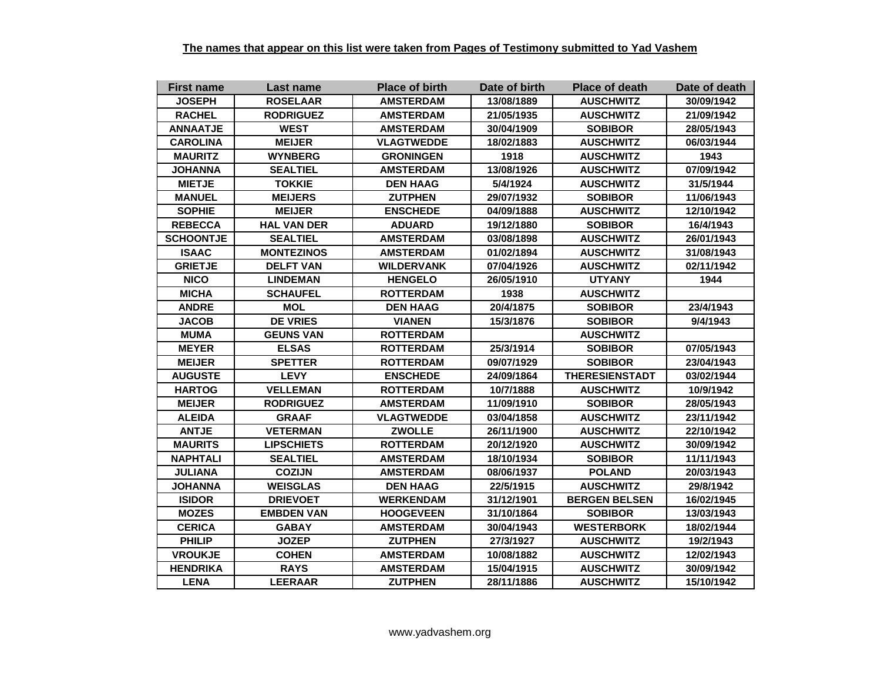| <b>First name</b> | Last name          | <b>Place of birth</b> | Date of birth | <b>Place of death</b> | Date of death |
|-------------------|--------------------|-----------------------|---------------|-----------------------|---------------|
| <b>JOSEPH</b>     | <b>ROSELAAR</b>    | <b>AMSTERDAM</b>      | 13/08/1889    | <b>AUSCHWITZ</b>      | 30/09/1942    |
| <b>RACHEL</b>     | <b>RODRIGUEZ</b>   | <b>AMSTERDAM</b>      | 21/05/1935    | <b>AUSCHWITZ</b>      | 21/09/1942    |
| <b>ANNAATJE</b>   | <b>WEST</b>        | <b>AMSTERDAM</b>      | 30/04/1909    | <b>SOBIBOR</b>        | 28/05/1943    |
| <b>CAROLINA</b>   | <b>MEIJER</b>      | <b>VLAGTWEDDE</b>     | 18/02/1883    | <b>AUSCHWITZ</b>      | 06/03/1944    |
| <b>MAURITZ</b>    | <b>WYNBERG</b>     | <b>GRONINGEN</b>      | 1918          | <b>AUSCHWITZ</b>      | 1943          |
| <b>JOHANNA</b>    | <b>SEALTIEL</b>    | <b>AMSTERDAM</b>      | 13/08/1926    | <b>AUSCHWITZ</b>      | 07/09/1942    |
| <b>MIETJE</b>     | <b>TOKKIE</b>      | <b>DEN HAAG</b>       | 5/4/1924      | <b>AUSCHWITZ</b>      | 31/5/1944     |
| <b>MANUEL</b>     | <b>MEIJERS</b>     | <b>ZUTPHEN</b>        | 29/07/1932    | <b>SOBIBOR</b>        | 11/06/1943    |
| <b>SOPHIE</b>     | <b>MEIJER</b>      | <b>ENSCHEDE</b>       | 04/09/1888    | <b>AUSCHWITZ</b>      | 12/10/1942    |
| <b>REBECCA</b>    | <b>HAL VAN DER</b> | <b>ADUARD</b>         | 19/12/1880    | <b>SOBIBOR</b>        | 16/4/1943     |
| <b>SCHOONTJE</b>  | <b>SEALTIEL</b>    | <b>AMSTERDAM</b>      | 03/08/1898    | <b>AUSCHWITZ</b>      | 26/01/1943    |
| <b>ISAAC</b>      | <b>MONTEZINOS</b>  | <b>AMSTERDAM</b>      | 01/02/1894    | <b>AUSCHWITZ</b>      | 31/08/1943    |
| <b>GRIETJE</b>    | <b>DELFT VAN</b>   | <b>WILDERVANK</b>     | 07/04/1926    | <b>AUSCHWITZ</b>      | 02/11/1942    |
| <b>NICO</b>       | <b>LINDEMAN</b>    | <b>HENGELO</b>        | 26/05/1910    | <b>UTYANY</b>         | 1944          |
| <b>MICHA</b>      | <b>SCHAUFEL</b>    | <b>ROTTERDAM</b>      | 1938          | <b>AUSCHWITZ</b>      |               |
| <b>ANDRE</b>      | <b>MOL</b>         | <b>DEN HAAG</b>       | 20/4/1875     | <b>SOBIBOR</b>        | 23/4/1943     |
| <b>JACOB</b>      | <b>DE VRIES</b>    | <b>VIANEN</b>         | 15/3/1876     | <b>SOBIBOR</b>        | 9/4/1943      |
| <b>MUMA</b>       | <b>GEUNS VAN</b>   | <b>ROTTERDAM</b>      |               | <b>AUSCHWITZ</b>      |               |
| <b>MEYER</b>      | <b>ELSAS</b>       | <b>ROTTERDAM</b>      | 25/3/1914     | <b>SOBIBOR</b>        | 07/05/1943    |
| <b>MEIJER</b>     | <b>SPETTER</b>     | <b>ROTTERDAM</b>      | 09/07/1929    | <b>SOBIBOR</b>        | 23/04/1943    |
| <b>AUGUSTE</b>    | <b>LEVY</b>        | <b>ENSCHEDE</b>       | 24/09/1864    | <b>THERESIENSTADT</b> | 03/02/1944    |
| <b>HARTOG</b>     | <b>VELLEMAN</b>    | <b>ROTTERDAM</b>      | 10/7/1888     | <b>AUSCHWITZ</b>      | 10/9/1942     |
| <b>MEIJER</b>     | <b>RODRIGUEZ</b>   | <b>AMSTERDAM</b>      | 11/09/1910    | <b>SOBIBOR</b>        | 28/05/1943    |
| <b>ALEIDA</b>     | <b>GRAAF</b>       | <b>VLAGTWEDDE</b>     | 03/04/1858    | <b>AUSCHWITZ</b>      | 23/11/1942    |
| <b>ANTJE</b>      | <b>VETERMAN</b>    | <b>ZWOLLE</b>         | 26/11/1900    | <b>AUSCHWITZ</b>      | 22/10/1942    |
| <b>MAURITS</b>    | <b>LIPSCHIETS</b>  | <b>ROTTERDAM</b>      | 20/12/1920    | <b>AUSCHWITZ</b>      | 30/09/1942    |
| <b>NAPHTALI</b>   | <b>SEALTIEL</b>    | <b>AMSTERDAM</b>      | 18/10/1934    | <b>SOBIBOR</b>        | 11/11/1943    |
| <b>JULIANA</b>    | <b>COZIJN</b>      | <b>AMSTERDAM</b>      | 08/06/1937    | <b>POLAND</b>         | 20/03/1943    |
| <b>JOHANNA</b>    | <b>WEISGLAS</b>    | <b>DEN HAAG</b>       | 22/5/1915     | <b>AUSCHWITZ</b>      | 29/8/1942     |
| <b>ISIDOR</b>     | <b>DRIEVOET</b>    | <b>WERKENDAM</b>      | 31/12/1901    | <b>BERGEN BELSEN</b>  | 16/02/1945    |
| <b>MOZES</b>      | <b>EMBDEN VAN</b>  | <b>HOOGEVEEN</b>      | 31/10/1864    | <b>SOBIBOR</b>        | 13/03/1943    |
| <b>CERICA</b>     | <b>GABAY</b>       | <b>AMSTERDAM</b>      | 30/04/1943    | <b>WESTERBORK</b>     | 18/02/1944    |
| <b>PHILIP</b>     | <b>JOZEP</b>       | <b>ZUTPHEN</b>        | 27/3/1927     | <b>AUSCHWITZ</b>      | 19/2/1943     |
| <b>VROUKJE</b>    | <b>COHEN</b>       | <b>AMSTERDAM</b>      | 10/08/1882    | <b>AUSCHWITZ</b>      | 12/02/1943    |
| <b>HENDRIKA</b>   | <b>RAYS</b>        | <b>AMSTERDAM</b>      | 15/04/1915    | <b>AUSCHWITZ</b>      | 30/09/1942    |
| <b>LENA</b>       | <b>LEERAAR</b>     | <b>ZUTPHEN</b>        | 28/11/1886    | <b>AUSCHWITZ</b>      | 15/10/1942    |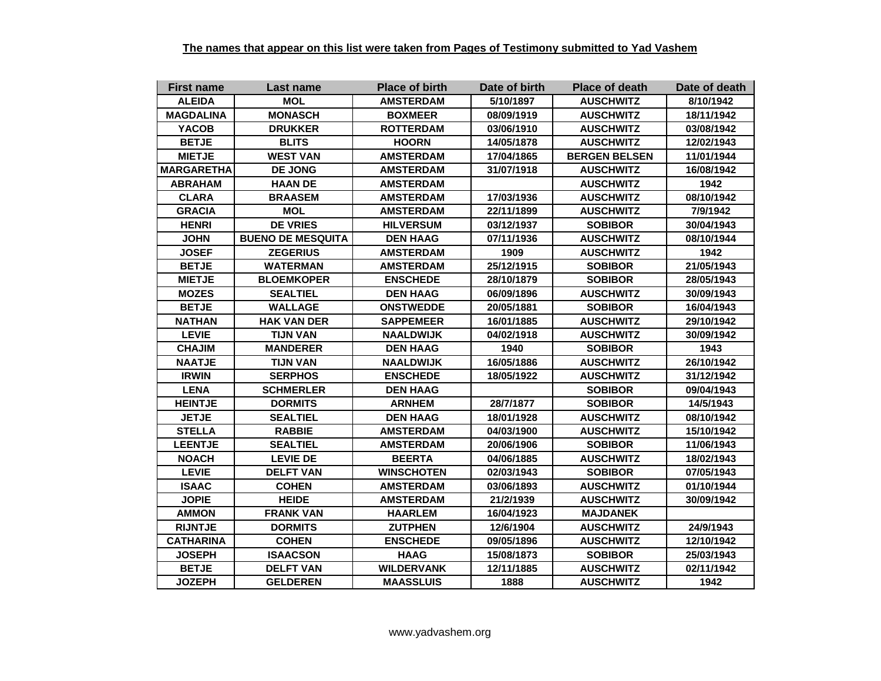| <b>First name</b> | <b>Last name</b>         | <b>Place of birth</b> | Date of birth | <b>Place of death</b> | Date of death |
|-------------------|--------------------------|-----------------------|---------------|-----------------------|---------------|
| <b>ALEIDA</b>     | <b>MOL</b>               | <b>AMSTERDAM</b>      | 5/10/1897     | <b>AUSCHWITZ</b>      | 8/10/1942     |
| <b>MAGDALINA</b>  | <b>MONASCH</b>           | <b>BOXMEER</b>        | 08/09/1919    | <b>AUSCHWITZ</b>      | 18/11/1942    |
| <b>YACOB</b>      | <b>DRUKKER</b>           | <b>ROTTERDAM</b>      | 03/06/1910    | <b>AUSCHWITZ</b>      | 03/08/1942    |
| <b>BETJE</b>      | <b>BLITS</b>             | <b>HOORN</b>          | 14/05/1878    | <b>AUSCHWITZ</b>      | 12/02/1943    |
| <b>MIETJE</b>     | <b>WEST VAN</b>          | <b>AMSTERDAM</b>      | 17/04/1865    | <b>BERGEN BELSEN</b>  | 11/01/1944    |
| <b>MARGARETHA</b> | <b>DE JONG</b>           | AMSTERDAM             | 31/07/1918    | <b>AUSCHWITZ</b>      | 16/08/1942    |
| <b>ABRAHAM</b>    | <b>HAAN DE</b>           | <b>AMSTERDAM</b>      |               | <b>AUSCHWITZ</b>      | 1942          |
| <b>CLARA</b>      | <b>BRAASEM</b>           | <b>AMSTERDAM</b>      | 17/03/1936    | <b>AUSCHWITZ</b>      | 08/10/1942    |
| <b>GRACIA</b>     | MOL                      | <b>AMSTERDAM</b>      | 22/11/1899    | <b>AUSCHWITZ</b>      | 7/9/1942      |
| <b>HENRI</b>      | <b>DE VRIES</b>          | <b>HILVERSUM</b>      | 03/12/1937    | <b>SOBIBOR</b>        | 30/04/1943    |
| <b>JOHN</b>       | <b>BUENO DE MESQUITA</b> | <b>DEN HAAG</b>       | 07/11/1936    | <b>AUSCHWITZ</b>      | 08/10/1944    |
| <b>JOSEF</b>      | <b>ZEGERIUS</b>          | <b>AMSTERDAM</b>      | 1909          | <b>AUSCHWITZ</b>      | 1942          |
| <b>BETJE</b>      | <b>WATERMAN</b>          | <b>AMSTERDAM</b>      | 25/12/1915    | <b>SOBIBOR</b>        | 21/05/1943    |
| <b>MIETJE</b>     | <b>BLOEMKOPER</b>        | <b>ENSCHEDE</b>       | 28/10/1879    | <b>SOBIBOR</b>        | 28/05/1943    |
| <b>MOZES</b>      | <b>SEALTIEL</b>          | <b>DEN HAAG</b>       | 06/09/1896    | <b>AUSCHWITZ</b>      | 30/09/1943    |
| <b>BETJE</b>      | <b>WALLAGE</b>           | <b>ONSTWEDDE</b>      | 20/05/1881    | <b>SOBIBOR</b>        | 16/04/1943    |
| <b>NATHAN</b>     | <b>HAK VAN DER</b>       | <b>SAPPEMEER</b>      | 16/01/1885    | <b>AUSCHWITZ</b>      | 29/10/1942    |
| <b>LEVIE</b>      | <b>TIJN VAN</b>          | <b>NAALDWIJK</b>      | 04/02/1918    | <b>AUSCHWITZ</b>      | 30/09/1942    |
| <b>CHAJIM</b>     | <b>MANDERER</b>          | <b>DEN HAAG</b>       | 1940          | <b>SOBIBOR</b>        | 1943          |
| <b>NAATJE</b>     | <b>TIJN VAN</b>          | <b>NAALDWIJK</b>      | 16/05/1886    | <b>AUSCHWITZ</b>      | 26/10/1942    |
| <b>IRWIN</b>      | <b>SERPHOS</b>           | <b>ENSCHEDE</b>       | 18/05/1922    | <b>AUSCHWITZ</b>      | 31/12/1942    |
| <b>LENA</b>       | <b>SCHMERLER</b>         | <b>DEN HAAG</b>       |               | <b>SOBIBOR</b>        | 09/04/1943    |
| <b>HEINTJE</b>    | <b>DORMITS</b>           | <b>ARNHEM</b>         | 28/7/1877     | <b>SOBIBOR</b>        | 14/5/1943     |
| <b>JETJE</b>      | <b>SEALTIEL</b>          | <b>DEN HAAG</b>       | 18/01/1928    | <b>AUSCHWITZ</b>      | 08/10/1942    |
| <b>STELLA</b>     | <b>RABBIE</b>            | <b>AMSTERDAM</b>      | 04/03/1900    | <b>AUSCHWITZ</b>      | 15/10/1942    |
| <b>LEENTJE</b>    | <b>SEALTIEL</b>          | <b>AMSTERDAM</b>      | 20/06/1906    | <b>SOBIBOR</b>        | 11/06/1943    |
| <b>NOACH</b>      | <b>LEVIE DE</b>          | <b>BEERTA</b>         | 04/06/1885    | <b>AUSCHWITZ</b>      | 18/02/1943    |
| <b>LEVIE</b>      | <b>DELFT VAN</b>         | <b>WINSCHOTEN</b>     | 02/03/1943    | <b>SOBIBOR</b>        | 07/05/1943    |
| <b>ISAAC</b>      | <b>COHEN</b>             | <b>AMSTERDAM</b>      | 03/06/1893    | <b>AUSCHWITZ</b>      | 01/10/1944    |
| <b>JOPIE</b>      | <b>HEIDE</b>             | <b>AMSTERDAM</b>      | 21/2/1939     | <b>AUSCHWITZ</b>      | 30/09/1942    |
| <b>AMMON</b>      | <b>FRANK VAN</b>         | <b>HAARLEM</b>        | 16/04/1923    | <b>MAJDANEK</b>       |               |
| <b>RIJNTJE</b>    | <b>DORMITS</b>           | <b>ZUTPHEN</b>        | 12/6/1904     | <b>AUSCHWITZ</b>      | 24/9/1943     |
| <b>CATHARINA</b>  | <b>COHEN</b>             | <b>ENSCHEDE</b>       | 09/05/1896    | <b>AUSCHWITZ</b>      | 12/10/1942    |
| <b>JOSEPH</b>     | <b>ISAACSON</b>          | <b>HAAG</b>           | 15/08/1873    | <b>SOBIBOR</b>        | 25/03/1943    |
| <b>BETJE</b>      | <b>DELFT VAN</b>         | <b>WILDERVANK</b>     | 12/11/1885    | <b>AUSCHWITZ</b>      | 02/11/1942    |
| <b>JOZEPH</b>     | <b>GELDEREN</b>          | <b>MAASSLUIS</b>      | 1888          | <b>AUSCHWITZ</b>      | 1942          |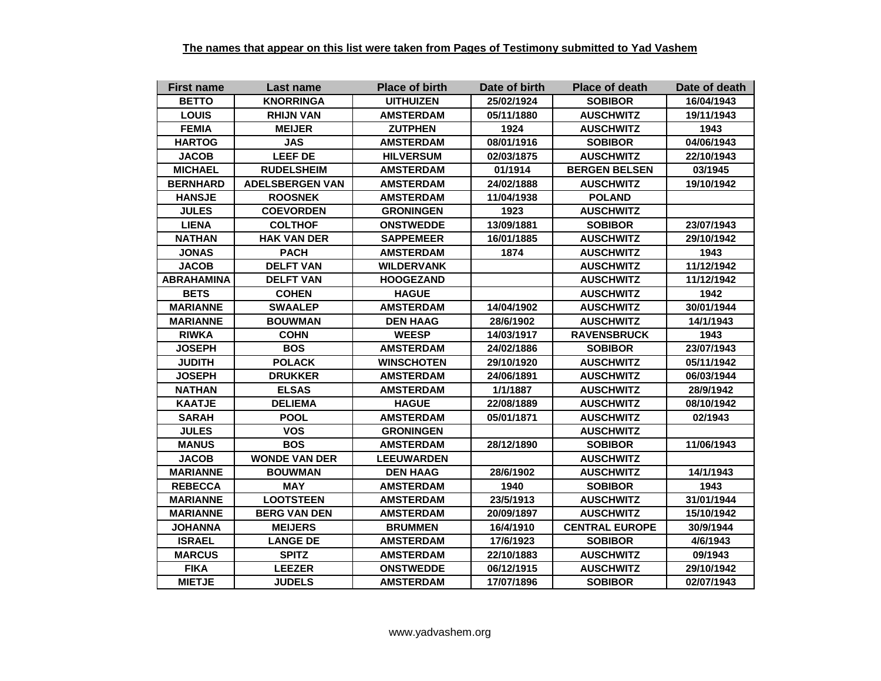| <b>First name</b> | Last name              | <b>Place of birth</b> | Date of birth | <b>Place of death</b> | Date of death |
|-------------------|------------------------|-----------------------|---------------|-----------------------|---------------|
| <b>BETTO</b>      | <b>KNORRINGA</b>       | <b>UITHUIZEN</b>      | 25/02/1924    | <b>SOBIBOR</b>        | 16/04/1943    |
| <b>LOUIS</b>      | <b>RHIJN VAN</b>       | <b>AMSTERDAM</b>      | 05/11/1880    | <b>AUSCHWITZ</b>      | 19/11/1943    |
| <b>FEMIA</b>      | <b>MEIJER</b>          | <b>ZUTPHEN</b>        | 1924          | <b>AUSCHWITZ</b>      | 1943          |
| <b>HARTOG</b>     | <b>JAS</b>             | <b>AMSTERDAM</b>      | 08/01/1916    | <b>SOBIBOR</b>        | 04/06/1943    |
| <b>JACOB</b>      | <b>LEEF DE</b>         | <b>HILVERSUM</b>      | 02/03/1875    | <b>AUSCHWITZ</b>      | 22/10/1943    |
| <b>MICHAEL</b>    | <b>RUDELSHEIM</b>      | <b>AMSTERDAM</b>      | 01/1914       | <b>BERGEN BELSEN</b>  | 03/1945       |
| <b>BERNHARD</b>   | <b>ADELSBERGEN VAN</b> | <b>AMSTERDAM</b>      | 24/02/1888    | <b>AUSCHWITZ</b>      | 19/10/1942    |
| <b>HANSJE</b>     | <b>ROOSNEK</b>         | <b>AMSTERDAM</b>      | 11/04/1938    | <b>POLAND</b>         |               |
| <b>JULES</b>      | <b>COEVORDEN</b>       | <b>GRONINGEN</b>      | 1923          | <b>AUSCHWITZ</b>      |               |
| <b>LIENA</b>      | <b>COLTHOF</b>         | <b>ONSTWEDDE</b>      | 13/09/1881    | <b>SOBIBOR</b>        | 23/07/1943    |
| NATHAN            | <b>HAK VAN DER</b>     | <b>SAPPEMEER</b>      | 16/01/1885    | <b>AUSCHWITZ</b>      | 29/10/1942    |
| <b>JONAS</b>      | <b>PACH</b>            | <b>AMSTERDAM</b>      | 1874          | <b>AUSCHWITZ</b>      | 1943          |
| <b>JACOB</b>      | <b>DELFT VAN</b>       | <b>WILDERVANK</b>     |               | <b>AUSCHWITZ</b>      | 11/12/1942    |
| <b>ABRAHAMINA</b> | <b>DELFT VAN</b>       | <b>HOOGEZAND</b>      |               | <b>AUSCHWITZ</b>      | 11/12/1942    |
| <b>BETS</b>       | <b>COHEN</b>           | <b>HAGUE</b>          |               | <b>AUSCHWITZ</b>      | 1942          |
| <b>MARIANNE</b>   | <b>SWAALEP</b>         | <b>AMSTERDAM</b>      | 14/04/1902    | <b>AUSCHWITZ</b>      | 30/01/1944    |
| <b>MARIANNE</b>   | <b>BOUWMAN</b>         | <b>DEN HAAG</b>       | 28/6/1902     | <b>AUSCHWITZ</b>      | 14/1/1943     |
| <b>RIWKA</b>      | <b>COHN</b>            | <b>WEESP</b>          | 14/03/1917    | <b>RAVENSBRUCK</b>    | 1943          |
| <b>JOSEPH</b>     | <b>BOS</b>             | <b>AMSTERDAM</b>      | 24/02/1886    | <b>SOBIBOR</b>        | 23/07/1943    |
| <b>JUDITH</b>     | <b>POLACK</b>          | <b>WINSCHOTEN</b>     | 29/10/1920    | <b>AUSCHWITZ</b>      | 05/11/1942    |
| <b>JOSEPH</b>     | <b>DRUKKER</b>         | <b>AMSTERDAM</b>      | 24/06/1891    | <b>AUSCHWITZ</b>      | 06/03/1944    |
| <b>NATHAN</b>     | <b>ELSAS</b>           | <b>AMSTERDAM</b>      | 1/1/1887      | <b>AUSCHWITZ</b>      | 28/9/1942     |
| <b>KAATJE</b>     | <b>DELIEMA</b>         | <b>HAGUE</b>          | 22/08/1889    | <b>AUSCHWITZ</b>      | 08/10/1942    |
| <b>SARAH</b>      | <b>POOL</b>            | <b>AMSTERDAM</b>      | 05/01/1871    | <b>AUSCHWITZ</b>      | 02/1943       |
| <b>JULES</b>      | <b>VOS</b>             | <b>GRONINGEN</b>      |               | <b>AUSCHWITZ</b>      |               |
| <b>MANUS</b>      | <b>BOS</b>             | <b>AMSTERDAM</b>      | 28/12/1890    | <b>SOBIBOR</b>        | 11/06/1943    |
| <b>JACOB</b>      | <b>WONDE VAN DER</b>   | <b>LEEUWARDEN</b>     |               | <b>AUSCHWITZ</b>      |               |
| <b>MARIANNE</b>   | <b>BOUWMAN</b>         | <b>DEN HAAG</b>       | 28/6/1902     | <b>AUSCHWITZ</b>      | 14/1/1943     |
| <b>REBECCA</b>    | <b>MAY</b>             | <b>AMSTERDAM</b>      | 1940          | <b>SOBIBOR</b>        | 1943          |
| <b>MARIANNE</b>   | <b>LOOTSTEEN</b>       | <b>AMSTERDAM</b>      | 23/5/1913     | <b>AUSCHWITZ</b>      | 31/01/1944    |
| MARIANNE          | <b>BERG VAN DEN</b>    | <b>AMSTERDAM</b>      | 20/09/1897    | <b>AUSCHWITZ</b>      | 15/10/1942    |
| <b>JOHANNA</b>    | <b>MEIJERS</b>         | <b>BRUMMEN</b>        | 16/4/1910     | <b>CENTRAL EUROPE</b> | 30/9/1944     |
| <b>ISRAEL</b>     | <b>LANGE DE</b>        | <b>AMSTERDAM</b>      | 17/6/1923     | <b>SOBIBOR</b>        | 4/6/1943      |
| <b>MARCUS</b>     | <b>SPITZ</b>           | <b>AMSTERDAM</b>      | 22/10/1883    | <b>AUSCHWITZ</b>      | 09/1943       |
| <b>FIKA</b>       | <b>LEEZER</b>          | <b>ONSTWEDDE</b>      | 06/12/1915    | <b>AUSCHWITZ</b>      | 29/10/1942    |
| <b>MIETJE</b>     | <b>JUDELS</b>          | <b>AMSTERDAM</b>      | 17/07/1896    | <b>SOBIBOR</b>        | 02/07/1943    |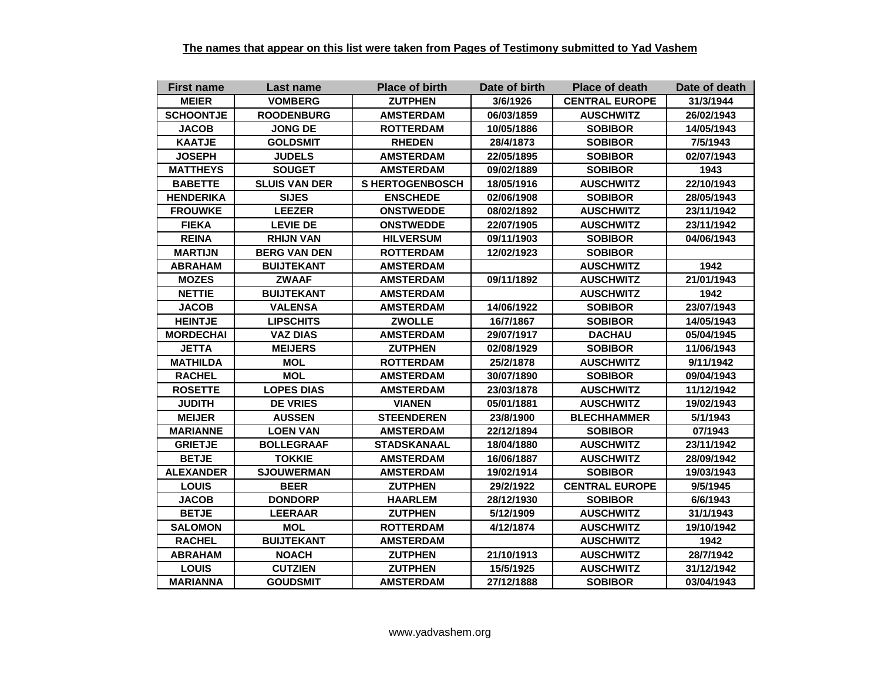| <b>First name</b> | Last name            | <b>Place of birth</b> | Date of birth | <b>Place of death</b> | Date of death |
|-------------------|----------------------|-----------------------|---------------|-----------------------|---------------|
| <b>MEIER</b>      | <b>VOMBERG</b>       | <b>ZUTPHEN</b>        | 3/6/1926      | <b>CENTRAL EUROPE</b> | 31/3/1944     |
| <b>SCHOONTJE</b>  | <b>ROODENBURG</b>    | <b>AMSTERDAM</b>      | 06/03/1859    | <b>AUSCHWITZ</b>      | 26/02/1943    |
| <b>JACOB</b>      | JONG DE              | <b>ROTTERDAM</b>      | 10/05/1886    | <b>SOBIBOR</b>        | 14/05/1943    |
| <b>KAATJE</b>     | <b>GOLDSMIT</b>      | <b>RHEDEN</b>         | 28/4/1873     | <b>SOBIBOR</b>        | 7/5/1943      |
| <b>JOSEPH</b>     | <b>JUDELS</b>        | <b>AMSTERDAM</b>      | 22/05/1895    | <b>SOBIBOR</b>        | 02/07/1943    |
| <b>MATTHEYS</b>   | <b>SOUGET</b>        | <b>AMSTERDAM</b>      | 09/02/1889    | <b>SOBIBOR</b>        | 1943          |
| <b>BABETTE</b>    | <b>SLUIS VAN DER</b> | <b>SHERTOGENBOSCH</b> | 18/05/1916    | <b>AUSCHWITZ</b>      | 22/10/1943    |
| <b>HENDERIKA</b>  | <b>SIJES</b>         | <b>ENSCHEDE</b>       | 02/06/1908    | <b>SOBIBOR</b>        | 28/05/1943    |
| <b>FROUWKE</b>    | <b>LEEZER</b>        | <b>ONSTWEDDE</b>      | 08/02/1892    | <b>AUSCHWITZ</b>      | 23/11/1942    |
| <b>FIEKA</b>      | <b>LEVIE DE</b>      | <b>ONSTWEDDE</b>      | 22/07/1905    | <b>AUSCHWITZ</b>      | 23/11/1942    |
| <b>REINA</b>      | <b>RHIJN VAN</b>     | <b>HILVERSUM</b>      | 09/11/1903    | <b>SOBIBOR</b>        | 04/06/1943    |
| <b>MARTIJN</b>    | <b>BERG VAN DEN</b>  | <b>ROTTERDAM</b>      | 12/02/1923    | <b>SOBIBOR</b>        |               |
| <b>ABRAHAM</b>    | <b>BUIJTEKANT</b>    | <b>AMSTERDAM</b>      |               | <b>AUSCHWITZ</b>      | 1942          |
| <b>MOZES</b>      | <b>ZWAAF</b>         | <b>AMSTERDAM</b>      | 09/11/1892    | <b>AUSCHWITZ</b>      | 21/01/1943    |
| <b>NETTIE</b>     | <b>BUIJTEKANT</b>    | <b>AMSTERDAM</b>      |               | <b>AUSCHWITZ</b>      | 1942          |
| <b>JACOB</b>      | <b>VALENSA</b>       | <b>AMSTERDAM</b>      | 14/06/1922    | <b>SOBIBOR</b>        | 23/07/1943    |
| <b>HEINTJE</b>    | <b>LIPSCHITS</b>     | <b>ZWOLLE</b>         | 16/7/1867     | <b>SOBIBOR</b>        | 14/05/1943    |
| <b>MORDECHAI</b>  | <b>VAZ DIAS</b>      | <b>AMSTERDAM</b>      | 29/07/1917    | <b>DACHAU</b>         | 05/04/1945    |
| <b>JETTA</b>      | <b>MEIJERS</b>       | <b>ZUTPHEN</b>        | 02/08/1929    | <b>SOBIBOR</b>        | 11/06/1943    |
| <b>MATHILDA</b>   | <b>MOL</b>           | <b>ROTTERDAM</b>      | 25/2/1878     | <b>AUSCHWITZ</b>      | 9/11/1942     |
| <b>RACHEL</b>     | <b>MOL</b>           | <b>AMSTERDAM</b>      | 30/07/1890    | <b>SOBIBOR</b>        | 09/04/1943    |
| <b>ROSETTE</b>    | <b>LOPES DIAS</b>    | <b>AMSTERDAM</b>      | 23/03/1878    | <b>AUSCHWITZ</b>      | 11/12/1942    |
| <b>JUDITH</b>     | <b>DE VRIES</b>      | <b>VIANEN</b>         | 05/01/1881    | <b>AUSCHWITZ</b>      | 19/02/1943    |
| <b>MEIJER</b>     | <b>AUSSEN</b>        | <b>STEENDEREN</b>     | 23/8/1900     | <b>BLECHHAMMER</b>    | 5/1/1943      |
| <b>MARIANNE</b>   | <b>LOEN VAN</b>      | <b>AMSTERDAM</b>      | 22/12/1894    | <b>SOBIBOR</b>        | 07/1943       |
| <b>GRIETJE</b>    | <b>BOLLEGRAAF</b>    | STADSKANAAL           | 18/04/1880    | <b>AUSCHWITZ</b>      | 23/11/1942    |
| <b>BETJE</b>      | <b>TOKKIE</b>        | <b>AMSTERDAM</b>      | 16/06/1887    | <b>AUSCHWITZ</b>      | 28/09/1942    |
| <b>ALEXANDER</b>  | <b>SJOUWERMAN</b>    | <b>AMSTERDAM</b>      | 19/02/1914    | <b>SOBIBOR</b>        | 19/03/1943    |
| <b>LOUIS</b>      | <b>BEER</b>          | <b>ZUTPHEN</b>        | 29/2/1922     | <b>CENTRAL EUROPE</b> | 9/5/1945      |
| <b>JACOB</b>      | <b>DONDORP</b>       | <b>HAARLEM</b>        | 28/12/1930    | <b>SOBIBOR</b>        | 6/6/1943      |
| <b>BETJE</b>      | <b>LEERAAR</b>       | <b>ZUTPHEN</b>        | 5/12/1909     | <b>AUSCHWITZ</b>      | 31/1/1943     |
| <b>SALOMON</b>    | <b>MOL</b>           | <b>ROTTERDAM</b>      | 4/12/1874     | <b>AUSCHWITZ</b>      | 19/10/1942    |
| <b>RACHEL</b>     | <b>BUIJTEKANT</b>    | <b>AMSTERDAM</b>      |               | <b>AUSCHWITZ</b>      | 1942          |
| <b>ABRAHAM</b>    | <b>NOACH</b>         | <b>ZUTPHEN</b>        | 21/10/1913    | <b>AUSCHWITZ</b>      | 28/7/1942     |
| <b>LOUIS</b>      | <b>CUTZIEN</b>       | <b>ZUTPHEN</b>        | 15/5/1925     | <b>AUSCHWITZ</b>      | 31/12/1942    |
| <b>MARIANNA</b>   | <b>GOUDSMIT</b>      | <b>AMSTERDAM</b>      | 27/12/1888    | <b>SOBIBOR</b>        | 03/04/1943    |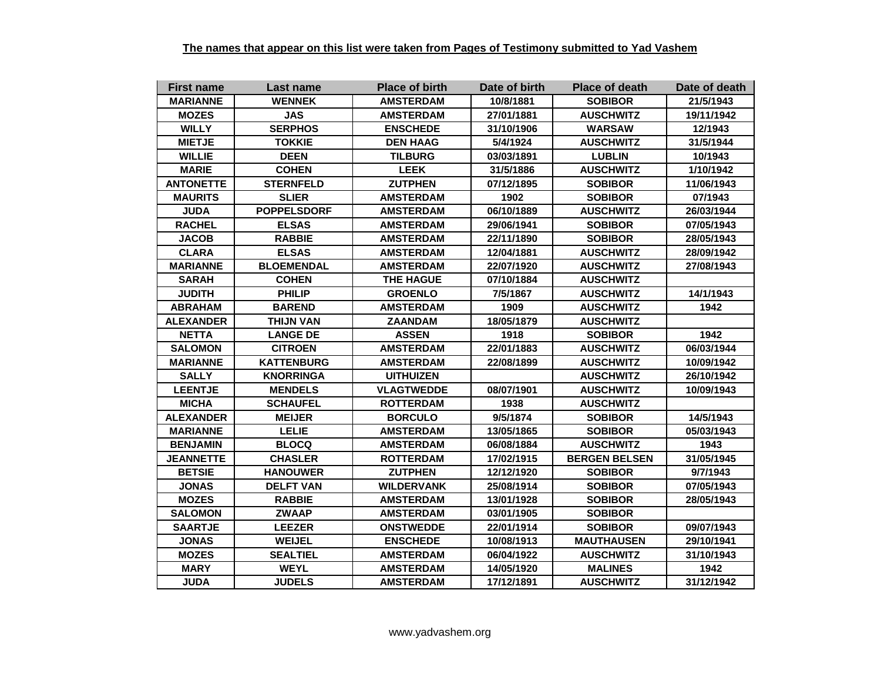| <b>First name</b> | Last name          | <b>Place of birth</b> | Date of birth | <b>Place of death</b> | Date of death |
|-------------------|--------------------|-----------------------|---------------|-----------------------|---------------|
| <b>MARIANNE</b>   | <b>WENNEK</b>      | <b>AMSTERDAM</b>      | 10/8/1881     | <b>SOBIBOR</b>        | 21/5/1943     |
| <b>MOZES</b>      | <b>JAS</b>         | <b>AMSTERDAM</b>      | 27/01/1881    | <b>AUSCHWITZ</b>      | 19/11/1942    |
| <b>WILLY</b>      | <b>SERPHOS</b>     | <b>ENSCHEDE</b>       | 31/10/1906    | <b>WARSAW</b>         | 12/1943       |
| <b>MIETJE</b>     | <b>TOKKIE</b>      | <b>DEN HAAG</b>       | 5/4/1924      | <b>AUSCHWITZ</b>      | 31/5/1944     |
| <b>WILLIE</b>     | <b>DEEN</b>        | <b>TILBURG</b>        | 03/03/1891    | <b>LUBLIN</b>         | 10/1943       |
| <b>MARIE</b>      | <b>COHEN</b>       | <b>LEEK</b>           | 31/5/1886     | <b>AUSCHWITZ</b>      | 1/10/1942     |
| <b>ANTONETTE</b>  | <b>STERNFELD</b>   | <b>ZUTPHEN</b>        | 07/12/1895    | <b>SOBIBOR</b>        | 11/06/1943    |
| <b>MAURITS</b>    | <b>SLIER</b>       | <b>AMSTERDAM</b>      | 1902          | <b>SOBIBOR</b>        | 07/1943       |
| <b>JUDA</b>       | <b>POPPELSDORF</b> | <b>AMSTERDAM</b>      | 06/10/1889    | <b>AUSCHWITZ</b>      | 26/03/1944    |
| <b>RACHEL</b>     | <b>ELSAS</b>       | <b>AMSTERDAM</b>      | 29/06/1941    | <b>SOBIBOR</b>        | 07/05/1943    |
| <b>JACOB</b>      | <b>RABBIE</b>      | <b>AMSTERDAM</b>      | 22/11/1890    | <b>SOBIBOR</b>        | 28/05/1943    |
| <b>CLARA</b>      | <b>ELSAS</b>       | <b>AMSTERDAM</b>      | 12/04/1881    | <b>AUSCHWITZ</b>      | 28/09/1942    |
| <b>MARIANNE</b>   | <b>BLOEMENDAL</b>  | <b>AMSTERDAM</b>      | 22/07/1920    | <b>AUSCHWITZ</b>      | 27/08/1943    |
| <b>SARAH</b>      | <b>COHEN</b>       | <b>THE HAGUE</b>      | 07/10/1884    | <b>AUSCHWITZ</b>      |               |
| <b>JUDITH</b>     | <b>PHILIP</b>      | <b>GROENLO</b>        | 7/5/1867      | <b>AUSCHWITZ</b>      | 14/1/1943     |
| <b>ABRAHAM</b>    | <b>BAREND</b>      | <b>AMSTERDAM</b>      | 1909          | <b>AUSCHWITZ</b>      | 1942          |
| <b>ALEXANDER</b>  | <b>THIJN VAN</b>   | <b>ZAANDAM</b>        | 18/05/1879    | <b>AUSCHWITZ</b>      |               |
| <b>NETTA</b>      | <b>LANGE DE</b>    | <b>ASSEN</b>          | 1918          | <b>SOBIBOR</b>        | 1942          |
| <b>SALOMON</b>    | <b>CITROEN</b>     | <b>AMSTERDAM</b>      | 22/01/1883    | <b>AUSCHWITZ</b>      | 06/03/1944    |
| <b>MARIANNE</b>   | <b>KATTENBURG</b>  | <b>AMSTERDAM</b>      | 22/08/1899    | <b>AUSCHWITZ</b>      | 10/09/1942    |
| <b>SALLY</b>      | <b>KNORRINGA</b>   | <b>UITHUIZEN</b>      |               | <b>AUSCHWITZ</b>      | 26/10/1942    |
| <b>LEENTJE</b>    | <b>MENDELS</b>     | <b>VLAGTWEDDE</b>     | 08/07/1901    | <b>AUSCHWITZ</b>      | 10/09/1943    |
| <b>MICHA</b>      | <b>SCHAUFEL</b>    | <b>ROTTERDAM</b>      | 1938          | <b>AUSCHWITZ</b>      |               |
| <b>ALEXANDER</b>  | <b>MEIJER</b>      | <b>BORCULO</b>        | 9/5/1874      | <b>SOBIBOR</b>        | 14/5/1943     |
| <b>MARIANNE</b>   | <b>LELIE</b>       | <b>AMSTERDAM</b>      | 13/05/1865    | <b>SOBIBOR</b>        | 05/03/1943    |
| <b>BENJAMIN</b>   | <b>BLOCQ</b>       | <b>AMSTERDAM</b>      | 06/08/1884    | <b>AUSCHWITZ</b>      | 1943          |
| <b>JEANNETTE</b>  | <b>CHASLER</b>     | <b>ROTTERDAM</b>      | 17/02/1915    | <b>BERGEN BELSEN</b>  | 31/05/1945    |
| <b>BETSIE</b>     | <b>HANOUWER</b>    | <b>ZUTPHEN</b>        | 12/12/1920    | <b>SOBIBOR</b>        | 9/7/1943      |
| <b>JONAS</b>      | <b>DELFT VAN</b>   | <b>WILDERVANK</b>     | 25/08/1914    | <b>SOBIBOR</b>        | 07/05/1943    |
| <b>MOZES</b>      | <b>RABBIE</b>      | <b>AMSTERDAM</b>      | 13/01/1928    | <b>SOBIBOR</b>        | 28/05/1943    |
| <b>SALOMON</b>    | <b>ZWAAP</b>       | <b>AMSTERDAM</b>      | 03/01/1905    | <b>SOBIBOR</b>        |               |
| <b>SAARTJE</b>    | <b>LEEZER</b>      | <b>ONSTWEDDE</b>      | 22/01/1914    | <b>SOBIBOR</b>        | 09/07/1943    |
| <b>JONAS</b>      | <b>WEIJEL</b>      | <b>ENSCHEDE</b>       | 10/08/1913    | <b>MAUTHAUSEN</b>     | 29/10/1941    |
| <b>MOZES</b>      | <b>SEALTIEL</b>    | <b>AMSTERDAM</b>      | 06/04/1922    | <b>AUSCHWITZ</b>      | 31/10/1943    |
| <b>MARY</b>       | <b>WEYL</b>        | <b>AMSTERDAM</b>      | 14/05/1920    | <b>MALINES</b>        | 1942          |
| <b>JUDA</b>       | <b>JUDELS</b>      | <b>AMSTERDAM</b>      | 17/12/1891    | <b>AUSCHWITZ</b>      | 31/12/1942    |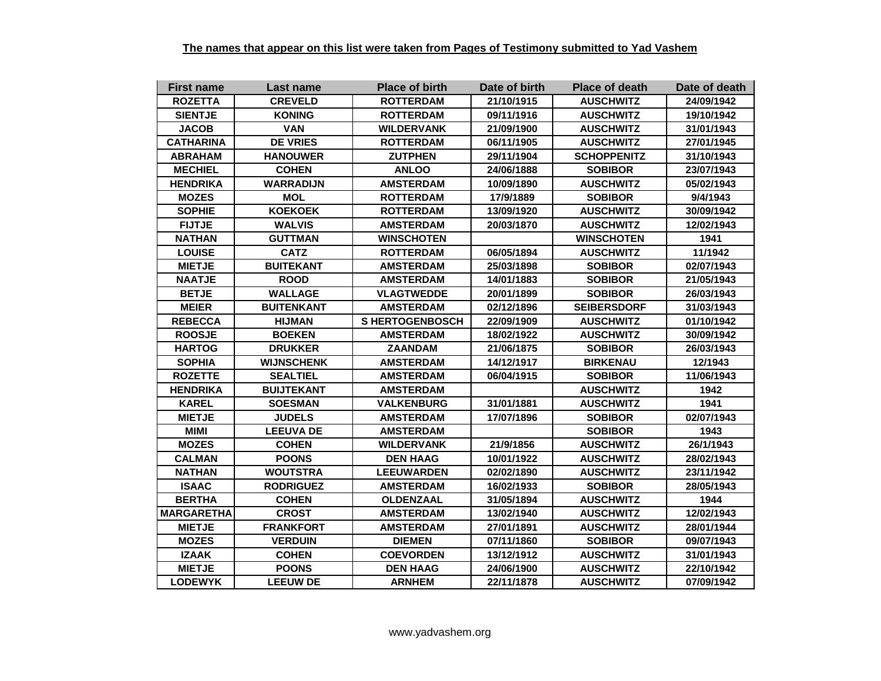| <b>First name</b> | Last name         | <b>Place of birth</b> | Date of birth | <b>Place of death</b> | Date of death |
|-------------------|-------------------|-----------------------|---------------|-----------------------|---------------|
| <b>ROZETTA</b>    | <b>CREVELD</b>    | <b>ROTTERDAM</b>      | 21/10/1915    | <b>AUSCHWITZ</b>      | 24/09/1942    |
| <b>SIENTJE</b>    | <b>KONING</b>     | <b>ROTTERDAM</b>      | 09/11/1916    | <b>AUSCHWITZ</b>      | 19/10/1942    |
| <b>JACOB</b>      | <b>VAN</b>        | <b>WILDERVANK</b>     | 21/09/1900    | <b>AUSCHWITZ</b>      | 31/01/1943    |
| <b>CATHARINA</b>  | <b>DE VRIES</b>   | <b>ROTTERDAM</b>      | 06/11/1905    | <b>AUSCHWITZ</b>      | 27/01/1945    |
| <b>ABRAHAM</b>    | <b>HANOUWER</b>   | <b>ZUTPHEN</b>        | 29/11/1904    | <b>SCHOPPENITZ</b>    | 31/10/1943    |
| <b>MECHIEL</b>    | <b>COHEN</b>      | <b>ANLOO</b>          | 24/06/1888    | <b>SOBIBOR</b>        | 23/07/1943    |
| <b>HENDRIKA</b>   | <b>WARRADIJN</b>  | <b>AMSTERDAM</b>      | 10/09/1890    | <b>AUSCHWITZ</b>      | 05/02/1943    |
| <b>MOZES</b>      | <b>MOL</b>        | <b>ROTTERDAM</b>      | 17/9/1889     | <b>SOBIBOR</b>        | 9/4/1943      |
| <b>SOPHIE</b>     | <b>KOEKOEK</b>    | <b>ROTTERDAM</b>      | 13/09/1920    | <b>AUSCHWITZ</b>      | 30/09/1942    |
| <b>FIJTJE</b>     | <b>WALVIS</b>     | <b>AMSTERDAM</b>      | 20/03/1870    | <b>AUSCHWITZ</b>      | 12/02/1943    |
| <b>NATHAN</b>     | <b>GUTTMAN</b>    | <b>WINSCHOTEN</b>     |               | <b>WINSCHOTEN</b>     | 1941          |
| <b>LOUISE</b>     | <b>CATZ</b>       | <b>ROTTERDAM</b>      | 06/05/1894    | <b>AUSCHWITZ</b>      | 11/1942       |
| <b>MIETJE</b>     | <b>BUITEKANT</b>  | <b>AMSTERDAM</b>      | 25/03/1898    | <b>SOBIBOR</b>        | 02/07/1943    |
| <b>NAATJE</b>     | <b>ROOD</b>       | <b>AMSTERDAM</b>      | 14/01/1883    | <b>SOBIBOR</b>        | 21/05/1943    |
| <b>BETJE</b>      | <b>WALLAGE</b>    | <b>VLAGTWEDDE</b>     | 20/01/1899    | <b>SOBIBOR</b>        | 26/03/1943    |
| <b>MEIER</b>      | <b>BUITENKANT</b> | <b>AMSTERDAM</b>      | 02/12/1896    | <b>SEIBERSDORF</b>    | 31/03/1943    |
| <b>REBECCA</b>    | <b>HIJMAN</b>     | <b>SHERTOGENBOSCH</b> | 22/09/1909    | <b>AUSCHWITZ</b>      | 01/10/1942    |
| <b>ROOSJE</b>     | <b>BOEKEN</b>     | <b>AMSTERDAM</b>      | 18/02/1922    | <b>AUSCHWITZ</b>      | 30/09/1942    |
| <b>HARTOG</b>     | <b>DRUKKER</b>    | <b>ZAANDAM</b>        | 21/06/1875    | <b>SOBIBOR</b>        | 26/03/1943    |
| <b>SOPHIA</b>     | <b>WIJNSCHENK</b> | <b>AMSTERDAM</b>      | 14/12/1917    | <b>BIRKENAU</b>       | 12/1943       |
| <b>ROZETTE</b>    | <b>SEALTIEL</b>   | <b>AMSTERDAM</b>      | 06/04/1915    | <b>SOBIBOR</b>        | 11/06/1943    |
| <b>HENDRIKA</b>   | <b>BUIJTEKANT</b> | <b>AMSTERDAM</b>      |               | <b>AUSCHWITZ</b>      | 1942          |
| <b>KAREL</b>      | <b>SOESMAN</b>    | <b>VALKENBURG</b>     | 31/01/1881    | <b>AUSCHWITZ</b>      | 1941          |
| <b>MIETJE</b>     | <b>JUDELS</b>     | <b>AMSTERDAM</b>      | 17/07/1896    | <b>SOBIBOR</b>        | 02/07/1943    |
| <b>MIMI</b>       | <b>LEEUVA DE</b>  | <b>AMSTERDAM</b>      |               | <b>SOBIBOR</b>        | 1943          |
| <b>MOZES</b>      | <b>COHEN</b>      | <b>WILDERVANK</b>     | 21/9/1856     | <b>AUSCHWITZ</b>      | 26/1/1943     |
| <b>CALMAN</b>     | <b>POONS</b>      | <b>DEN HAAG</b>       | 10/01/1922    | <b>AUSCHWITZ</b>      | 28/02/1943    |
| <b>NATHAN</b>     | <b>WOUTSTRA</b>   | <b>LEEUWARDEN</b>     | 02/02/1890    | <b>AUSCHWITZ</b>      | 23/11/1942    |
| <b>ISAAC</b>      | <b>RODRIGUEZ</b>  | <b>AMSTERDAM</b>      | 16/02/1933    | <b>SOBIBOR</b>        | 28/05/1943    |
| <b>BERTHA</b>     | <b>COHEN</b>      | <b>OLDENZAAL</b>      | 31/05/1894    | <b>AUSCHWITZ</b>      | 1944          |
| <b>MARGARETHA</b> | <b>CROST</b>      | <b>AMSTERDAM</b>      | 13/02/1940    | <b>AUSCHWITZ</b>      | 12/02/1943    |
| <b>MIETJE</b>     | <b>FRANKFORT</b>  | <b>AMSTERDAM</b>      | 27/01/1891    | <b>AUSCHWITZ</b>      | 28/01/1944    |
| <b>MOZES</b>      | <b>VERDUIN</b>    | <b>DIEMEN</b>         | 07/11/1860    | <b>SOBIBOR</b>        | 09/07/1943    |
| <b>IZAAK</b>      | <b>COHEN</b>      | <b>COEVORDEN</b>      | 13/12/1912    | <b>AUSCHWITZ</b>      | 31/01/1943    |
| <b>MIETJE</b>     | <b>POONS</b>      | <b>DEN HAAG</b>       | 24/06/1900    | <b>AUSCHWITZ</b>      | 22/10/1942    |
| <b>LODEWYK</b>    | <b>LEEUW DE</b>   | <b>ARNHEM</b>         | 22/11/1878    | <b>AUSCHWITZ</b>      | 07/09/1942    |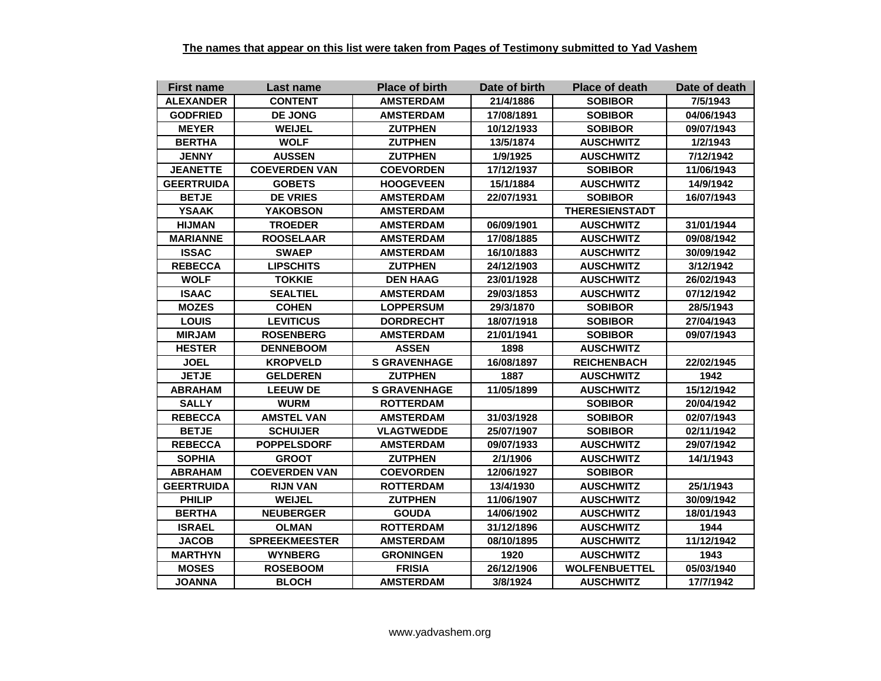| <b>First name</b> | Last name            | <b>Place of birth</b> | Date of birth | <b>Place of death</b> | Date of death |
|-------------------|----------------------|-----------------------|---------------|-----------------------|---------------|
| <b>ALEXANDER</b>  | <b>CONTENT</b>       | <b>AMSTERDAM</b>      | 21/4/1886     | <b>SOBIBOR</b>        | 7/5/1943      |
| <b>GODFRIED</b>   | <b>DE JONG</b>       | <b>AMSTERDAM</b>      | 17/08/1891    | <b>SOBIBOR</b>        | 04/06/1943    |
| <b>MEYER</b>      | <b>WEIJEL</b>        | <b>ZUTPHEN</b>        | 10/12/1933    | <b>SOBIBOR</b>        | 09/07/1943    |
| <b>BERTHA</b>     | <b>WOLF</b>          | <b>ZUTPHEN</b>        | 13/5/1874     | <b>AUSCHWITZ</b>      | 1/2/1943      |
| <b>JENNY</b>      | <b>AUSSEN</b>        | <b>ZUTPHEN</b>        | 1/9/1925      | <b>AUSCHWITZ</b>      | 7/12/1942     |
| <b>JEANETTE</b>   | <b>COEVERDEN VAN</b> | <b>COEVORDEN</b>      | 17/12/1937    | <b>SOBIBOR</b>        | 11/06/1943    |
| <b>GEERTRUIDA</b> | <b>GOBETS</b>        | <b>HOOGEVEEN</b>      | 15/1/1884     | <b>AUSCHWITZ</b>      | 14/9/1942     |
| <b>BETJE</b>      | <b>DE VRIES</b>      | <b>AMSTERDAM</b>      | 22/07/1931    | <b>SOBIBOR</b>        | 16/07/1943    |
| <b>YSAAK</b>      | <b>YAKOBSON</b>      | <b>AMSTERDAM</b>      |               | <b>THERESIENSTADT</b> |               |
| <b>HIJMAN</b>     | <b>TROEDER</b>       | <b>AMSTERDAM</b>      | 06/09/1901    | <b>AUSCHWITZ</b>      | 31/01/1944    |
| <b>MARIANNE</b>   | <b>ROOSELAAR</b>     | <b>AMSTERDAM</b>      | 17/08/1885    | <b>AUSCHWITZ</b>      | 09/08/1942    |
| <b>ISSAC</b>      | <b>SWAEP</b>         | <b>AMSTERDAM</b>      | 16/10/1883    | <b>AUSCHWITZ</b>      | 30/09/1942    |
| <b>REBECCA</b>    | <b>LIPSCHITS</b>     | <b>ZUTPHEN</b>        | 24/12/1903    | <b>AUSCHWITZ</b>      | 3/12/1942     |
| <b>WOLF</b>       | <b>TOKKIE</b>        | <b>DEN HAAG</b>       | 23/01/1928    | <b>AUSCHWITZ</b>      | 26/02/1943    |
| <b>ISAAC</b>      | <b>SEALTIEL</b>      | <b>AMSTERDAM</b>      | 29/03/1853    | <b>AUSCHWITZ</b>      | 07/12/1942    |
| <b>MOZES</b>      | <b>COHEN</b>         | <b>LOPPERSUM</b>      | 29/3/1870     | <b>SOBIBOR</b>        | 28/5/1943     |
| <b>LOUIS</b>      | <b>LEVITICUS</b>     | <b>DORDRECHT</b>      | 18/07/1918    | <b>SOBIBOR</b>        | 27/04/1943    |
| <b>MIRJAM</b>     | <b>ROSENBERG</b>     | <b>AMSTERDAM</b>      | 21/01/1941    | <b>SOBIBOR</b>        | 09/07/1943    |
| <b>HESTER</b>     | <b>DENNEBOOM</b>     | <b>ASSEN</b>          | 1898          | <b>AUSCHWITZ</b>      |               |
| <b>JOEL</b>       | <b>KROPVELD</b>      | <b>S GRAVENHAGE</b>   | 16/08/1897    | <b>REICHENBACH</b>    | 22/02/1945    |
| <b>JETJE</b>      | <b>GELDEREN</b>      | <b>ZUTPHEN</b>        | 1887          | <b>AUSCHWITZ</b>      | 1942          |
| <b>ABRAHAM</b>    | <b>LEEUW DE</b>      | <b>S GRAVENHAGE</b>   | 11/05/1899    | <b>AUSCHWITZ</b>      | 15/12/1942    |
| <b>SALLY</b>      | <b>WURM</b>          | <b>ROTTERDAM</b>      |               | <b>SOBIBOR</b>        | 20/04/1942    |
| <b>REBECCA</b>    | <b>AMSTEL VAN</b>    | <b>AMSTERDAM</b>      | 31/03/1928    | <b>SOBIBOR</b>        | 02/07/1943    |
| <b>BETJE</b>      | <b>SCHUIJER</b>      | <b>VLAGTWEDDE</b>     | 25/07/1907    | <b>SOBIBOR</b>        | 02/11/1942    |
| <b>REBECCA</b>    | <b>POPPELSDORF</b>   | <b>AMSTERDAM</b>      | 09/07/1933    | <b>AUSCHWITZ</b>      | 29/07/1942    |
| <b>SOPHIA</b>     | <b>GROOT</b>         | <b>ZUTPHEN</b>        | 2/1/1906      | <b>AUSCHWITZ</b>      | 14/1/1943     |
| <b>ABRAHAM</b>    | <b>COEVERDEN VAN</b> | <b>COEVORDEN</b>      | 12/06/1927    | <b>SOBIBOR</b>        |               |
| <b>GEERTRUIDA</b> | <b>RIJN VAN</b>      | <b>ROTTERDAM</b>      | 13/4/1930     | <b>AUSCHWITZ</b>      | 25/1/1943     |
| <b>PHILIP</b>     | <b>WEIJEL</b>        | <b>ZUTPHEN</b>        | 11/06/1907    | <b>AUSCHWITZ</b>      | 30/09/1942    |
| <b>BERTHA</b>     | <b>NEUBERGER</b>     | <b>GOUDA</b>          | 14/06/1902    | <b>AUSCHWITZ</b>      | 18/01/1943    |
| <b>ISRAEL</b>     | <b>OLMAN</b>         | <b>ROTTERDAM</b>      | 31/12/1896    | <b>AUSCHWITZ</b>      | 1944          |
| <b>JACOB</b>      | <b>SPREEKMEESTER</b> | <b>AMSTERDAM</b>      | 08/10/1895    | <b>AUSCHWITZ</b>      | 11/12/1942    |
| <b>MARTHYN</b>    | <b>WYNBERG</b>       | <b>GRONINGEN</b>      | 1920          | <b>AUSCHWITZ</b>      | 1943          |
| <b>MOSES</b>      | <b>ROSEBOOM</b>      | <b>FRISIA</b>         | 26/12/1906    | <b>WOLFENBUETTEL</b>  | 05/03/1940    |
| <b>JOANNA</b>     | <b>BLOCH</b>         | <b>AMSTERDAM</b>      | 3/8/1924      | <b>AUSCHWITZ</b>      | 17/7/1942     |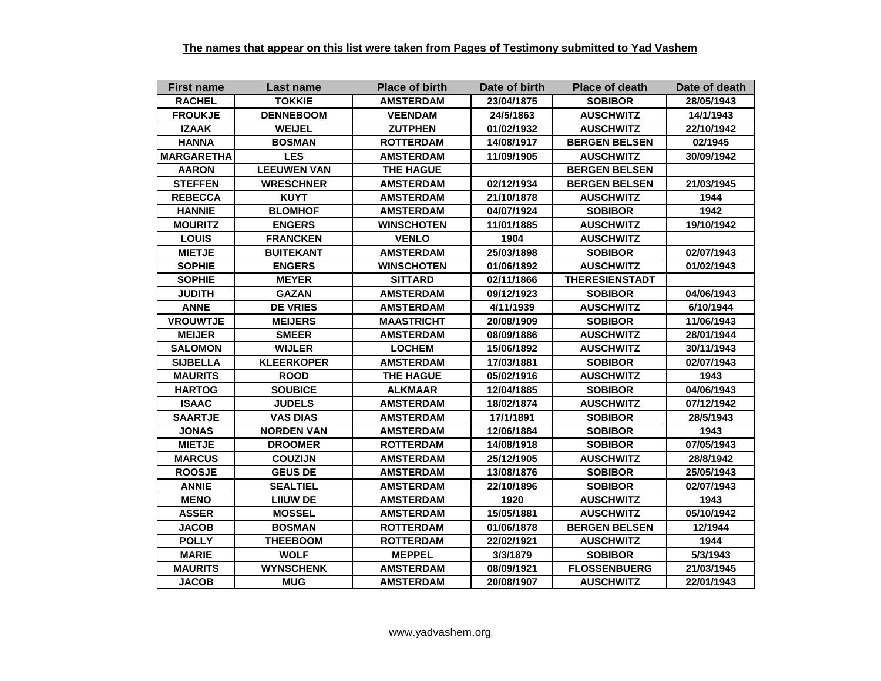| <b>First name</b> | Last name          | <b>Place of birth</b> | Date of birth | <b>Place of death</b> | Date of death |
|-------------------|--------------------|-----------------------|---------------|-----------------------|---------------|
| <b>RACHEL</b>     | <b>TOKKIE</b>      | <b>AMSTERDAM</b>      | 23/04/1875    | <b>SOBIBOR</b>        | 28/05/1943    |
| <b>FROUKJE</b>    | <b>DENNEBOOM</b>   | <b>VEENDAM</b>        | 24/5/1863     | <b>AUSCHWITZ</b>      | 14/1/1943     |
| <b>IZAAK</b>      | <b>WEIJEL</b>      | <b>ZUTPHEN</b>        | 01/02/1932    | <b>AUSCHWITZ</b>      | 22/10/1942    |
| <b>HANNA</b>      | <b>BOSMAN</b>      | <b>ROTTERDAM</b>      | 14/08/1917    | <b>BERGEN BELSEN</b>  | 02/1945       |
| MARGARETHA        | <b>LES</b>         | <b>AMSTERDAM</b>      | 11/09/1905    | <b>AUSCHWITZ</b>      | 30/09/1942    |
| <b>AARON</b>      | <b>LEEUWEN VAN</b> | <b>THE HAGUE</b>      |               | <b>BERGEN BELSEN</b>  |               |
| <b>STEFFEN</b>    | <b>WRESCHNER</b>   | AMSTERDAM             | 02/12/1934    | <b>BERGEN BELSEN</b>  | 21/03/1945    |
| <b>REBECCA</b>    | <b>KUYT</b>        | <b>AMSTERDAM</b>      | 21/10/1878    | <b>AUSCHWITZ</b>      | 1944          |
| <b>HANNIE</b>     | <b>BLOMHOF</b>     | <b>AMSTERDAM</b>      | 04/07/1924    | <b>SOBIBOR</b>        | 1942          |
| <b>MOURITZ</b>    | <b>ENGERS</b>      | <b>WINSCHOTEN</b>     | 11/01/1885    | <b>AUSCHWITZ</b>      | 19/10/1942    |
| <b>LOUIS</b>      | <b>FRANCKEN</b>    | <b>VENLO</b>          | 1904          | <b>AUSCHWITZ</b>      |               |
| <b>MIETJE</b>     | <b>BUITEKANT</b>   | <b>AMSTERDAM</b>      | 25/03/1898    | <b>SOBIBOR</b>        | 02/07/1943    |
| <b>SOPHIE</b>     | <b>ENGERS</b>      | <b>WINSCHOTEN</b>     | 01/06/1892    | <b>AUSCHWITZ</b>      | 01/02/1943    |
| <b>SOPHIE</b>     | <b>MEYER</b>       | <b>SITTARD</b>        | 02/11/1866    | <b>THERESIENSTADT</b> |               |
| <b>JUDITH</b>     | <b>GAZAN</b>       | <b>AMSTERDAM</b>      | 09/12/1923    | <b>SOBIBOR</b>        | 04/06/1943    |
| <b>ANNE</b>       | <b>DE VRIES</b>    | <b>AMSTERDAM</b>      | 4/11/1939     | <b>AUSCHWITZ</b>      | 6/10/1944     |
| <b>VROUWTJE</b>   | <b>MEIJERS</b>     | <b>MAASTRICHT</b>     | 20/08/1909    | <b>SOBIBOR</b>        | 11/06/1943    |
| <b>MEIJER</b>     | <b>SMEER</b>       | <b>AMSTERDAM</b>      | 08/09/1886    | <b>AUSCHWITZ</b>      | 28/01/1944    |
| <b>SALOMON</b>    | <b>WIJLER</b>      | <b>LOCHEM</b>         | 15/06/1892    | <b>AUSCHWITZ</b>      | 30/11/1943    |
| <b>SIJBELLA</b>   | <b>KLEERKOPER</b>  | <b>AMSTERDAM</b>      | 17/03/1881    | <b>SOBIBOR</b>        | 02/07/1943    |
| <b>MAURITS</b>    | <b>ROOD</b>        | <b>THE HAGUE</b>      | 05/02/1916    | <b>AUSCHWITZ</b>      | 1943          |
| <b>HARTOG</b>     | <b>SOUBICE</b>     | <b>ALKMAAR</b>        | 12/04/1885    | <b>SOBIBOR</b>        | 04/06/1943    |
| <b>ISAAC</b>      | <b>JUDELS</b>      | <b>AMSTERDAM</b>      | 18/02/1874    | <b>AUSCHWITZ</b>      | 07/12/1942    |
| <b>SAARTJE</b>    | <b>VAS DIAS</b>    | <b>AMSTERDAM</b>      | 17/1/1891     | <b>SOBIBOR</b>        | 28/5/1943     |
| <b>JONAS</b>      | <b>NORDEN VAN</b>  | <b>AMSTERDAM</b>      | 12/06/1884    | <b>SOBIBOR</b>        | 1943          |
| <b>MIETJE</b>     | <b>DROOMER</b>     | <b>ROTTERDAM</b>      | 14/08/1918    | <b>SOBIBOR</b>        | 07/05/1943    |
| <b>MARCUS</b>     | <b>COUZIJN</b>     | <b>AMSTERDAM</b>      | 25/12/1905    | <b>AUSCHWITZ</b>      | 28/8/1942     |
| <b>ROOSJE</b>     | <b>GEUS DE</b>     | <b>AMSTERDAM</b>      | 13/08/1876    | <b>SOBIBOR</b>        | 25/05/1943    |
| <b>ANNIE</b>      | <b>SEALTIEL</b>    | <b>AMSTERDAM</b>      | 22/10/1896    | <b>SOBIBOR</b>        | 02/07/1943    |
| <b>MENO</b>       | <b>LIIUW DE</b>    | <b>AMSTERDAM</b>      | 1920          | <b>AUSCHWITZ</b>      | 1943          |
| <b>ASSER</b>      | <b>MOSSEL</b>      | <b>AMSTERDAM</b>      | 15/05/1881    | <b>AUSCHWITZ</b>      | 05/10/1942    |
| <b>JACOB</b>      | <b>BOSMAN</b>      | <b>ROTTERDAM</b>      | 01/06/1878    | <b>BERGEN BELSEN</b>  | 12/1944       |
| <b>POLLY</b>      | <b>THEEBOOM</b>    | <b>ROTTERDAM</b>      | 22/02/1921    | <b>AUSCHWITZ</b>      | 1944          |
| <b>MARIE</b>      | <b>WOLF</b>        | <b>MEPPEL</b>         | 3/3/1879      | <b>SOBIBOR</b>        | 5/3/1943      |
| <b>MAURITS</b>    | <b>WYNSCHENK</b>   | <b>AMSTERDAM</b>      | 08/09/1921    | <b>FLOSSENBUERG</b>   | 21/03/1945    |
| <b>JACOB</b>      | <b>MUG</b>         | <b>AMSTERDAM</b>      | 20/08/1907    | <b>AUSCHWITZ</b>      | 22/01/1943    |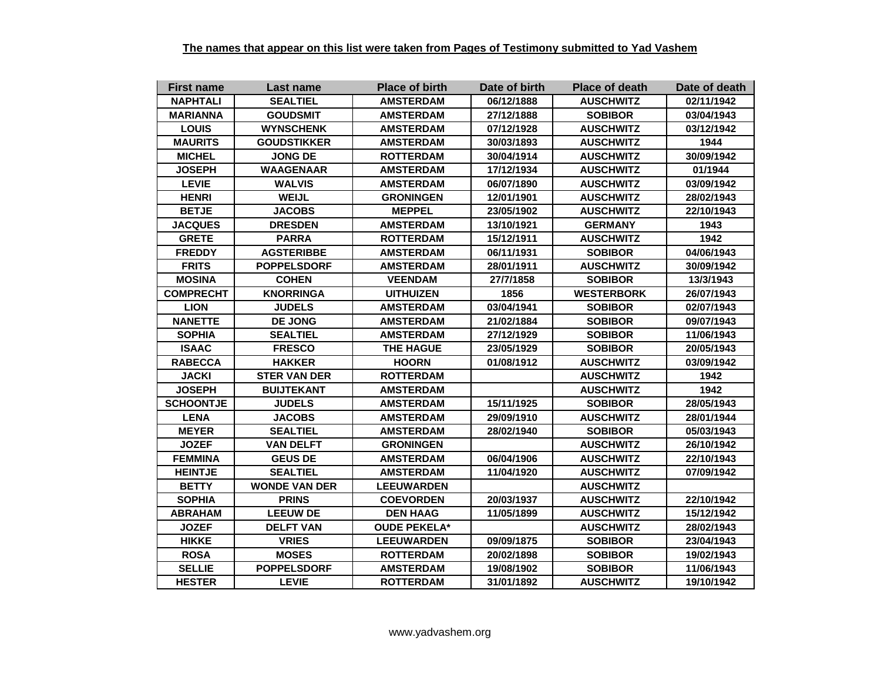| <b>First name</b> | Last name            | <b>Place of birth</b> | Date of birth | Place of death    | Date of death |
|-------------------|----------------------|-----------------------|---------------|-------------------|---------------|
| <b>NAPHTALI</b>   | <b>SEALTIEL</b>      | <b>AMSTERDAM</b>      | 06/12/1888    | <b>AUSCHWITZ</b>  | 02/11/1942    |
| MARIANNA          | <b>GOUDSMIT</b>      | <b>AMSTERDAM</b>      | 27/12/1888    | <b>SOBIBOR</b>    | 03/04/1943    |
| <b>LOUIS</b>      | <b>WYNSCHENK</b>     | <b>AMSTERDAM</b>      | 07/12/1928    | <b>AUSCHWITZ</b>  | 03/12/1942    |
| <b>MAURITS</b>    | <b>GOUDSTIKKER</b>   | <b>AMSTERDAM</b>      | 30/03/1893    | <b>AUSCHWITZ</b>  | 1944          |
| <b>MICHEL</b>     | JONG DE              | <b>ROTTERDAM</b>      | 30/04/1914    | <b>AUSCHWITZ</b>  | 30/09/1942    |
| <b>JOSEPH</b>     | <b>WAAGENAAR</b>     | <b>AMSTERDAM</b>      | 17/12/1934    | <b>AUSCHWITZ</b>  | 01/1944       |
| <b>LEVIE</b>      | <b>WALVIS</b>        | <b>AMSTERDAM</b>      | 06/07/1890    | <b>AUSCHWITZ</b>  | 03/09/1942    |
| <b>HENRI</b>      | <b>WEIJL</b>         | <b>GRONINGEN</b>      | 12/01/1901    | <b>AUSCHWITZ</b>  | 28/02/1943    |
| <b>BETJE</b>      | <b>JACOBS</b>        | <b>MEPPEL</b>         | 23/05/1902    | <b>AUSCHWITZ</b>  | 22/10/1943    |
| <b>JACQUES</b>    | <b>DRESDEN</b>       | <b>AMSTERDAM</b>      | 13/10/1921    | <b>GERMANY</b>    | 1943          |
| <b>GRETE</b>      | <b>PARRA</b>         | <b>ROTTERDAM</b>      | 15/12/1911    | <b>AUSCHWITZ</b>  | 1942          |
| <b>FREDDY</b>     | <b>AGSTERIBBE</b>    | <b>AMSTERDAM</b>      | 06/11/1931    | <b>SOBIBOR</b>    | 04/06/1943    |
| <b>FRITS</b>      | <b>POPPELSDORF</b>   | <b>AMSTERDAM</b>      | 28/01/1911    | <b>AUSCHWITZ</b>  | 30/09/1942    |
| <b>MOSINA</b>     | <b>COHEN</b>         | <b>VEENDAM</b>        | 27/7/1858     | <b>SOBIBOR</b>    | 13/3/1943     |
| <b>COMPRECHT</b>  | <b>KNORRINGA</b>     | <b>UITHUIZEN</b>      | 1856          | <b>WESTERBORK</b> | 26/07/1943    |
| <b>LION</b>       | <b>JUDELS</b>        | <b>AMSTERDAM</b>      | 03/04/1941    | <b>SOBIBOR</b>    | 02/07/1943    |
| <b>NANETTE</b>    | <b>DE JONG</b>       | <b>AMSTERDAM</b>      | 21/02/1884    | <b>SOBIBOR</b>    | 09/07/1943    |
| <b>SOPHIA</b>     | <b>SEALTIEL</b>      | <b>AMSTERDAM</b>      | 27/12/1929    | <b>SOBIBOR</b>    | 11/06/1943    |
| <b>ISAAC</b>      | <b>FRESCO</b>        | <b>THE HAGUE</b>      | 23/05/1929    | <b>SOBIBOR</b>    | 20/05/1943    |
| <b>RABECCA</b>    | <b>HAKKER</b>        | <b>HOORN</b>          | 01/08/1912    | <b>AUSCHWITZ</b>  | 03/09/1942    |
| <b>JACKI</b>      | <b>STER VAN DER</b>  | <b>ROTTERDAM</b>      |               | <b>AUSCHWITZ</b>  | 1942          |
| <b>JOSEPH</b>     | <b>BUIJTEKANT</b>    | <b>AMSTERDAM</b>      |               | <b>AUSCHWITZ</b>  | 1942          |
| <b>SCHOONTJE</b>  | <b>JUDELS</b>        | <b>AMSTERDAM</b>      | 15/11/1925    | <b>SOBIBOR</b>    | 28/05/1943    |
| <b>LENA</b>       | <b>JACOBS</b>        | <b>AMSTERDAM</b>      | 29/09/1910    | <b>AUSCHWITZ</b>  | 28/01/1944    |
| <b>MEYER</b>      | <b>SEALTIEL</b>      | <b>AMSTERDAM</b>      | 28/02/1940    | <b>SOBIBOR</b>    | 05/03/1943    |
| <b>JOZEF</b>      | <b>VAN DELFT</b>     | <b>GRONINGEN</b>      |               | <b>AUSCHWITZ</b>  | 26/10/1942    |
| <b>FEMMINA</b>    | <b>GEUS DE</b>       | <b>AMSTERDAM</b>      | 06/04/1906    | <b>AUSCHWITZ</b>  | 22/10/1943    |
| <b>HEINTJE</b>    | <b>SEALTIEL</b>      | <b>AMSTERDAM</b>      | 11/04/1920    | <b>AUSCHWITZ</b>  | 07/09/1942    |
| <b>BETTY</b>      | <b>WONDE VAN DER</b> | <b>LEEUWARDEN</b>     |               | <b>AUSCHWITZ</b>  |               |
| <b>SOPHIA</b>     | <b>PRINS</b>         | <b>COEVORDEN</b>      | 20/03/1937    | <b>AUSCHWITZ</b>  | 22/10/1942    |
| <b>ABRAHAM</b>    | <b>LEEUW DE</b>      | <b>DEN HAAG</b>       | 11/05/1899    | <b>AUSCHWITZ</b>  | 15/12/1942    |
| <b>JOZEF</b>      | <b>DELFT VAN</b>     | <b>OUDE PEKELA*</b>   |               | <b>AUSCHWITZ</b>  | 28/02/1943    |
| <b>HIKKE</b>      | <b>VRIES</b>         | <b>LEEUWARDEN</b>     | 09/09/1875    | <b>SOBIBOR</b>    | 23/04/1943    |
| <b>ROSA</b>       | <b>MOSES</b>         | <b>ROTTERDAM</b>      | 20/02/1898    | <b>SOBIBOR</b>    | 19/02/1943    |
| <b>SELLIE</b>     | <b>POPPELSDORF</b>   | <b>AMSTERDAM</b>      | 19/08/1902    | <b>SOBIBOR</b>    | 11/06/1943    |
| <b>HESTER</b>     | <b>LEVIE</b>         | <b>ROTTERDAM</b>      | 31/01/1892    | <b>AUSCHWITZ</b>  | 19/10/1942    |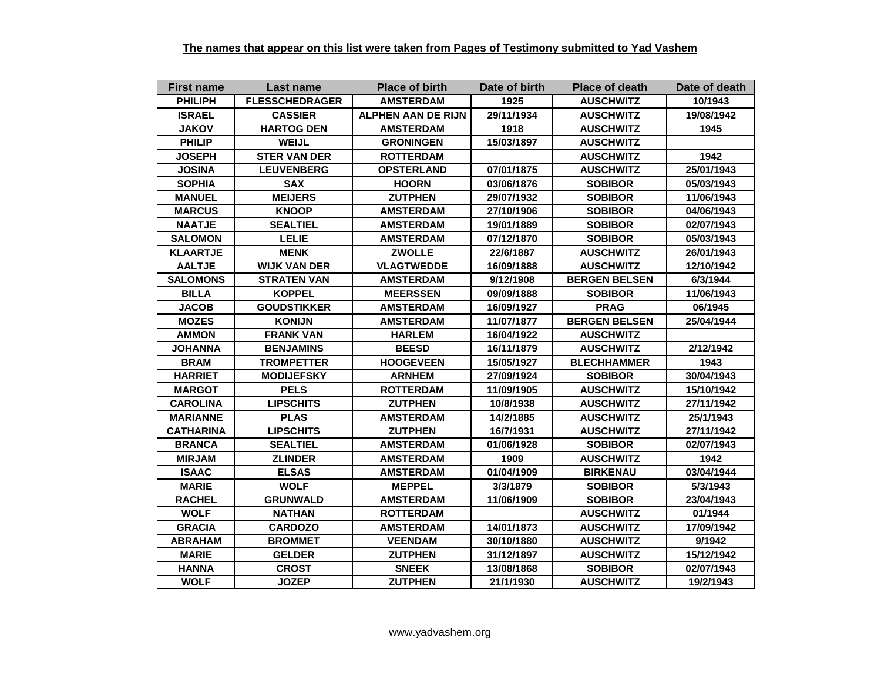| <b>First name</b> | Last name             | <b>Place of birth</b>     | Date of birth | <b>Place of death</b> | Date of death |
|-------------------|-----------------------|---------------------------|---------------|-----------------------|---------------|
| <b>PHILIPH</b>    | <b>FLESSCHEDRAGER</b> | <b>AMSTERDAM</b>          | 1925          | <b>AUSCHWITZ</b>      | 10/1943       |
| <b>ISRAEL</b>     | <b>CASSIER</b>        | <b>ALPHEN AAN DE RIJN</b> | 29/11/1934    | <b>AUSCHWITZ</b>      | 19/08/1942    |
| <b>JAKOV</b>      | <b>HARTOG DEN</b>     | <b>AMSTERDAM</b>          | 1918          | <b>AUSCHWITZ</b>      | 1945          |
| <b>PHILIP</b>     | <b>WEIJL</b>          | <b>GRONINGEN</b>          | 15/03/1897    | <b>AUSCHWITZ</b>      |               |
| <b>JOSEPH</b>     | <b>STER VAN DER</b>   | <b>ROTTERDAM</b>          |               | <b>AUSCHWITZ</b>      | 1942          |
| <b>JOSINA</b>     | <b>LEUVENBERG</b>     | <b>OPSTERLAND</b>         | 07/01/1875    | <b>AUSCHWITZ</b>      | 25/01/1943    |
| <b>SOPHIA</b>     | <b>SAX</b>            | <b>HOORN</b>              | 03/06/1876    | <b>SOBIBOR</b>        | 05/03/1943    |
| <b>MANUEL</b>     | <b>MEIJERS</b>        | <b>ZUTPHEN</b>            | 29/07/1932    | <b>SOBIBOR</b>        | 11/06/1943    |
| <b>MARCUS</b>     | <b>KNOOP</b>          | <b>AMSTERDAM</b>          | 27/10/1906    | <b>SOBIBOR</b>        | 04/06/1943    |
| <b>NAATJE</b>     | <b>SEALTIEL</b>       | <b>AMSTERDAM</b>          | 19/01/1889    | <b>SOBIBOR</b>        | 02/07/1943    |
| <b>SALOMON</b>    | <b>LELIE</b>          | <b>AMSTERDAM</b>          | 07/12/1870    | <b>SOBIBOR</b>        | 05/03/1943    |
| <b>KLAARTJE</b>   | <b>MENK</b>           | <b>ZWOLLE</b>             | 22/6/1887     | <b>AUSCHWITZ</b>      | 26/01/1943    |
| <b>AALTJE</b>     | <b>WIJK VAN DER</b>   | <b>VLAGTWEDDE</b>         | 16/09/1888    | <b>AUSCHWITZ</b>      | 12/10/1942    |
| <b>SALOMONS</b>   | <b>STRATEN VAN</b>    | <b>AMSTERDAM</b>          | 9/12/1908     | <b>BERGEN BELSEN</b>  | 6/3/1944      |
| <b>BILLA</b>      | <b>KOPPEL</b>         | <b>MEERSSEN</b>           | 09/09/1888    | <b>SOBIBOR</b>        | 11/06/1943    |
| <b>JACOB</b>      | <b>GOUDSTIKKER</b>    | <b>AMSTERDAM</b>          | 16/09/1927    | <b>PRAG</b>           | 06/1945       |
| <b>MOZES</b>      | <b>KONIJN</b>         | <b>AMSTERDAM</b>          | 11/07/1877    | <b>BERGEN BELSEN</b>  | 25/04/1944    |
| <b>AMMON</b>      | <b>FRANK VAN</b>      | <b>HARLEM</b>             | 16/04/1922    | <b>AUSCHWITZ</b>      |               |
| <b>JOHANNA</b>    | <b>BENJAMINS</b>      | <b>BEESD</b>              | 16/11/1879    | <b>AUSCHWITZ</b>      | 2/12/1942     |
| <b>BRAM</b>       | <b>TROMPETTER</b>     | <b>HOOGEVEEN</b>          | 15/05/1927    | <b>BLECHHAMMER</b>    | 1943          |
| <b>HARRIET</b>    | <b>MODIJEFSKY</b>     | <b>ARNHEM</b>             | 27/09/1924    | <b>SOBIBOR</b>        | 30/04/1943    |
| <b>MARGOT</b>     | <b>PELS</b>           | <b>ROTTERDAM</b>          | 11/09/1905    | <b>AUSCHWITZ</b>      | 15/10/1942    |
| <b>CAROLINA</b>   | <b>LIPSCHITS</b>      | <b>ZUTPHEN</b>            | 10/8/1938     | <b>AUSCHWITZ</b>      | 27/11/1942    |
| <b>MARIANNE</b>   | <b>PLAS</b>           | <b>AMSTERDAM</b>          | 14/2/1885     | <b>AUSCHWITZ</b>      | 25/1/1943     |
| <b>CATHARINA</b>  | <b>LIPSCHITS</b>      | <b>ZUTPHEN</b>            | 16/7/1931     | <b>AUSCHWITZ</b>      | 27/11/1942    |
| <b>BRANCA</b>     | <b>SEALTIEL</b>       | <b>AMSTERDAM</b>          | 01/06/1928    | <b>SOBIBOR</b>        | 02/07/1943    |
| <b>MIRJAM</b>     | <b>ZLINDER</b>        | <b>AMSTERDAM</b>          | 1909          | <b>AUSCHWITZ</b>      | 1942          |
| <b>ISAAC</b>      | <b>ELSAS</b>          | <b>AMSTERDAM</b>          | 01/04/1909    | <b>BIRKENAU</b>       | 03/04/1944    |
| <b>MARIE</b>      | <b>WOLF</b>           | <b>MEPPEL</b>             | 3/3/1879      | <b>SOBIBOR</b>        | 5/3/1943      |
| <b>RACHEL</b>     | <b>GRUNWALD</b>       | <b>AMSTERDAM</b>          | 11/06/1909    | <b>SOBIBOR</b>        | 23/04/1943    |
| <b>WOLF</b>       | <b>NATHAN</b>         | <b>ROTTERDAM</b>          |               | <b>AUSCHWITZ</b>      | 01/1944       |
| <b>GRACIA</b>     | <b>CARDOZO</b>        | <b>AMSTERDAM</b>          | 14/01/1873    | <b>AUSCHWITZ</b>      | 17/09/1942    |
| <b>ABRAHAM</b>    | <b>BROMMET</b>        | <b>VEENDAM</b>            | 30/10/1880    | <b>AUSCHWITZ</b>      | 9/1942        |
| <b>MARIE</b>      | <b>GELDER</b>         | <b>ZUTPHEN</b>            | 31/12/1897    | <b>AUSCHWITZ</b>      | 15/12/1942    |
| <b>HANNA</b>      | <b>CROST</b>          | <b>SNEEK</b>              | 13/08/1868    | <b>SOBIBOR</b>        | 02/07/1943    |
| <b>WOLF</b>       | <b>JOZEP</b>          | <b>ZUTPHEN</b>            | 21/1/1930     | <b>AUSCHWITZ</b>      | 19/2/1943     |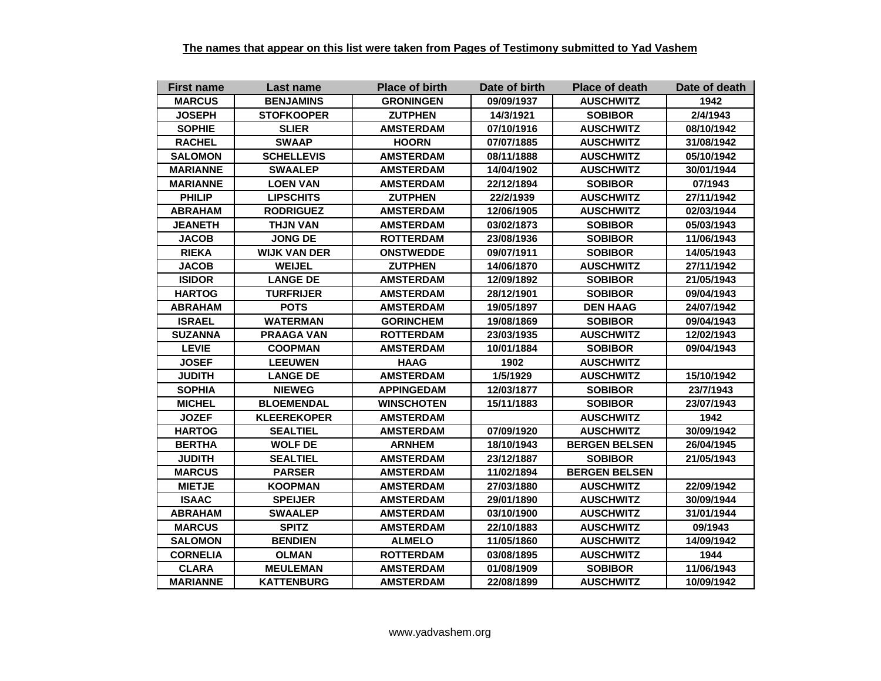| <b>First name</b> | Last name           | <b>Place of birth</b> | Date of birth | <b>Place of death</b> | Date of death |
|-------------------|---------------------|-----------------------|---------------|-----------------------|---------------|
| <b>MARCUS</b>     | <b>BENJAMINS</b>    | <b>GRONINGEN</b>      | 09/09/1937    | <b>AUSCHWITZ</b>      | 1942          |
| <b>JOSEPH</b>     | <b>STOFKOOPER</b>   | <b>ZUTPHEN</b>        | 14/3/1921     | <b>SOBIBOR</b>        | 2/4/1943      |
| <b>SOPHIE</b>     | <b>SLIER</b>        | <b>AMSTERDAM</b>      | 07/10/1916    | <b>AUSCHWITZ</b>      | 08/10/1942    |
| <b>RACHEL</b>     | <b>SWAAP</b>        | <b>HOORN</b>          | 07/07/1885    | <b>AUSCHWITZ</b>      | 31/08/1942    |
| <b>SALOMON</b>    | <b>SCHELLEVIS</b>   | <b>AMSTERDAM</b>      | 08/11/1888    | <b>AUSCHWITZ</b>      | 05/10/1942    |
| <b>MARIANNE</b>   | <b>SWAALEP</b>      | <b>AMSTERDAM</b>      | 14/04/1902    | <b>AUSCHWITZ</b>      | 30/01/1944    |
| <b>MARIANNE</b>   | <b>LOEN VAN</b>     | <b>AMSTERDAM</b>      | 22/12/1894    | <b>SOBIBOR</b>        | 07/1943       |
| <b>PHILIP</b>     | <b>LIPSCHITS</b>    | <b>ZUTPHEN</b>        | 22/2/1939     | <b>AUSCHWITZ</b>      | 27/11/1942    |
| <b>ABRAHAM</b>    | <b>RODRIGUEZ</b>    | <b>AMSTERDAM</b>      | 12/06/1905    | <b>AUSCHWITZ</b>      | 02/03/1944    |
| <b>JEANETH</b>    | <b>THJN VAN</b>     | <b>AMSTERDAM</b>      | 03/02/1873    | <b>SOBIBOR</b>        | 05/03/1943    |
| <b>JACOB</b>      | <b>JONG DE</b>      | <b>ROTTERDAM</b>      | 23/08/1936    | <b>SOBIBOR</b>        | 11/06/1943    |
| <b>RIEKA</b>      | <b>WIJK VAN DER</b> | <b>ONSTWEDDE</b>      | 09/07/1911    | <b>SOBIBOR</b>        | 14/05/1943    |
| <b>JACOB</b>      | <b>WEIJEL</b>       | <b>ZUTPHEN</b>        | 14/06/1870    | <b>AUSCHWITZ</b>      | 27/11/1942    |
| <b>ISIDOR</b>     | <b>LANGE DE</b>     | <b>AMSTERDAM</b>      | 12/09/1892    | <b>SOBIBOR</b>        | 21/05/1943    |
| <b>HARTOG</b>     | <b>TURFRIJER</b>    | <b>AMSTERDAM</b>      | 28/12/1901    | <b>SOBIBOR</b>        | 09/04/1943    |
| <b>ABRAHAM</b>    | <b>POTS</b>         | <b>AMSTERDAM</b>      | 19/05/1897    | <b>DEN HAAG</b>       | 24/07/1942    |
| <b>ISRAEL</b>     | <b>WATERMAN</b>     | <b>GORINCHEM</b>      | 19/08/1869    | <b>SOBIBOR</b>        | 09/04/1943    |
| <b>SUZANNA</b>    | <b>PRAAGA VAN</b>   | <b>ROTTERDAM</b>      | 23/03/1935    | <b>AUSCHWITZ</b>      | 12/02/1943    |
| <b>LEVIE</b>      | <b>COOPMAN</b>      | <b>AMSTERDAM</b>      | 10/01/1884    | <b>SOBIBOR</b>        | 09/04/1943    |
| <b>JOSEF</b>      | <b>LEEUWEN</b>      | <b>HAAG</b>           | 1902          | <b>AUSCHWITZ</b>      |               |
| <b>JUDITH</b>     | <b>LANGE DE</b>     | <b>AMSTERDAM</b>      | 1/5/1929      | <b>AUSCHWITZ</b>      | 15/10/1942    |
| <b>SOPHIA</b>     | <b>NIEWEG</b>       | <b>APPINGEDAM</b>     | 12/03/1877    | <b>SOBIBOR</b>        | 23/7/1943     |
| <b>MICHEL</b>     | <b>BLOEMENDAL</b>   | <b>WINSCHOTEN</b>     | 15/11/1883    | <b>SOBIBOR</b>        | 23/07/1943    |
| <b>JOZEF</b>      | <b>KLEEREKOPER</b>  | <b>AMSTERDAM</b>      |               | <b>AUSCHWITZ</b>      | 1942          |
| <b>HARTOG</b>     | <b>SEALTIEL</b>     | <b>AMSTERDAM</b>      | 07/09/1920    | <b>AUSCHWITZ</b>      | 30/09/1942    |
| <b>BERTHA</b>     | <b>WOLF DE</b>      | <b>ARNHEM</b>         | 18/10/1943    | <b>BERGEN BELSEN</b>  | 26/04/1945    |
| <b>JUDITH</b>     | <b>SEALTIEL</b>     | <b>AMSTERDAM</b>      | 23/12/1887    | <b>SOBIBOR</b>        | 21/05/1943    |
| <b>MARCUS</b>     | <b>PARSER</b>       | <b>AMSTERDAM</b>      | 11/02/1894    | <b>BERGEN BELSEN</b>  |               |
| <b>MIETJE</b>     | <b>KOOPMAN</b>      | <b>AMSTERDAM</b>      | 27/03/1880    | <b>AUSCHWITZ</b>      | 22/09/1942    |
| <b>ISAAC</b>      | <b>SPEIJER</b>      | <b>AMSTERDAM</b>      | 29/01/1890    | <b>AUSCHWITZ</b>      | 30/09/1944    |
| <b>ABRAHAM</b>    | <b>SWAALEP</b>      | <b>AMSTERDAM</b>      | 03/10/1900    | <b>AUSCHWITZ</b>      | 31/01/1944    |
| <b>MARCUS</b>     | <b>SPITZ</b>        | <b>AMSTERDAM</b>      | 22/10/1883    | <b>AUSCHWITZ</b>      | 09/1943       |
| <b>SALOMON</b>    | <b>BENDIEN</b>      | <b>ALMELO</b>         | 11/05/1860    | <b>AUSCHWITZ</b>      | 14/09/1942    |
| <b>CORNELIA</b>   | <b>OLMAN</b>        | <b>ROTTERDAM</b>      | 03/08/1895    | <b>AUSCHWITZ</b>      | 1944          |
| <b>CLARA</b>      | <b>MEULEMAN</b>     | <b>AMSTERDAM</b>      | 01/08/1909    | <b>SOBIBOR</b>        | 11/06/1943    |
| <b>MARIANNE</b>   | <b>KATTENBURG</b>   | <b>AMSTERDAM</b>      | 22/08/1899    | <b>AUSCHWITZ</b>      | 10/09/1942    |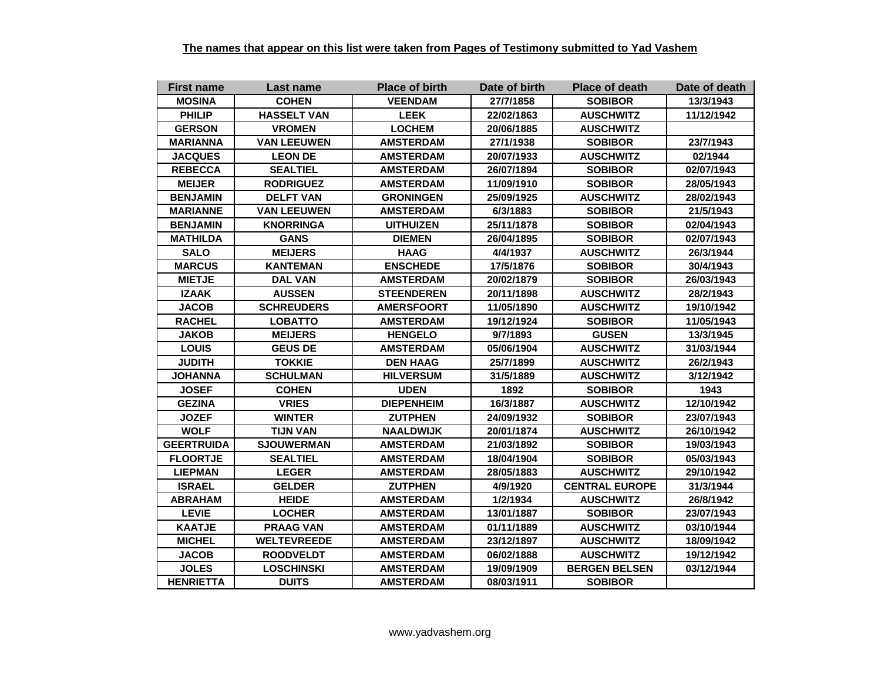| <b>First name</b> | Last name          | <b>Place of birth</b> | Date of birth | <b>Place of death</b> | Date of death |
|-------------------|--------------------|-----------------------|---------------|-----------------------|---------------|
| <b>MOSINA</b>     | <b>COHEN</b>       | <b>VEENDAM</b>        | 27/7/1858     | <b>SOBIBOR</b>        | 13/3/1943     |
| <b>PHILIP</b>     | <b>HASSELT VAN</b> | <b>LEEK</b>           | 22/02/1863    | <b>AUSCHWITZ</b>      | 11/12/1942    |
| <b>GERSON</b>     | <b>VROMEN</b>      | <b>LOCHEM</b>         | 20/06/1885    | <b>AUSCHWITZ</b>      |               |
| <b>MARIANNA</b>   | <b>VAN LEEUWEN</b> | <b>AMSTERDAM</b>      | 27/1/1938     | <b>SOBIBOR</b>        | 23/7/1943     |
| <b>JACQUES</b>    | <b>LEON DE</b>     | <b>AMSTERDAM</b>      | 20/07/1933    | <b>AUSCHWITZ</b>      | 02/1944       |
| <b>REBECCA</b>    | <b>SEALTIEL</b>    | <b>AMSTERDAM</b>      | 26/07/1894    | <b>SOBIBOR</b>        | 02/07/1943    |
| <b>MEIJER</b>     | <b>RODRIGUEZ</b>   | <b>AMSTERDAM</b>      | 11/09/1910    | <b>SOBIBOR</b>        | 28/05/1943    |
| <b>BENJAMIN</b>   | <b>DELFT VAN</b>   | <b>GRONINGEN</b>      | 25/09/1925    | <b>AUSCHWITZ</b>      | 28/02/1943    |
| <b>MARIANNE</b>   | <b>VAN LEEUWEN</b> | <b>AMSTERDAM</b>      | 6/3/1883      | <b>SOBIBOR</b>        | 21/5/1943     |
| <b>BENJAMIN</b>   | <b>KNORRINGA</b>   | <b>UITHUIZEN</b>      | 25/11/1878    | <b>SOBIBOR</b>        | 02/04/1943    |
| <b>MATHILDA</b>   | <b>GANS</b>        | <b>DIEMEN</b>         | 26/04/1895    | <b>SOBIBOR</b>        | 02/07/1943    |
| <b>SALO</b>       | <b>MEIJERS</b>     | <b>HAAG</b>           | 4/4/1937      | <b>AUSCHWITZ</b>      | 26/3/1944     |
| <b>MARCUS</b>     | <b>KANTEMAN</b>    | <b>ENSCHEDE</b>       | 17/5/1876     | <b>SOBIBOR</b>        | 30/4/1943     |
| <b>MIETJE</b>     | <b>DAL VAN</b>     | <b>AMSTERDAM</b>      | 20/02/1879    | <b>SOBIBOR</b>        | 26/03/1943    |
| <b>IZAAK</b>      | <b>AUSSEN</b>      | <b>STEENDEREN</b>     | 20/11/1898    | <b>AUSCHWITZ</b>      | 28/2/1943     |
| <b>JACOB</b>      | <b>SCHREUDERS</b>  | <b>AMERSFOORT</b>     | 11/05/1890    | <b>AUSCHWITZ</b>      | 19/10/1942    |
| <b>RACHEL</b>     | <b>LOBATTO</b>     | <b>AMSTERDAM</b>      | 19/12/1924    | <b>SOBIBOR</b>        | 11/05/1943    |
| <b>JAKOB</b>      | <b>MEIJERS</b>     | <b>HENGELO</b>        | 9/7/1893      | <b>GUSEN</b>          | 13/3/1945     |
| <b>LOUIS</b>      | <b>GEUS DE</b>     | <b>AMSTERDAM</b>      | 05/06/1904    | <b>AUSCHWITZ</b>      | 31/03/1944    |
| <b>JUDITH</b>     | <b>TOKKIE</b>      | <b>DEN HAAG</b>       | 25/7/1899     | <b>AUSCHWITZ</b>      | 26/2/1943     |
| <b>JOHANNA</b>    | <b>SCHULMAN</b>    | <b>HILVERSUM</b>      | 31/5/1889     | <b>AUSCHWITZ</b>      | 3/12/1942     |
| <b>JOSEF</b>      | <b>COHEN</b>       | <b>UDEN</b>           | 1892          | <b>SOBIBOR</b>        | 1943          |
| <b>GEZINA</b>     | <b>VRIES</b>       | <b>DIEPENHEIM</b>     | 16/3/1887     | <b>AUSCHWITZ</b>      | 12/10/1942    |
| <b>JOZEF</b>      | <b>WINTER</b>      | <b>ZUTPHEN</b>        | 24/09/1932    | <b>SOBIBOR</b>        | 23/07/1943    |
| <b>WOLF</b>       | <b>TIJN VAN</b>    | <b>NAALDWIJK</b>      | 20/01/1874    | <b>AUSCHWITZ</b>      | 26/10/1942    |
| <b>GEERTRUIDA</b> | <b>SJOUWERMAN</b>  | <b>AMSTERDAM</b>      | 21/03/1892    | <b>SOBIBOR</b>        | 19/03/1943    |
| <b>FLOORTJE</b>   | <b>SEALTIEL</b>    | <b>AMSTERDAM</b>      | 18/04/1904    | <b>SOBIBOR</b>        | 05/03/1943    |
| <b>LIEPMAN</b>    | <b>LEGER</b>       | <b>AMSTERDAM</b>      | 28/05/1883    | <b>AUSCHWITZ</b>      | 29/10/1942    |
| <b>ISRAEL</b>     | <b>GELDER</b>      | <b>ZUTPHEN</b>        | 4/9/1920      | <b>CENTRAL EUROPE</b> | 31/3/1944     |
| <b>ABRAHAM</b>    | <b>HEIDE</b>       | <b>AMSTERDAM</b>      | 1/2/1934      | <b>AUSCHWITZ</b>      | 26/8/1942     |
| <b>LEVIE</b>      | <b>LOCHER</b>      | <b>AMSTERDAM</b>      | 13/01/1887    | <b>SOBIBOR</b>        | 23/07/1943    |
| <b>KAATJE</b>     | <b>PRAAG VAN</b>   | <b>AMSTERDAM</b>      | 01/11/1889    | <b>AUSCHWITZ</b>      | 03/10/1944    |
| <b>MICHEL</b>     | <b>WELTEVREEDE</b> | <b>AMSTERDAM</b>      | 23/12/1897    | <b>AUSCHWITZ</b>      | 18/09/1942    |
| <b>JACOB</b>      | <b>ROODVELDT</b>   | <b>AMSTERDAM</b>      | 06/02/1888    | <b>AUSCHWITZ</b>      | 19/12/1942    |
| <b>JOLES</b>      | <b>LOSCHINSKI</b>  | <b>AMSTERDAM</b>      | 19/09/1909    | <b>BERGEN BELSEN</b>  | 03/12/1944    |
| <b>HENRIETTA</b>  | <b>DUITS</b>       | <b>AMSTERDAM</b>      | 08/03/1911    | <b>SOBIBOR</b>        |               |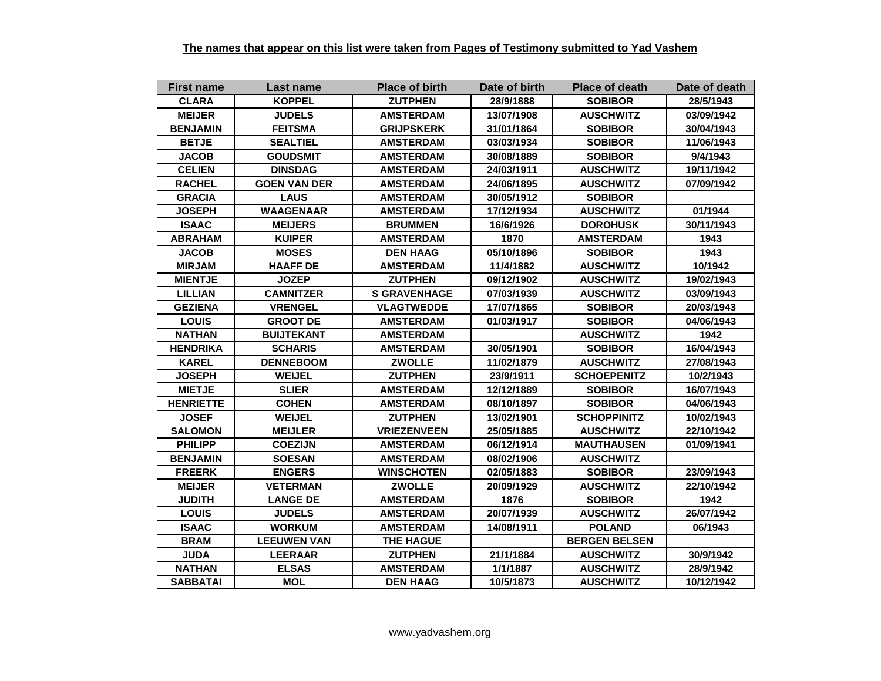| <b>First name</b> | Last name           | <b>Place of birth</b> | Date of birth | <b>Place of death</b> | Date of death |
|-------------------|---------------------|-----------------------|---------------|-----------------------|---------------|
| <b>CLARA</b>      | <b>KOPPEL</b>       | <b>ZUTPHEN</b>        | 28/9/1888     | <b>SOBIBOR</b>        | 28/5/1943     |
| <b>MEIJER</b>     | <b>JUDELS</b>       | <b>AMSTERDAM</b>      | 13/07/1908    | <b>AUSCHWITZ</b>      | 03/09/1942    |
| <b>BENJAMIN</b>   | <b>FEITSMA</b>      | <b>GRIJPSKERK</b>     | 31/01/1864    | <b>SOBIBOR</b>        | 30/04/1943    |
| <b>BETJE</b>      | <b>SEALTIEL</b>     | <b>AMSTERDAM</b>      | 03/03/1934    | <b>SOBIBOR</b>        | 11/06/1943    |
| <b>JACOB</b>      | <b>GOUDSMIT</b>     | <b>AMSTERDAM</b>      | 30/08/1889    | <b>SOBIBOR</b>        | 9/4/1943      |
| <b>CELIEN</b>     | <b>DINSDAG</b>      | <b>AMSTERDAM</b>      | 24/03/1911    | <b>AUSCHWITZ</b>      | 19/11/1942    |
| <b>RACHEL</b>     | <b>GOEN VAN DER</b> | <b>AMSTERDAM</b>      | 24/06/1895    | <b>AUSCHWITZ</b>      | 07/09/1942    |
| <b>GRACIA</b>     | <b>LAUS</b>         | <b>AMSTERDAM</b>      | 30/05/1912    | <b>SOBIBOR</b>        |               |
| <b>JOSEPH</b>     | <b>WAAGENAAR</b>    | <b>AMSTERDAM</b>      | 17/12/1934    | <b>AUSCHWITZ</b>      | 01/1944       |
| <b>ISAAC</b>      | <b>MEIJERS</b>      | <b>BRUMMEN</b>        | 16/6/1926     | <b>DOROHUSK</b>       | 30/11/1943    |
| <b>ABRAHAM</b>    | <b>KUIPER</b>       | <b>AMSTERDAM</b>      | 1870          | <b>AMSTERDAM</b>      | 1943          |
| <b>JACOB</b>      | <b>MOSES</b>        | <b>DEN HAAG</b>       | 05/10/1896    | <b>SOBIBOR</b>        | 1943          |
| <b>MIRJAM</b>     | <b>HAAFF DE</b>     | <b>AMSTERDAM</b>      | 11/4/1882     | <b>AUSCHWITZ</b>      | 10/1942       |
| <b>MIENTJE</b>    | <b>JOZEP</b>        | <b>ZUTPHEN</b>        | 09/12/1902    | <b>AUSCHWITZ</b>      | 19/02/1943    |
| <b>LILLIAN</b>    | <b>CAMNITZER</b>    | <b>S GRAVENHAGE</b>   | 07/03/1939    | <b>AUSCHWITZ</b>      | 03/09/1943    |
| <b>GEZIENA</b>    | <b>VRENGEL</b>      | <b>VLAGTWEDDE</b>     | 17/07/1865    | <b>SOBIBOR</b>        | 20/03/1943    |
| <b>LOUIS</b>      | <b>GROOT DE</b>     | <b>AMSTERDAM</b>      | 01/03/1917    | <b>SOBIBOR</b>        | 04/06/1943    |
| <b>NATHAN</b>     | <b>BUIJTEKANT</b>   | <b>AMSTERDAM</b>      |               | <b>AUSCHWITZ</b>      | 1942          |
| <b>HENDRIKA</b>   | <b>SCHARIS</b>      | <b>AMSTERDAM</b>      | 30/05/1901    | <b>SOBIBOR</b>        | 16/04/1943    |
| <b>KAREL</b>      | <b>DENNEBOOM</b>    | <b>ZWOLLE</b>         | 11/02/1879    | <b>AUSCHWITZ</b>      | 27/08/1943    |
| <b>JOSEPH</b>     | <b>WEIJEL</b>       | <b>ZUTPHEN</b>        | 23/9/1911     | <b>SCHOEPENITZ</b>    | 10/2/1943     |
| <b>MIETJE</b>     | <b>SLIER</b>        | <b>AMSTERDAM</b>      | 12/12/1889    | <b>SOBIBOR</b>        | 16/07/1943    |
| <b>HENRIETTE</b>  | <b>COHEN</b>        | <b>AMSTERDAM</b>      | 08/10/1897    | <b>SOBIBOR</b>        | 04/06/1943    |
| <b>JOSEF</b>      | <b>WEIJEL</b>       | <b>ZUTPHEN</b>        | 13/02/1901    | <b>SCHOPPINITZ</b>    | 10/02/1943    |
| <b>SALOMON</b>    | <b>MEIJLER</b>      | <b>VRIEZENVEEN</b>    | 25/05/1885    | <b>AUSCHWITZ</b>      | 22/10/1942    |
| <b>PHILIPP</b>    | <b>COEZIJN</b>      | <b>AMSTERDAM</b>      | 06/12/1914    | <b>MAUTHAUSEN</b>     | 01/09/1941    |
| <b>BENJAMIN</b>   | <b>SOESAN</b>       | <b>AMSTERDAM</b>      | 08/02/1906    | <b>AUSCHWITZ</b>      |               |
| <b>FREERK</b>     | <b>ENGERS</b>       | <b>WINSCHOTEN</b>     | 02/05/1883    | <b>SOBIBOR</b>        | 23/09/1943    |
| <b>MEIJER</b>     | <b>VETERMAN</b>     | <b>ZWOLLE</b>         | 20/09/1929    | <b>AUSCHWITZ</b>      | 22/10/1942    |
| <b>JUDITH</b>     | <b>LANGE DE</b>     | <b>AMSTERDAM</b>      | 1876          | <b>SOBIBOR</b>        | 1942          |
| <b>LOUIS</b>      | <b>JUDELS</b>       | <b>AMSTERDAM</b>      | 20/07/1939    | <b>AUSCHWITZ</b>      | 26/07/1942    |
| <b>ISAAC</b>      | <b>WORKUM</b>       | <b>AMSTERDAM</b>      | 14/08/1911    | <b>POLAND</b>         | 06/1943       |
| <b>BRAM</b>       | <b>LEEUWEN VAN</b>  | <b>THE HAGUE</b>      |               | <b>BERGEN BELSEN</b>  |               |
| <b>JUDA</b>       | <b>LEERAAR</b>      | <b>ZUTPHEN</b>        | 21/1/1884     | <b>AUSCHWITZ</b>      | 30/9/1942     |
| <b>NATHAN</b>     | <b>ELSAS</b>        | <b>AMSTERDAM</b>      | 1/1/1887      | <b>AUSCHWITZ</b>      | 28/9/1942     |
| <b>SABBATAI</b>   | <b>MOL</b>          | <b>DEN HAAG</b>       | 10/5/1873     | <b>AUSCHWITZ</b>      | 10/12/1942    |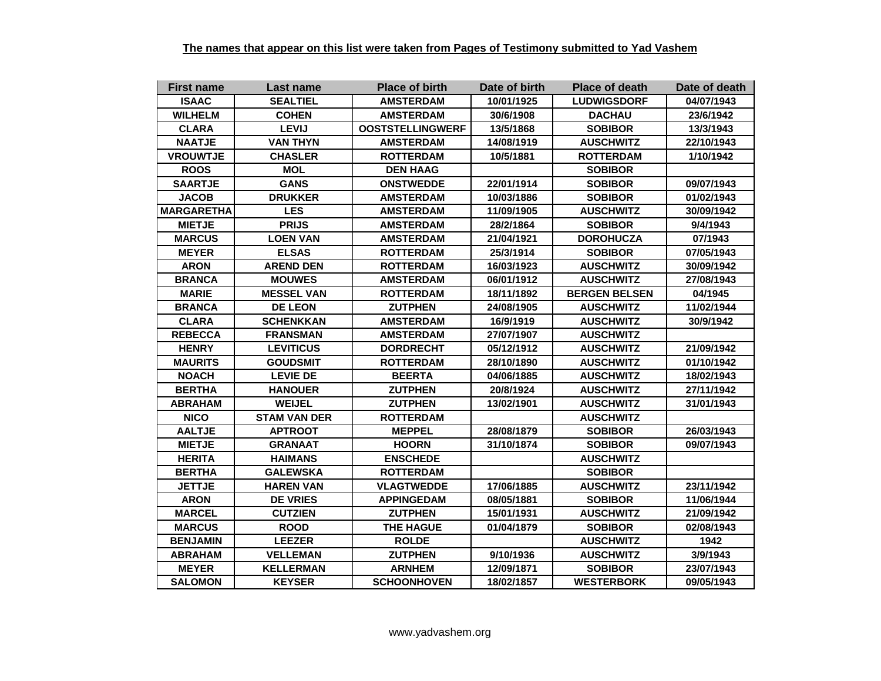| <b>First name</b> | Last name           | <b>Place of birth</b>   | Date of birth | <b>Place of death</b> | Date of death |
|-------------------|---------------------|-------------------------|---------------|-----------------------|---------------|
| <b>ISAAC</b>      | <b>SEALTIEL</b>     | <b>AMSTERDAM</b>        | 10/01/1925    | <b>LUDWIGSDORF</b>    | 04/07/1943    |
| <b>WILHELM</b>    | <b>COHEN</b>        | <b>AMSTERDAM</b>        | 30/6/1908     | <b>DACHAU</b>         | 23/6/1942     |
| <b>CLARA</b>      | <b>LEVIJ</b>        | <b>OOSTSTELLINGWERF</b> | 13/5/1868     | <b>SOBIBOR</b>        | 13/3/1943     |
| <b>NAATJE</b>     | <b>VAN THYN</b>     | <b>AMSTERDAM</b>        | 14/08/1919    | <b>AUSCHWITZ</b>      | 22/10/1943    |
| <b>VROUWTJE</b>   | <b>CHASLER</b>      | <b>ROTTERDAM</b>        | 10/5/1881     | <b>ROTTERDAM</b>      | 1/10/1942     |
| <b>ROOS</b>       | <b>MOL</b>          | <b>DEN HAAG</b>         |               | <b>SOBIBOR</b>        |               |
| <b>SAARTJE</b>    | <b>GANS</b>         | <b>ONSTWEDDE</b>        | 22/01/1914    | <b>SOBIBOR</b>        | 09/07/1943    |
| <b>JACOB</b>      | <b>DRUKKER</b>      | <b>AMSTERDAM</b>        | 10/03/1886    | <b>SOBIBOR</b>        | 01/02/1943    |
| <b>MARGARETHA</b> | <b>LES</b>          | <b>AMSTERDAM</b>        | 11/09/1905    | <b>AUSCHWITZ</b>      | 30/09/1942    |
| <b>MIETJE</b>     | <b>PRIJS</b>        | <b>AMSTERDAM</b>        | 28/2/1864     | <b>SOBIBOR</b>        | 9/4/1943      |
| <b>MARCUS</b>     | <b>LOEN VAN</b>     | <b>AMSTERDAM</b>        | 21/04/1921    | <b>DOROHUCZA</b>      | 07/1943       |
| <b>MEYER</b>      | <b>ELSAS</b>        | <b>ROTTERDAM</b>        | 25/3/1914     | <b>SOBIBOR</b>        | 07/05/1943    |
| <b>ARON</b>       | <b>AREND DEN</b>    | <b>ROTTERDAM</b>        | 16/03/1923    | <b>AUSCHWITZ</b>      | 30/09/1942    |
| <b>BRANCA</b>     | <b>MOUWES</b>       | <b>AMSTERDAM</b>        | 06/01/1912    | <b>AUSCHWITZ</b>      | 27/08/1943    |
| <b>MARIE</b>      | <b>MESSEL VAN</b>   | <b>ROTTERDAM</b>        | 18/11/1892    | <b>BERGEN BELSEN</b>  | 04/1945       |
| <b>BRANCA</b>     | <b>DE LEON</b>      | <b>ZUTPHEN</b>          | 24/08/1905    | <b>AUSCHWITZ</b>      | 11/02/1944    |
| <b>CLARA</b>      | <b>SCHENKKAN</b>    | <b>AMSTERDAM</b>        | 16/9/1919     | <b>AUSCHWITZ</b>      | 30/9/1942     |
| <b>REBECCA</b>    | <b>FRANSMAN</b>     | <b>AMSTERDAM</b>        | 27/07/1907    | <b>AUSCHWITZ</b>      |               |
| <b>HENRY</b>      | <b>LEVITICUS</b>    | <b>DORDRECHT</b>        | 05/12/1912    | <b>AUSCHWITZ</b>      | 21/09/1942    |
| <b>MAURITS</b>    | <b>GOUDSMIT</b>     | <b>ROTTERDAM</b>        | 28/10/1890    | <b>AUSCHWITZ</b>      | 01/10/1942    |
| <b>NOACH</b>      | <b>LEVIE DE</b>     | <b>BEERTA</b>           | 04/06/1885    | <b>AUSCHWITZ</b>      | 18/02/1943    |
| <b>BERTHA</b>     | <b>HANOUER</b>      | <b>ZUTPHEN</b>          | 20/8/1924     | <b>AUSCHWITZ</b>      | 27/11/1942    |
| <b>ABRAHAM</b>    | <b>WEIJEL</b>       | <b>ZUTPHEN</b>          | 13/02/1901    | <b>AUSCHWITZ</b>      | 31/01/1943    |
| <b>NICO</b>       | <b>STAM VAN DER</b> | <b>ROTTERDAM</b>        |               | <b>AUSCHWITZ</b>      |               |
| <b>AALTJE</b>     | <b>APTROOT</b>      | <b>MEPPEL</b>           | 28/08/1879    | <b>SOBIBOR</b>        | 26/03/1943    |
| <b>MIETJE</b>     | <b>GRANAAT</b>      | <b>HOORN</b>            | 31/10/1874    | <b>SOBIBOR</b>        | 09/07/1943    |
| <b>HERITA</b>     | <b>HAIMANS</b>      | <b>ENSCHEDE</b>         |               | <b>AUSCHWITZ</b>      |               |
| <b>BERTHA</b>     | <b>GALEWSKA</b>     | <b>ROTTERDAM</b>        |               | <b>SOBIBOR</b>        |               |
| <b>JETTJE</b>     | <b>HAREN VAN</b>    | <b>VLAGTWEDDE</b>       | 17/06/1885    | <b>AUSCHWITZ</b>      | 23/11/1942    |
| <b>ARON</b>       | <b>DE VRIES</b>     | <b>APPINGEDAM</b>       | 08/05/1881    | <b>SOBIBOR</b>        | 11/06/1944    |
| <b>MARCEL</b>     | <b>CUTZIEN</b>      | <b>ZUTPHEN</b>          | 15/01/1931    | <b>AUSCHWITZ</b>      | 21/09/1942    |
| <b>MARCUS</b>     | <b>ROOD</b>         | <b>THE HAGUE</b>        | 01/04/1879    | <b>SOBIBOR</b>        | 02/08/1943    |
| <b>BENJAMIN</b>   | <b>LEEZER</b>       | <b>ROLDE</b>            |               | <b>AUSCHWITZ</b>      | 1942          |
| <b>ABRAHAM</b>    | <b>VELLEMAN</b>     | <b>ZUTPHEN</b>          | 9/10/1936     | <b>AUSCHWITZ</b>      | 3/9/1943      |
| <b>MEYER</b>      | <b>KELLERMAN</b>    | <b>ARNHEM</b>           | 12/09/1871    | <b>SOBIBOR</b>        | 23/07/1943    |
| <b>SALOMON</b>    | <b>KEYSER</b>       | <b>SCHOONHOVEN</b>      | 18/02/1857    | <b>WESTERBORK</b>     | 09/05/1943    |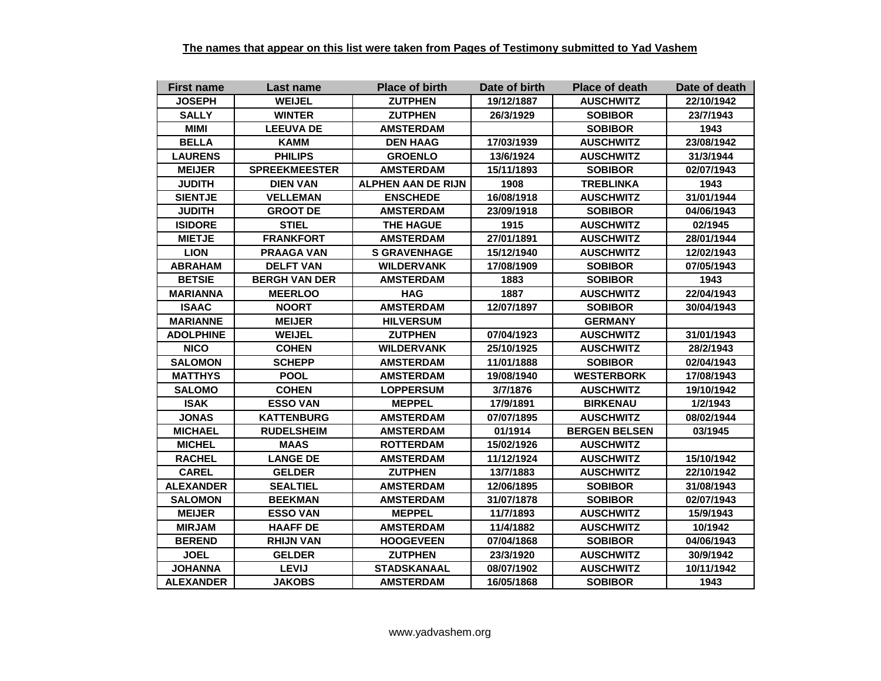| <b>First name</b> | Last name            | <b>Place of birth</b> | Date of birth | <b>Place of death</b> | Date of death |
|-------------------|----------------------|-----------------------|---------------|-----------------------|---------------|
| <b>JOSEPH</b>     | <b>WEIJEL</b>        | <b>ZUTPHEN</b>        | 19/12/1887    | <b>AUSCHWITZ</b>      | 22/10/1942    |
| <b>SALLY</b>      | <b>WINTER</b>        | <b>ZUTPHEN</b>        | 26/3/1929     | <b>SOBIBOR</b>        | 23/7/1943     |
| <b>MIMI</b>       | <b>LEEUVA DE</b>     | <b>AMSTERDAM</b>      |               | <b>SOBIBOR</b>        | 1943          |
| <b>BELLA</b>      | KAMM                 | <b>DEN HAAG</b>       | 17/03/1939    | <b>AUSCHWITZ</b>      | 23/08/1942    |
| <b>LAURENS</b>    | <b>PHILIPS</b>       | <b>GROENLO</b>        | 13/6/1924     | <b>AUSCHWITZ</b>      | 31/3/1944     |
| <b>MEIJER</b>     | <b>SPREEKMEESTER</b> | <b>AMSTERDAM</b>      | 15/11/1893    | <b>SOBIBOR</b>        | 02/07/1943    |
| <b>JUDITH</b>     | <b>DIEN VAN</b>      | ALPHEN AAN DE RIJN    | 1908          | TREBLINKA             | 1943          |
| <b>SIENTJE</b>    | <b>VELLEMAN</b>      | <b>ENSCHEDE</b>       | 16/08/1918    | <b>AUSCHWITZ</b>      | 31/01/1944    |
| <b>JUDITH</b>     | <b>GROOT DE</b>      | <b>AMSTERDAM</b>      | 23/09/1918    | <b>SOBIBOR</b>        | 04/06/1943    |
| <b>ISIDORE</b>    | <b>STIEL</b>         | <b>THE HAGUE</b>      | 1915          | <b>AUSCHWITZ</b>      | 02/1945       |
| <b>MIETJE</b>     | <b>FRANKFORT</b>     | <b>AMSTERDAM</b>      | 27/01/1891    | <b>AUSCHWITZ</b>      | 28/01/1944    |
| <b>LION</b>       | <b>PRAAGA VAN</b>    | <b>S GRAVENHAGE</b>   | 15/12/1940    | <b>AUSCHWITZ</b>      | 12/02/1943    |
| <b>ABRAHAM</b>    | <b>DELFT VAN</b>     | <b>WILDERVANK</b>     | 17/08/1909    | <b>SOBIBOR</b>        | 07/05/1943    |
| <b>BETSIE</b>     | <b>BERGH VAN DER</b> | <b>AMSTERDAM</b>      | 1883          | <b>SOBIBOR</b>        | 1943          |
| <b>MARIANNA</b>   | <b>MEERLOO</b>       | <b>HAG</b>            | 1887          | <b>AUSCHWITZ</b>      | 22/04/1943    |
| <b>ISAAC</b>      | <b>NOORT</b>         | <b>AMSTERDAM</b>      | 12/07/1897    | <b>SOBIBOR</b>        | 30/04/1943    |
| <b>MARIANNE</b>   | <b>MEIJER</b>        | <b>HILVERSUM</b>      |               | <b>GERMANY</b>        |               |
| <b>ADOLPHINE</b>  | <b>WEIJEL</b>        | <b>ZUTPHEN</b>        | 07/04/1923    | <b>AUSCHWITZ</b>      | 31/01/1943    |
| <b>NICO</b>       | <b>COHEN</b>         | <b>WILDERVANK</b>     | 25/10/1925    | <b>AUSCHWITZ</b>      | 28/2/1943     |
| <b>SALOMON</b>    | <b>SCHEPP</b>        | <b>AMSTERDAM</b>      | 11/01/1888    | <b>SOBIBOR</b>        | 02/04/1943    |
| <b>MATTHYS</b>    | <b>POOL</b>          | <b>AMSTERDAM</b>      | 19/08/1940    | <b>WESTERBORK</b>     | 17/08/1943    |
| <b>SALOMO</b>     | <b>COHEN</b>         | <b>LOPPERSUM</b>      | 3/7/1876      | <b>AUSCHWITZ</b>      | 19/10/1942    |
| <b>ISAK</b>       | <b>ESSO VAN</b>      | <b>MEPPEL</b>         | 17/9/1891     | <b>BIRKENAU</b>       | 1/2/1943      |
| <b>JONAS</b>      | <b>KATTENBURG</b>    | <b>AMSTERDAM</b>      | 07/07/1895    | <b>AUSCHWITZ</b>      | 08/02/1944    |
| <b>MICHAEL</b>    | <b>RUDELSHEIM</b>    | <b>AMSTERDAM</b>      | 01/1914       | <b>BERGEN BELSEN</b>  | 03/1945       |
| <b>MICHEL</b>     | <b>MAAS</b>          | <b>ROTTERDAM</b>      | 15/02/1926    | <b>AUSCHWITZ</b>      |               |
| <b>RACHEL</b>     | <b>LANGE DE</b>      | <b>AMSTERDAM</b>      | 11/12/1924    | <b>AUSCHWITZ</b>      | 15/10/1942    |
| <b>CAREL</b>      | <b>GELDER</b>        | <b>ZUTPHEN</b>        | 13/7/1883     | <b>AUSCHWITZ</b>      | 22/10/1942    |
| <b>ALEXANDER</b>  | <b>SEALTIEL</b>      | <b>AMSTERDAM</b>      | 12/06/1895    | <b>SOBIBOR</b>        | 31/08/1943    |
| <b>SALOMON</b>    | <b>BEEKMAN</b>       | <b>AMSTERDAM</b>      | 31/07/1878    | <b>SOBIBOR</b>        | 02/07/1943    |
| <b>MEIJER</b>     | <b>ESSO VAN</b>      | <b>MEPPEL</b>         | 11/7/1893     | <b>AUSCHWITZ</b>      | 15/9/1943     |
| <b>MIRJAM</b>     | <b>HAAFF DE</b>      | <b>AMSTERDAM</b>      | 11/4/1882     | <b>AUSCHWITZ</b>      | 10/1942       |
| <b>BEREND</b>     | <b>RHIJN VAN</b>     | <b>HOOGEVEEN</b>      | 07/04/1868    | <b>SOBIBOR</b>        | 04/06/1943    |
| <b>JOEL</b>       | <b>GELDER</b>        | <b>ZUTPHEN</b>        | 23/3/1920     | <b>AUSCHWITZ</b>      | 30/9/1942     |
| <b>JOHANNA</b>    | <b>LEVIJ</b>         | <b>STADSKANAAL</b>    | 08/07/1902    | <b>AUSCHWITZ</b>      | 10/11/1942    |
| <b>ALEXANDER</b>  | <b>JAKOBS</b>        | <b>AMSTERDAM</b>      | 16/05/1868    | <b>SOBIBOR</b>        | 1943          |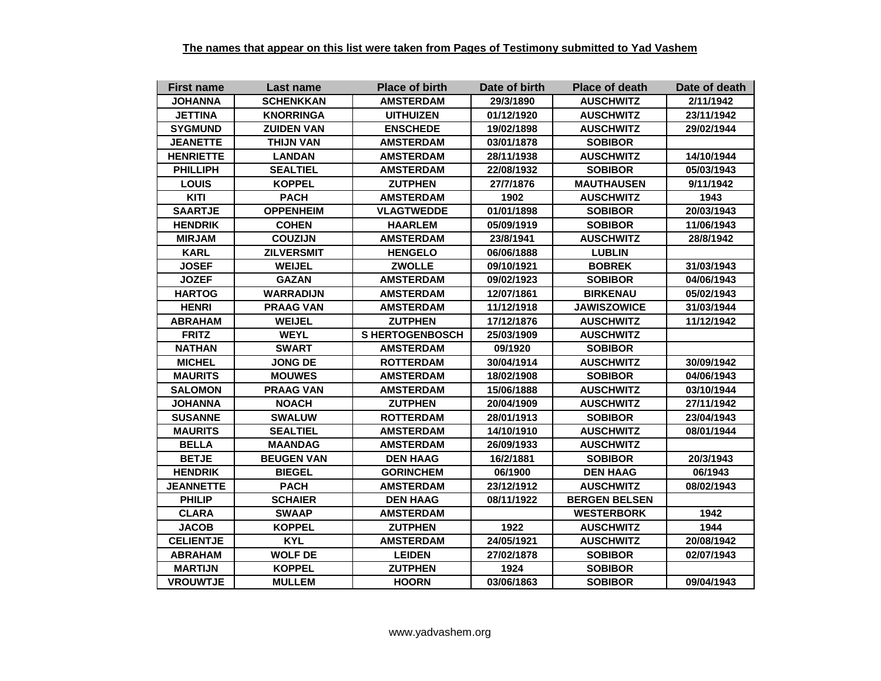| <b>First name</b> | Last name         | <b>Place of birth</b> | Date of birth | <b>Place of death</b> | Date of death |
|-------------------|-------------------|-----------------------|---------------|-----------------------|---------------|
| <b>JOHANNA</b>    | <b>SCHENKKAN</b>  | <b>AMSTERDAM</b>      | 29/3/1890     | <b>AUSCHWITZ</b>      | 2/11/1942     |
| <b>JETTINA</b>    | <b>KNORRINGA</b>  | <b>UITHUIZEN</b>      | 01/12/1920    | <b>AUSCHWITZ</b>      | 23/11/1942    |
| <b>SYGMUND</b>    | <b>ZUIDEN VAN</b> | <b>ENSCHEDE</b>       | 19/02/1898    | <b>AUSCHWITZ</b>      | 29/02/1944    |
| <b>JEANETTE</b>   | <b>THIJN VAN</b>  | <b>AMSTERDAM</b>      | 03/01/1878    | <b>SOBIBOR</b>        |               |
| <b>HENRIETTE</b>  | <b>LANDAN</b>     | <b>AMSTERDAM</b>      | 28/11/1938    | <b>AUSCHWITZ</b>      | 14/10/1944    |
| <b>PHILLIPH</b>   | <b>SEALTIEL</b>   | <b>AMSTERDAM</b>      | 22/08/1932    | <b>SOBIBOR</b>        | 05/03/1943    |
| <b>LOUIS</b>      | <b>KOPPEL</b>     | <b>ZUTPHEN</b>        | 27/7/1876     | <b>MAUTHAUSEN</b>     | 9/11/1942     |
| KITI              | <b>PACH</b>       | <b>AMSTERDAM</b>      | 1902          | <b>AUSCHWITZ</b>      | 1943          |
| <b>SAARTJE</b>    | <b>OPPENHEIM</b>  | <b>VLAGTWEDDE</b>     | 01/01/1898    | <b>SOBIBOR</b>        | 20/03/1943    |
| <b>HENDRIK</b>    | <b>COHEN</b>      | <b>HAARLEM</b>        | 05/09/1919    | <b>SOBIBOR</b>        | 11/06/1943    |
| <b>MIRJAM</b>     | <b>COUZIJN</b>    | <b>AMSTERDAM</b>      | 23/8/1941     | <b>AUSCHWITZ</b>      | 28/8/1942     |
| <b>KARL</b>       | <b>ZILVERSMIT</b> | <b>HENGELO</b>        | 06/06/1888    | <b>LUBLIN</b>         |               |
| <b>JOSEF</b>      | <b>WEIJEL</b>     | <b>ZWOLLE</b>         | 09/10/1921    | <b>BOBREK</b>         | 31/03/1943    |
| <b>JOZEF</b>      | <b>GAZAN</b>      | <b>AMSTERDAM</b>      | 09/02/1923    | <b>SOBIBOR</b>        | 04/06/1943    |
| <b>HARTOG</b>     | <b>WARRADIJN</b>  | <b>AMSTERDAM</b>      | 12/07/1861    | <b>BIRKENAU</b>       | 05/02/1943    |
| <b>HENRI</b>      | <b>PRAAG VAN</b>  | <b>AMSTERDAM</b>      | 11/12/1918    | <b>JAWISZOWICE</b>    | 31/03/1944    |
| <b>ABRAHAM</b>    | <b>WEIJEL</b>     | <b>ZUTPHEN</b>        | 17/12/1876    | <b>AUSCHWITZ</b>      | 11/12/1942    |
| <b>FRITZ</b>      | <b>WEYL</b>       | <b>SHERTOGENBOSCH</b> | 25/03/1909    | <b>AUSCHWITZ</b>      |               |
| <b>NATHAN</b>     | <b>SWART</b>      | <b>AMSTERDAM</b>      | 09/1920       | <b>SOBIBOR</b>        |               |
| <b>MICHEL</b>     | <b>JONG DE</b>    | <b>ROTTERDAM</b>      | 30/04/1914    | <b>AUSCHWITZ</b>      | 30/09/1942    |
| <b>MAURITS</b>    | <b>MOUWES</b>     | <b>AMSTERDAM</b>      | 18/02/1908    | <b>SOBIBOR</b>        | 04/06/1943    |
| <b>SALOMON</b>    | <b>PRAAG VAN</b>  | <b>AMSTERDAM</b>      | 15/06/1888    | <b>AUSCHWITZ</b>      | 03/10/1944    |
| <b>JOHANNA</b>    | <b>NOACH</b>      | <b>ZUTPHEN</b>        | 20/04/1909    | <b>AUSCHWITZ</b>      | 27/11/1942    |
| <b>SUSANNE</b>    | <b>SWALUW</b>     | <b>ROTTERDAM</b>      | 28/01/1913    | <b>SOBIBOR</b>        | 23/04/1943    |
| <b>MAURITS</b>    | <b>SEALTIEL</b>   | <b>AMSTERDAM</b>      | 14/10/1910    | <b>AUSCHWITZ</b>      | 08/01/1944    |
| <b>BELLA</b>      | <b>MAANDAG</b>    | <b>AMSTERDAM</b>      | 26/09/1933    | <b>AUSCHWITZ</b>      |               |
| <b>BETJE</b>      | <b>BEUGEN VAN</b> | <b>DEN HAAG</b>       | 16/2/1881     | <b>SOBIBOR</b>        | 20/3/1943     |
| <b>HENDRIK</b>    | <b>BIEGEL</b>     | <b>GORINCHEM</b>      | 06/1900       | <b>DEN HAAG</b>       | 06/1943       |
| <b>JEANNETTE</b>  | <b>PACH</b>       | <b>AMSTERDAM</b>      | 23/12/1912    | <b>AUSCHWITZ</b>      | 08/02/1943    |
| <b>PHILIP</b>     | <b>SCHAIER</b>    | <b>DEN HAAG</b>       | 08/11/1922    | <b>BERGEN BELSEN</b>  |               |
| <b>CLARA</b>      | <b>SWAAP</b>      | <b>AMSTERDAM</b>      |               | <b>WESTERBORK</b>     | 1942          |
| <b>JACOB</b>      | <b>KOPPEL</b>     | <b>ZUTPHEN</b>        | 1922          | <b>AUSCHWITZ</b>      | 1944          |
| <b>CELIENTJE</b>  | <b>KYL</b>        | <b>AMSTERDAM</b>      | 24/05/1921    | <b>AUSCHWITZ</b>      | 20/08/1942    |
| <b>ABRAHAM</b>    | <b>WOLF DE</b>    | <b>LEIDEN</b>         | 27/02/1878    | <b>SOBIBOR</b>        | 02/07/1943    |
| <b>MARTIJN</b>    | <b>KOPPEL</b>     | <b>ZUTPHEN</b>        | 1924          | <b>SOBIBOR</b>        |               |
| <b>VROUWTJE</b>   | <b>MULLEM</b>     | <b>HOORN</b>          | 03/06/1863    | <b>SOBIBOR</b>        | 09/04/1943    |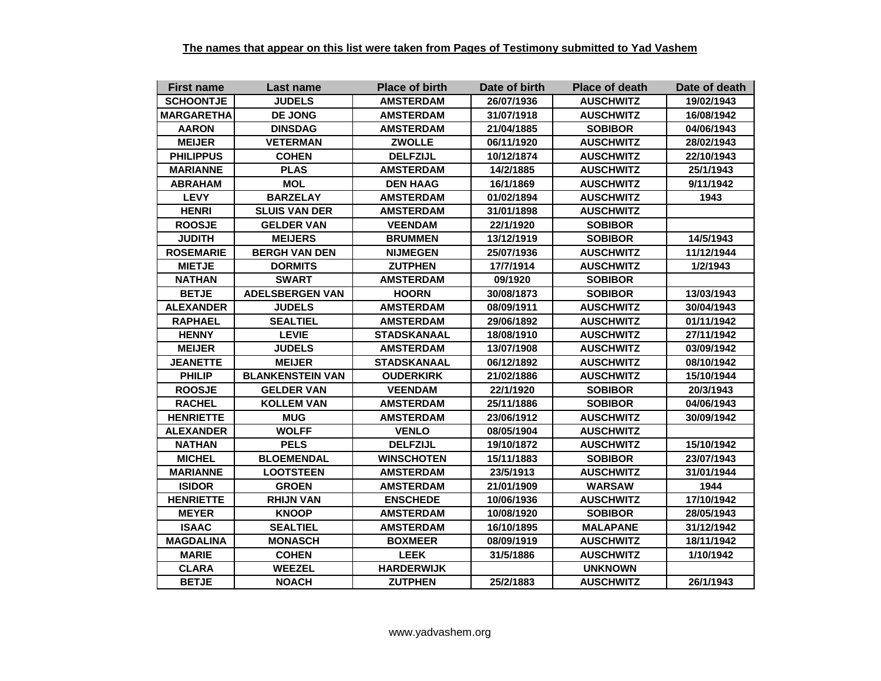| <b>First name</b> | Last name               | <b>Place of birth</b> | Date of birth | <b>Place of death</b> | Date of death |
|-------------------|-------------------------|-----------------------|---------------|-----------------------|---------------|
| <b>SCHOONTJE</b>  | <b>JUDELS</b>           | <b>AMSTERDAM</b>      | 26/07/1936    | <b>AUSCHWITZ</b>      | 19/02/1943    |
| <b>MARGARETHA</b> | <b>DE JONG</b>          | <b>AMSTERDAM</b>      | 31/07/1918    | <b>AUSCHWITZ</b>      | 16/08/1942    |
| <b>AARON</b>      | <b>DINSDAG</b>          | <b>AMSTERDAM</b>      | 21/04/1885    | <b>SOBIBOR</b>        | 04/06/1943    |
| <b>MEIJER</b>     | <b>VETERMAN</b>         | <b>ZWOLLE</b>         | 06/11/1920    | <b>AUSCHWITZ</b>      | 28/02/1943    |
| <b>PHILIPPUS</b>  | <b>COHEN</b>            | <b>DELFZIJL</b>       | 10/12/1874    | <b>AUSCHWITZ</b>      | 22/10/1943    |
| <b>MARIANNE</b>   | <b>PLAS</b>             | <b>AMSTERDAM</b>      | 14/2/1885     | <b>AUSCHWITZ</b>      | 25/1/1943     |
| <b>ABRAHAM</b>    | <b>MOL</b>              | <b>DEN HAAG</b>       | 16/1/1869     | <b>AUSCHWITZ</b>      | 9/11/1942     |
| <b>LEVY</b>       | <b>BARZELAY</b>         | <b>AMSTERDAM</b>      | 01/02/1894    | <b>AUSCHWITZ</b>      | 1943          |
| <b>HENRI</b>      | <b>SLUIS VAN DER</b>    | <b>AMSTERDAM</b>      | 31/01/1898    | <b>AUSCHWITZ</b>      |               |
| <b>ROOSJE</b>     | <b>GELDER VAN</b>       | <b>VEENDAM</b>        | 22/1/1920     | <b>SOBIBOR</b>        |               |
| <b>JUDITH</b>     | <b>MEIJERS</b>          | <b>BRUMMEN</b>        | 13/12/1919    | <b>SOBIBOR</b>        | 14/5/1943     |
| <b>ROSEMARIE</b>  | <b>BERGH VAN DEN</b>    | <b>NIJMEGEN</b>       | 25/07/1936    | <b>AUSCHWITZ</b>      | 11/12/1944    |
| <b>MIETJE</b>     | <b>DORMITS</b>          | <b>ZUTPHEN</b>        | 17/7/1914     | <b>AUSCHWITZ</b>      | 1/2/1943      |
| <b>NATHAN</b>     | <b>SWART</b>            | <b>AMSTERDAM</b>      | 09/1920       | <b>SOBIBOR</b>        |               |
| <b>BETJE</b>      | <b>ADELSBERGEN VAN</b>  | <b>HOORN</b>          | 30/08/1873    | <b>SOBIBOR</b>        | 13/03/1943    |
| <b>ALEXANDER</b>  | <b>JUDELS</b>           | <b>AMSTERDAM</b>      | 08/09/1911    | <b>AUSCHWITZ</b>      | 30/04/1943    |
| <b>RAPHAEL</b>    | <b>SEALTIEL</b>         | <b>AMSTERDAM</b>      | 29/06/1892    | <b>AUSCHWITZ</b>      | 01/11/1942    |
| <b>HENNY</b>      | <b>LEVIE</b>            | <b>STADSKANAAL</b>    | 18/08/1910    | <b>AUSCHWITZ</b>      | 27/11/1942    |
| <b>MEIJER</b>     | <b>JUDELS</b>           | <b>AMSTERDAM</b>      | 13/07/1908    | <b>AUSCHWITZ</b>      | 03/09/1942    |
| <b>JEANETTE</b>   | <b>MEIJER</b>           | STADSKANAAL           | 06/12/1892    | <b>AUSCHWITZ</b>      | 08/10/1942    |
| <b>PHILIP</b>     | <b>BLANKENSTEIN VAN</b> | <b>OUDERKIRK</b>      | 21/02/1886    | <b>AUSCHWITZ</b>      | 15/10/1944    |
| <b>ROOSJE</b>     | <b>GELDER VAN</b>       | <b>VEENDAM</b>        | 22/1/1920     | <b>SOBIBOR</b>        | 20/3/1943     |
| <b>RACHEL</b>     | <b>KOLLEM VAN</b>       | <b>AMSTERDAM</b>      | 25/11/1886    | <b>SOBIBOR</b>        | 04/06/1943    |
| <b>HENRIETTE</b>  | <b>MUG</b>              | <b>AMSTERDAM</b>      | 23/06/1912    | <b>AUSCHWITZ</b>      | 30/09/1942    |
| <b>ALEXANDER</b>  | <b>WOLFF</b>            | <b>VENLO</b>          | 08/05/1904    | <b>AUSCHWITZ</b>      |               |
| <b>NATHAN</b>     | <b>PELS</b>             | <b>DELFZIJL</b>       | 19/10/1872    | <b>AUSCHWITZ</b>      | 15/10/1942    |
| <b>MICHEL</b>     | <b>BLOEMENDAL</b>       | <b>WINSCHOTEN</b>     | 15/11/1883    | <b>SOBIBOR</b>        | 23/07/1943    |
| <b>MARIANNE</b>   | <b>LOOTSTEEN</b>        | <b>AMSTERDAM</b>      | 23/5/1913     | <b>AUSCHWITZ</b>      | 31/01/1944    |
| <b>ISIDOR</b>     | <b>GROEN</b>            | <b>AMSTERDAM</b>      | 21/01/1909    | <b>WARSAW</b>         | 1944          |
| <b>HENRIETTE</b>  | <b>RHIJN VAN</b>        | <b>ENSCHEDE</b>       | 10/06/1936    | <b>AUSCHWITZ</b>      | 17/10/1942    |
| <b>MEYER</b>      | <b>KNOOP</b>            | <b>AMSTERDAM</b>      | 10/08/1920    | <b>SOBIBOR</b>        | 28/05/1943    |
| <b>ISAAC</b>      | <b>SEALTIEL</b>         | <b>AMSTERDAM</b>      | 16/10/1895    | <b>MALAPANE</b>       | 31/12/1942    |
| <b>MAGDALINA</b>  | <b>MONASCH</b>          | <b>BOXMEER</b>        | 08/09/1919    | <b>AUSCHWITZ</b>      | 18/11/1942    |
| <b>MARIE</b>      | <b>COHEN</b>            | <b>LEEK</b>           | 31/5/1886     | <b>AUSCHWITZ</b>      | 1/10/1942     |
| <b>CLARA</b>      | <b>WEEZEL</b>           | <b>HARDERWIJK</b>     |               | <b>UNKNOWN</b>        |               |
| <b>BETJE</b>      | <b>NOACH</b>            | <b>ZUTPHEN</b>        | 25/2/1883     | <b>AUSCHWITZ</b>      | 26/1/1943     |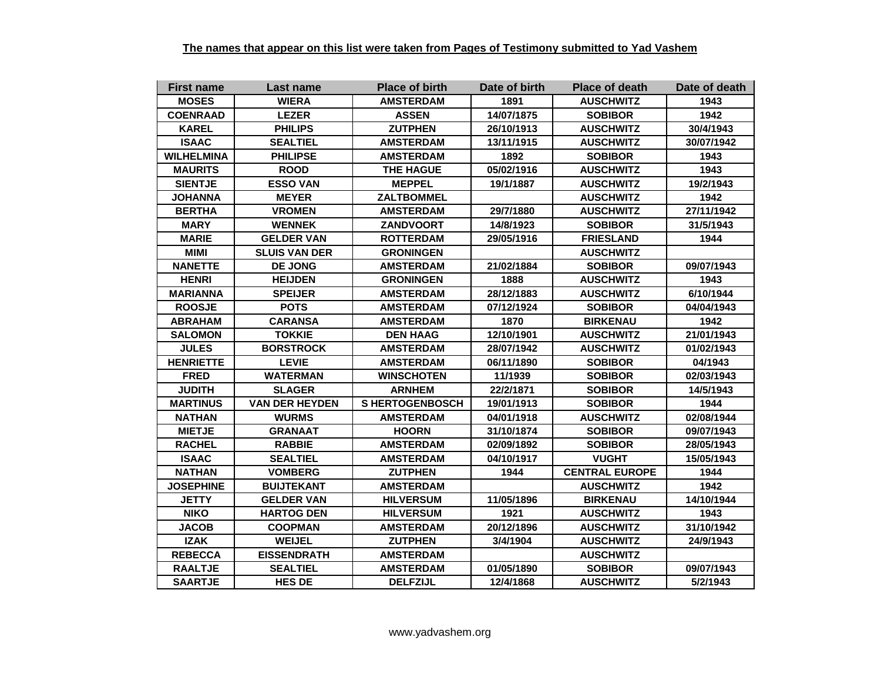| <b>First name</b> | Last name             | <b>Place of birth</b>  | Date of birth | <b>Place of death</b> | Date of death |
|-------------------|-----------------------|------------------------|---------------|-----------------------|---------------|
| <b>MOSES</b>      | <b>WIERA</b>          | <b>AMSTERDAM</b>       | 1891          | <b>AUSCHWITZ</b>      | 1943          |
| <b>COENRAAD</b>   | <b>LEZER</b>          | <b>ASSEN</b>           | 14/07/1875    | <b>SOBIBOR</b>        | 1942          |
| <b>KAREL</b>      | <b>PHILIPS</b>        | <b>ZUTPHEN</b>         | 26/10/1913    | <b>AUSCHWITZ</b>      | 30/4/1943     |
| <b>ISAAC</b>      | <b>SEALTIEL</b>       | <b>AMSTERDAM</b>       | 13/11/1915    | <b>AUSCHWITZ</b>      | 30/07/1942    |
| <b>WILHELMINA</b> | <b>PHILIPSE</b>       | <b>AMSTERDAM</b>       | 1892          | <b>SOBIBOR</b>        | 1943          |
| <b>MAURITS</b>    | <b>ROOD</b>           | <b>THE HAGUE</b>       | 05/02/1916    | <b>AUSCHWITZ</b>      | 1943          |
| <b>SIENTJE</b>    | <b>ESSO VAN</b>       | <b>MEPPEL</b>          | 19/1/1887     | <b>AUSCHWITZ</b>      | 19/2/1943     |
| <b>JOHANNA</b>    | <b>MEYER</b>          | <b>ZALTBOMMEL</b>      |               | <b>AUSCHWITZ</b>      | 1942          |
| <b>BERTHA</b>     | <b>VROMEN</b>         | <b>AMSTERDAM</b>       | 29/7/1880     | <b>AUSCHWITZ</b>      | 27/11/1942    |
| <b>MARY</b>       | <b>WENNEK</b>         | <b>ZANDVOORT</b>       | 14/8/1923     | <b>SOBIBOR</b>        | 31/5/1943     |
| <b>MARIE</b>      | <b>GELDER VAN</b>     | <b>ROTTERDAM</b>       | 29/05/1916    | <b>FRIESLAND</b>      | 1944          |
| <b>MIMI</b>       | <b>SLUIS VAN DER</b>  | <b>GRONINGEN</b>       |               | <b>AUSCHWITZ</b>      |               |
| <b>NANETTE</b>    | <b>DE JONG</b>        | <b>AMSTERDAM</b>       | 21/02/1884    | <b>SOBIBOR</b>        | 09/07/1943    |
| <b>HENRI</b>      | <b>HEIJDEN</b>        | <b>GRONINGEN</b>       | 1888          | <b>AUSCHWITZ</b>      | 1943          |
| <b>MARIANNA</b>   | <b>SPEIJER</b>        | <b>AMSTERDAM</b>       | 28/12/1883    | <b>AUSCHWITZ</b>      | 6/10/1944     |
| <b>ROOSJE</b>     | <b>POTS</b>           | <b>AMSTERDAM</b>       | 07/12/1924    | <b>SOBIBOR</b>        | 04/04/1943    |
| <b>ABRAHAM</b>    | <b>CARANSA</b>        | <b>AMSTERDAM</b>       | 1870          | <b>BIRKENAU</b>       | 1942          |
| <b>SALOMON</b>    | <b>TOKKIE</b>         | <b>DEN HAAG</b>        | 12/10/1901    | <b>AUSCHWITZ</b>      | 21/01/1943    |
| <b>JULES</b>      | <b>BORSTROCK</b>      | <b>AMSTERDAM</b>       | 28/07/1942    | <b>AUSCHWITZ</b>      | 01/02/1943    |
| <b>HENRIETTE</b>  | <b>LEVIE</b>          | <b>AMSTERDAM</b>       | 06/11/1890    | <b>SOBIBOR</b>        | 04/1943       |
| <b>FRED</b>       | <b>WATERMAN</b>       | <b>WINSCHOTEN</b>      | 11/1939       | <b>SOBIBOR</b>        | 02/03/1943    |
| <b>JUDITH</b>     | <b>SLAGER</b>         | <b>ARNHEM</b>          | 22/2/1871     | <b>SOBIBOR</b>        | 14/5/1943     |
| <b>MARTINUS</b>   | <b>VAN DER HEYDEN</b> | <b>S HERTOGENBOSCH</b> | 19/01/1913    | <b>SOBIBOR</b>        | 1944          |
| <b>NATHAN</b>     | <b>WURMS</b>          | <b>AMSTERDAM</b>       | 04/01/1918    | <b>AUSCHWITZ</b>      | 02/08/1944    |
| <b>MIETJE</b>     | <b>GRANAAT</b>        | <b>HOORN</b>           | 31/10/1874    | <b>SOBIBOR</b>        | 09/07/1943    |
| <b>RACHEL</b>     | <b>RABBIE</b>         | <b>AMSTERDAM</b>       | 02/09/1892    | <b>SOBIBOR</b>        | 28/05/1943    |
| <b>ISAAC</b>      | <b>SEALTIEL</b>       | <b>AMSTERDAM</b>       | 04/10/1917    | <b>VUGHT</b>          | 15/05/1943    |
| <b>NATHAN</b>     | <b>VOMBERG</b>        | <b>ZUTPHEN</b>         | 1944          | <b>CENTRAL EUROPE</b> | 1944          |
| <b>JOSEPHINE</b>  | <b>BUIJTEKANT</b>     | <b>AMSTERDAM</b>       |               | <b>AUSCHWITZ</b>      | 1942          |
| <b>JETTY</b>      | <b>GELDER VAN</b>     | <b>HILVERSUM</b>       | 11/05/1896    | <b>BIRKENAU</b>       | 14/10/1944    |
| <b>NIKO</b>       | <b>HARTOG DEN</b>     | <b>HILVERSUM</b>       | 1921          | <b>AUSCHWITZ</b>      | 1943          |
| <b>JACOB</b>      | <b>COOPMAN</b>        | <b>AMSTERDAM</b>       | 20/12/1896    | <b>AUSCHWITZ</b>      | 31/10/1942    |
| <b>IZAK</b>       | <b>WEIJEL</b>         | <b>ZUTPHEN</b>         | 3/4/1904      | <b>AUSCHWITZ</b>      | 24/9/1943     |
| <b>REBECCA</b>    | <b>EISSENDRATH</b>    | <b>AMSTERDAM</b>       |               | <b>AUSCHWITZ</b>      |               |
| <b>RAALTJE</b>    | <b>SEALTIEL</b>       | <b>AMSTERDAM</b>       | 01/05/1890    | <b>SOBIBOR</b>        | 09/07/1943    |
| <b>SAARTJE</b>    | <b>HES DE</b>         | <b>DELFZIJL</b>        | 12/4/1868     | <b>AUSCHWITZ</b>      | 5/2/1943      |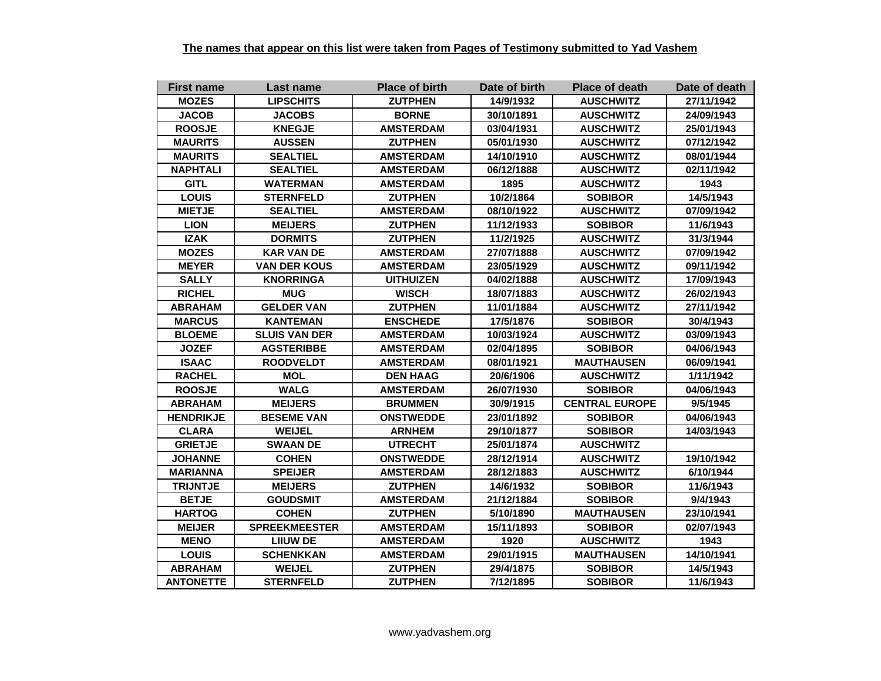| <b>First name</b> | Last name            | <b>Place of birth</b> | Date of birth | <b>Place of death</b> | Date of death |
|-------------------|----------------------|-----------------------|---------------|-----------------------|---------------|
| <b>MOZES</b>      | <b>LIPSCHITS</b>     | <b>ZUTPHEN</b>        | 14/9/1932     | <b>AUSCHWITZ</b>      | 27/11/1942    |
| <b>JACOB</b>      | <b>JACOBS</b>        | <b>BORNE</b>          | 30/10/1891    | <b>AUSCHWITZ</b>      | 24/09/1943    |
| <b>ROOSJE</b>     | <b>KNEGJE</b>        | <b>AMSTERDAM</b>      | 03/04/1931    | <b>AUSCHWITZ</b>      | 25/01/1943    |
| <b>MAURITS</b>    | <b>AUSSEN</b>        | <b>ZUTPHEN</b>        | 05/01/1930    | <b>AUSCHWITZ</b>      | 07/12/1942    |
| <b>MAURITS</b>    | <b>SEALTIEL</b>      | <b>AMSTERDAM</b>      | 14/10/1910    | <b>AUSCHWITZ</b>      | 08/01/1944    |
| <b>NAPHTALI</b>   | <b>SEALTIEL</b>      | <b>AMSTERDAM</b>      | 06/12/1888    | <b>AUSCHWITZ</b>      | 02/11/1942    |
| <b>GITL</b>       | <b>WATERMAN</b>      | <b>AMSTERDAM</b>      | 1895          | <b>AUSCHWITZ</b>      | 1943          |
| <b>LOUIS</b>      | <b>STERNFELD</b>     | <b>ZUTPHEN</b>        | 10/2/1864     | <b>SOBIBOR</b>        | 14/5/1943     |
| <b>MIETJE</b>     | <b>SEALTIEL</b>      | <b>AMSTERDAM</b>      | 08/10/1922    | <b>AUSCHWITZ</b>      | 07/09/1942    |
| <b>LION</b>       | <b>MEIJERS</b>       | <b>ZUTPHEN</b>        | 11/12/1933    | <b>SOBIBOR</b>        | 11/6/1943     |
| <b>IZAK</b>       | <b>DORMITS</b>       | <b>ZUTPHEN</b>        | 11/2/1925     | <b>AUSCHWITZ</b>      | 31/3/1944     |
| <b>MOZES</b>      | <b>KAR VAN DE</b>    | <b>AMSTERDAM</b>      | 27/07/1888    | <b>AUSCHWITZ</b>      | 07/09/1942    |
| <b>MEYER</b>      | <b>VAN DER KOUS</b>  | <b>AMSTERDAM</b>      | 23/05/1929    | <b>AUSCHWITZ</b>      | 09/11/1942    |
| <b>SALLY</b>      | <b>KNORRINGA</b>     | <b>UITHUIZEN</b>      | 04/02/1888    | <b>AUSCHWITZ</b>      | 17/09/1943    |
| <b>RICHEL</b>     | <b>MUG</b>           | <b>WISCH</b>          | 18/07/1883    | <b>AUSCHWITZ</b>      | 26/02/1943    |
| <b>ABRAHAM</b>    | <b>GELDER VAN</b>    | <b>ZUTPHEN</b>        | 11/01/1884    | <b>AUSCHWITZ</b>      | 27/11/1942    |
| <b>MARCUS</b>     | <b>KANTEMAN</b>      | <b>ENSCHEDE</b>       | 17/5/1876     | <b>SOBIBOR</b>        | 30/4/1943     |
| <b>BLOEME</b>     | <b>SLUIS VAN DER</b> | <b>AMSTERDAM</b>      | 10/03/1924    | <b>AUSCHWITZ</b>      | 03/09/1943    |
| <b>JOZEF</b>      | <b>AGSTERIBBE</b>    | <b>AMSTERDAM</b>      | 02/04/1895    | <b>SOBIBOR</b>        | 04/06/1943    |
| <b>ISAAC</b>      | <b>ROODVELDT</b>     | <b>AMSTERDAM</b>      | 08/01/1921    | <b>MAUTHAUSEN</b>     | 06/09/1941    |
| <b>RACHEL</b>     | <b>MOL</b>           | <b>DEN HAAG</b>       | 20/6/1906     | <b>AUSCHWITZ</b>      | 1/11/1942     |
| <b>ROOSJE</b>     | <b>WALG</b>          | <b>AMSTERDAM</b>      | 26/07/1930    | <b>SOBIBOR</b>        | 04/06/1943    |
| <b>ABRAHAM</b>    | <b>MEIJERS</b>       | <b>BRUMMEN</b>        | 30/9/1915     | <b>CENTRAL EUROPE</b> | 9/5/1945      |
| <b>HENDRIKJE</b>  | <b>BESEME VAN</b>    | <b>ONSTWEDDE</b>      | 23/01/1892    | <b>SOBIBOR</b>        | 04/06/1943    |
| <b>CLARA</b>      | <b>WEIJEL</b>        | <b>ARNHEM</b>         | 29/10/1877    | <b>SOBIBOR</b>        | 14/03/1943    |
| <b>GRIETJE</b>    | <b>SWAAN DE</b>      | <b>UTRECHT</b>        | 25/01/1874    | <b>AUSCHWITZ</b>      |               |
| <b>JOHANNE</b>    | <b>COHEN</b>         | <b>ONSTWEDDE</b>      | 28/12/1914    | <b>AUSCHWITZ</b>      | 19/10/1942    |
| <b>MARIANNA</b>   | <b>SPEIJER</b>       | <b>AMSTERDAM</b>      | 28/12/1883    | <b>AUSCHWITZ</b>      | 6/10/1944     |
| <b>TRIJNTJE</b>   | <b>MEIJERS</b>       | <b>ZUTPHEN</b>        | 14/6/1932     | <b>SOBIBOR</b>        | 11/6/1943     |
| <b>BETJE</b>      | <b>GOUDSMIT</b>      | <b>AMSTERDAM</b>      | 21/12/1884    | <b>SOBIBOR</b>        | 9/4/1943      |
| <b>HARTOG</b>     | <b>COHEN</b>         | <b>ZUTPHEN</b>        | 5/10/1890     | <b>MAUTHAUSEN</b>     | 23/10/1941    |
| <b>MEIJER</b>     | <b>SPREEKMEESTER</b> | <b>AMSTERDAM</b>      | 15/11/1893    | <b>SOBIBOR</b>        | 02/07/1943    |
| <b>MENO</b>       | <b>LIIUW DE</b>      | <b>AMSTERDAM</b>      | 1920          | <b>AUSCHWITZ</b>      | 1943          |
| <b>LOUIS</b>      | <b>SCHENKKAN</b>     | <b>AMSTERDAM</b>      | 29/01/1915    | <b>MAUTHAUSEN</b>     | 14/10/1941    |
| <b>ABRAHAM</b>    | <b>WEIJEL</b>        | <b>ZUTPHEN</b>        | 29/4/1875     | <b>SOBIBOR</b>        | 14/5/1943     |
| <b>ANTONETTE</b>  | <b>STERNFELD</b>     | <b>ZUTPHEN</b>        | 7/12/1895     | <b>SOBIBOR</b>        | 11/6/1943     |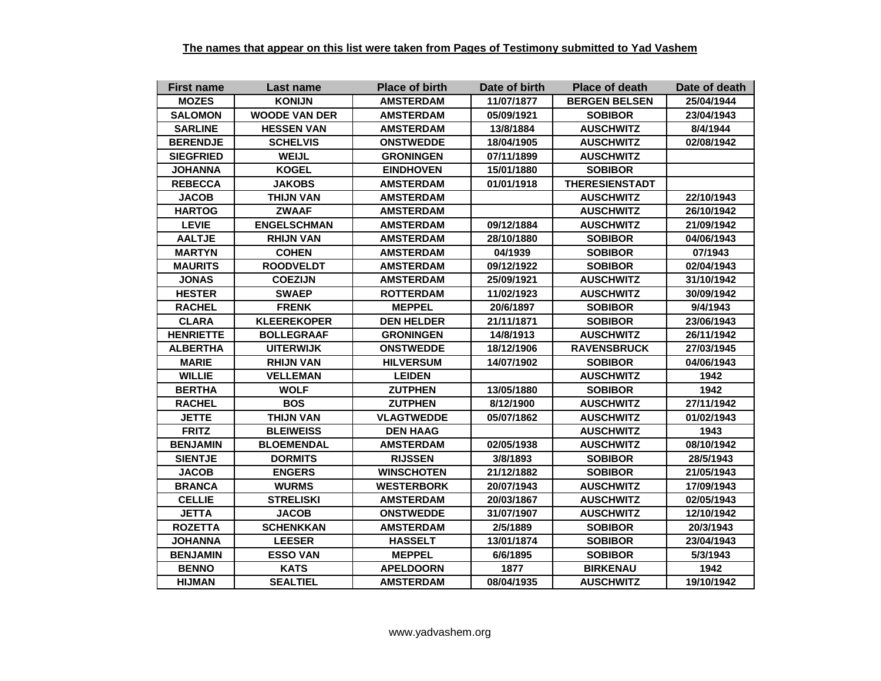| <b>First name</b> | Last name            | <b>Place of birth</b> | Date of birth | <b>Place of death</b> | Date of death |
|-------------------|----------------------|-----------------------|---------------|-----------------------|---------------|
| <b>MOZES</b>      | <b>KONIJN</b>        | <b>AMSTERDAM</b>      | 11/07/1877    | <b>BERGEN BELSEN</b>  | 25/04/1944    |
| <b>SALOMON</b>    | <b>WOODE VAN DER</b> | <b>AMSTERDAM</b>      | 05/09/1921    | <b>SOBIBOR</b>        | 23/04/1943    |
| <b>SARLINE</b>    | <b>HESSEN VAN</b>    | <b>AMSTERDAM</b>      | 13/8/1884     | <b>AUSCHWITZ</b>      | 8/4/1944      |
| <b>BERENDJE</b>   | <b>SCHELVIS</b>      | <b>ONSTWEDDE</b>      | 18/04/1905    | <b>AUSCHWITZ</b>      | 02/08/1942    |
| <b>SIEGFRIED</b>  | <b>WEIJL</b>         | <b>GRONINGEN</b>      | 07/11/1899    | <b>AUSCHWITZ</b>      |               |
| <b>JOHANNA</b>    | <b>KOGEL</b>         | <b>EINDHOVEN</b>      | 15/01/1880    | <b>SOBIBOR</b>        |               |
| <b>REBECCA</b>    | <b>JAKOBS</b>        | <b>AMSTERDAM</b>      | 01/01/1918    | <b>THERESIENSTADT</b> |               |
| <b>JACOB</b>      | <b>THIJN VAN</b>     | <b>AMSTERDAM</b>      |               | <b>AUSCHWITZ</b>      | 22/10/1943    |
| <b>HARTOG</b>     | <b>ZWAAF</b>         | <b>AMSTERDAM</b>      |               | <b>AUSCHWITZ</b>      | 26/10/1942    |
| <b>LEVIE</b>      | <b>ENGELSCHMAN</b>   | <b>AMSTERDAM</b>      | 09/12/1884    | <b>AUSCHWITZ</b>      | 21/09/1942    |
| <b>AALTJE</b>     | <b>RHIJN VAN</b>     | <b>AMSTERDAM</b>      | 28/10/1880    | <b>SOBIBOR</b>        | 04/06/1943    |
| <b>MARTYN</b>     | <b>COHEN</b>         | <b>AMSTERDAM</b>      | 04/1939       | <b>SOBIBOR</b>        | 07/1943       |
| <b>MAURITS</b>    | <b>ROODVELDT</b>     | <b>AMSTERDAM</b>      | 09/12/1922    | <b>SOBIBOR</b>        | 02/04/1943    |
| <b>JONAS</b>      | <b>COEZIJN</b>       | <b>AMSTERDAM</b>      | 25/09/1921    | <b>AUSCHWITZ</b>      | 31/10/1942    |
| <b>HESTER</b>     | <b>SWAEP</b>         | <b>ROTTERDAM</b>      | 11/02/1923    | <b>AUSCHWITZ</b>      | 30/09/1942    |
| <b>RACHEL</b>     | <b>FRENK</b>         | <b>MEPPEL</b>         | 20/6/1897     | <b>SOBIBOR</b>        | 9/4/1943      |
| <b>CLARA</b>      | <b>KLEEREKOPER</b>   | <b>DEN HELDER</b>     | 21/11/1871    | <b>SOBIBOR</b>        | 23/06/1943    |
| <b>HENRIETTE</b>  | <b>BOLLEGRAAF</b>    | <b>GRONINGEN</b>      | 14/8/1913     | <b>AUSCHWITZ</b>      | 26/11/1942    |
| <b>ALBERTHA</b>   | <b>UITERWIJK</b>     | <b>ONSTWEDDE</b>      | 18/12/1906    | <b>RAVENSBRUCK</b>    | 27/03/1945    |
| <b>MARIE</b>      | <b>RHIJN VAN</b>     | <b>HILVERSUM</b>      | 14/07/1902    | <b>SOBIBOR</b>        | 04/06/1943    |
| <b>WILLIE</b>     | <b>VELLEMAN</b>      | <b>LEIDEN</b>         |               | <b>AUSCHWITZ</b>      | 1942          |
| <b>BERTHA</b>     | <b>WOLF</b>          | <b>ZUTPHEN</b>        | 13/05/1880    | <b>SOBIBOR</b>        | 1942          |
| <b>RACHEL</b>     | <b>BOS</b>           | <b>ZUTPHEN</b>        | 8/12/1900     | <b>AUSCHWITZ</b>      | 27/11/1942    |
| <b>JETTE</b>      | <b>THIJN VAN</b>     | <b>VLAGTWEDDE</b>     | 05/07/1862    | <b>AUSCHWITZ</b>      | 01/02/1943    |
| <b>FRITZ</b>      | <b>BLEIWEISS</b>     | <b>DEN HAAG</b>       |               | <b>AUSCHWITZ</b>      | 1943          |
| <b>BENJAMIN</b>   | <b>BLOEMENDAL</b>    | <b>AMSTERDAM</b>      | 02/05/1938    | <b>AUSCHWITZ</b>      | 08/10/1942    |
| <b>SIENTJE</b>    | <b>DORMITS</b>       | <b>RIJSSEN</b>        | 3/8/1893      | <b>SOBIBOR</b>        | 28/5/1943     |
| <b>JACOB</b>      | <b>ENGERS</b>        | <b>WINSCHOTEN</b>     | 21/12/1882    | <b>SOBIBOR</b>        | 21/05/1943    |
| <b>BRANCA</b>     | <b>WURMS</b>         | <b>WESTERBORK</b>     | 20/07/1943    | <b>AUSCHWITZ</b>      | 17/09/1943    |
| <b>CELLIE</b>     | <b>STRELISKI</b>     | <b>AMSTERDAM</b>      | 20/03/1867    | <b>AUSCHWITZ</b>      | 02/05/1943    |
| <b>JETTA</b>      | <b>JACOB</b>         | <b>ONSTWEDDE</b>      | 31/07/1907    | <b>AUSCHWITZ</b>      | 12/10/1942    |
| <b>ROZETTA</b>    | <b>SCHENKKAN</b>     | <b>AMSTERDAM</b>      | 2/5/1889      | <b>SOBIBOR</b>        | 20/3/1943     |
| <b>JOHANNA</b>    | <b>LEESER</b>        | <b>HASSELT</b>        | 13/01/1874    | <b>SOBIBOR</b>        | 23/04/1943    |
| <b>BENJAMIN</b>   | <b>ESSO VAN</b>      | <b>MEPPEL</b>         | 6/6/1895      | <b>SOBIBOR</b>        | 5/3/1943      |
| <b>BENNO</b>      | <b>KATS</b>          | <b>APELDOORN</b>      | 1877          | <b>BIRKENAU</b>       | 1942          |
| <b>HIJMAN</b>     | <b>SEALTIEL</b>      | <b>AMSTERDAM</b>      | 08/04/1935    | <b>AUSCHWITZ</b>      | 19/10/1942    |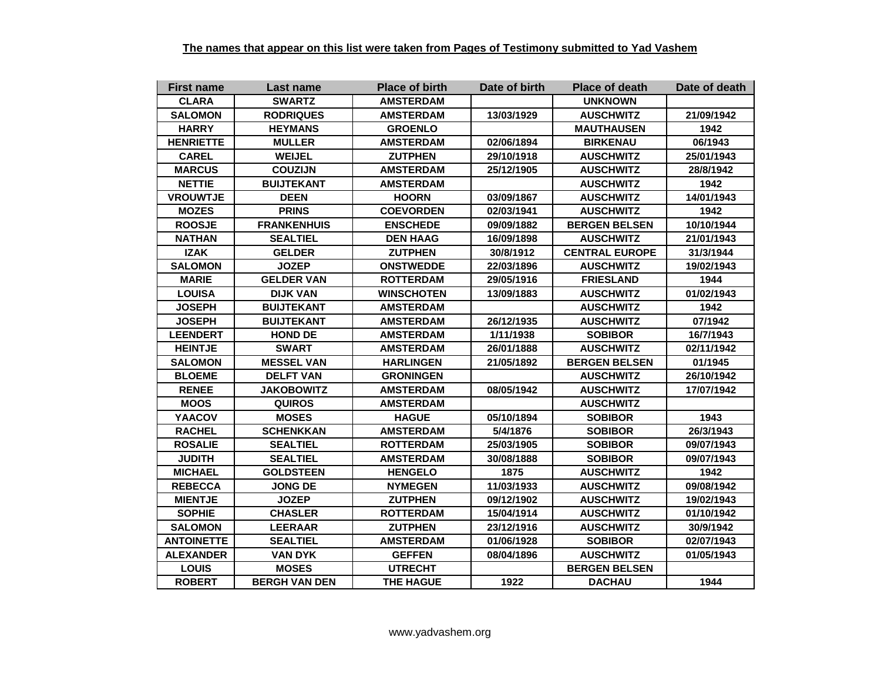| <b>First name</b> | Last name            | <b>Place of birth</b> | Date of birth | <b>Place of death</b> | Date of death |
|-------------------|----------------------|-----------------------|---------------|-----------------------|---------------|
| <b>CLARA</b>      | <b>SWARTZ</b>        | <b>AMSTERDAM</b>      |               | <b>UNKNOWN</b>        |               |
| <b>SALOMON</b>    | <b>RODRIQUES</b>     | <b>AMSTERDAM</b>      | 13/03/1929    | <b>AUSCHWITZ</b>      | 21/09/1942    |
| <b>HARRY</b>      | <b>HEYMANS</b>       | <b>GROENLO</b>        |               | <b>MAUTHAUSEN</b>     | 1942          |
| <b>HENRIETTE</b>  | <b>MULLER</b>        | <b>AMSTERDAM</b>      | 02/06/1894    | <b>BIRKENAU</b>       | 06/1943       |
| <b>CAREL</b>      | <b>WEIJEL</b>        | <b>ZUTPHEN</b>        | 29/10/1918    | <b>AUSCHWITZ</b>      | 25/01/1943    |
| <b>MARCUS</b>     | <b>COUZIJN</b>       | <b>AMSTERDAM</b>      | 25/12/1905    | <b>AUSCHWITZ</b>      | 28/8/1942     |
| <b>NETTIE</b>     | <b>BUIJTEKANT</b>    | <b>AMSTERDAM</b>      |               | <b>AUSCHWITZ</b>      | 1942          |
| <b>VROUWTJE</b>   | <b>DEEN</b>          | <b>HOORN</b>          | 03/09/1867    | <b>AUSCHWITZ</b>      | 14/01/1943    |
| <b>MOZES</b>      | <b>PRINS</b>         | <b>COEVORDEN</b>      | 02/03/1941    | <b>AUSCHWITZ</b>      | 1942          |
| <b>ROOSJE</b>     | <b>FRANKENHUIS</b>   | <b>ENSCHEDE</b>       | 09/09/1882    | <b>BERGEN BELSEN</b>  | 10/10/1944    |
| <b>NATHAN</b>     | <b>SEALTIEL</b>      | <b>DEN HAAG</b>       | 16/09/1898    | <b>AUSCHWITZ</b>      | 21/01/1943    |
| <b>IZAK</b>       | <b>GELDER</b>        | <b>ZUTPHEN</b>        | 30/8/1912     | <b>CENTRAL EUROPE</b> | 31/3/1944     |
| <b>SALOMON</b>    | <b>JOZEP</b>         | <b>ONSTWEDDE</b>      | 22/03/1896    | <b>AUSCHWITZ</b>      | 19/02/1943    |
| <b>MARIE</b>      | <b>GELDER VAN</b>    | <b>ROTTERDAM</b>      | 29/05/1916    | <b>FRIESLAND</b>      | 1944          |
| <b>LOUISA</b>     | <b>DIJK VAN</b>      | <b>WINSCHOTEN</b>     | 13/09/1883    | <b>AUSCHWITZ</b>      | 01/02/1943    |
| <b>JOSEPH</b>     | <b>BUIJTEKANT</b>    | <b>AMSTERDAM</b>      |               | <b>AUSCHWITZ</b>      | 1942          |
| <b>JOSEPH</b>     | <b>BUIJTEKANT</b>    | <b>AMSTERDAM</b>      | 26/12/1935    | <b>AUSCHWITZ</b>      | 07/1942       |
| <b>LEENDERT</b>   | <b>HOND DE</b>       | <b>AMSTERDAM</b>      | 1/11/1938     | <b>SOBIBOR</b>        | 16/7/1943     |
| <b>HEINTJE</b>    | <b>SWART</b>         | <b>AMSTERDAM</b>      | 26/01/1888    | <b>AUSCHWITZ</b>      | 02/11/1942    |
| <b>SALOMON</b>    | <b>MESSEL VAN</b>    | <b>HARLINGEN</b>      | 21/05/1892    | <b>BERGEN BELSEN</b>  | 01/1945       |
| <b>BLOEME</b>     | <b>DELFT VAN</b>     | <b>GRONINGEN</b>      |               | <b>AUSCHWITZ</b>      | 26/10/1942    |
| <b>RENEE</b>      | <b>JAKOBOWITZ</b>    | <b>AMSTERDAM</b>      | 08/05/1942    | <b>AUSCHWITZ</b>      | 17/07/1942    |
| <b>MOOS</b>       | <b>QUIROS</b>        | <b>AMSTERDAM</b>      |               | <b>AUSCHWITZ</b>      |               |
| <b>YAACOV</b>     | <b>MOSES</b>         | <b>HAGUE</b>          | 05/10/1894    | <b>SOBIBOR</b>        | 1943          |
| <b>RACHEL</b>     | <b>SCHENKKAN</b>     | <b>AMSTERDAM</b>      | 5/4/1876      | <b>SOBIBOR</b>        | 26/3/1943     |
| <b>ROSALIE</b>    | <b>SEALTIEL</b>      | <b>ROTTERDAM</b>      | 25/03/1905    | <b>SOBIBOR</b>        | 09/07/1943    |
| <b>JUDITH</b>     | <b>SEALTIEL</b>      | <b>AMSTERDAM</b>      | 30/08/1888    | <b>SOBIBOR</b>        | 09/07/1943    |
| <b>MICHAEL</b>    | <b>GOLDSTEEN</b>     | <b>HENGELO</b>        | 1875          | <b>AUSCHWITZ</b>      | 1942          |
| <b>REBECCA</b>    | <b>JONG DE</b>       | <b>NYMEGEN</b>        | 11/03/1933    | <b>AUSCHWITZ</b>      | 09/08/1942    |
| <b>MIENTJE</b>    | <b>JOZEP</b>         | <b>ZUTPHEN</b>        | 09/12/1902    | <b>AUSCHWITZ</b>      | 19/02/1943    |
| <b>SOPHIE</b>     | <b>CHASLER</b>       | <b>ROTTERDAM</b>      | 15/04/1914    | <b>AUSCHWITZ</b>      | 01/10/1942    |
| <b>SALOMON</b>    | <b>LEERAAR</b>       | <b>ZUTPHEN</b>        | 23/12/1916    | <b>AUSCHWITZ</b>      | 30/9/1942     |
| <b>ANTOINETTE</b> | <b>SEALTIEL</b>      | <b>AMSTERDAM</b>      | 01/06/1928    | <b>SOBIBOR</b>        | 02/07/1943    |
| <b>ALEXANDER</b>  | <b>VAN DYK</b>       | <b>GEFFEN</b>         | 08/04/1896    | <b>AUSCHWITZ</b>      | 01/05/1943    |
| <b>LOUIS</b>      | <b>MOSES</b>         | <b>UTRECHT</b>        |               | <b>BERGEN BELSEN</b>  |               |
| <b>ROBERT</b>     | <b>BERGH VAN DEN</b> | <b>THE HAGUE</b>      | 1922          | <b>DACHAU</b>         | 1944          |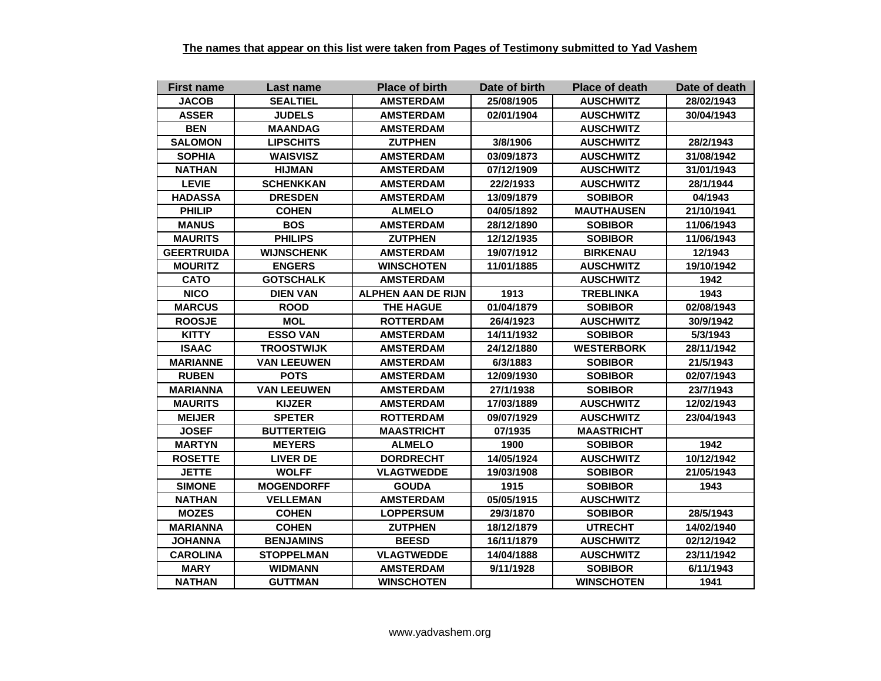| <b>First name</b> | Last name          | <b>Place of birth</b>     | Date of birth | <b>Place of death</b> | Date of death |
|-------------------|--------------------|---------------------------|---------------|-----------------------|---------------|
| <b>JACOB</b>      | <b>SEALTIEL</b>    | <b>AMSTERDAM</b>          | 25/08/1905    | <b>AUSCHWITZ</b>      | 28/02/1943    |
| <b>ASSER</b>      | <b>JUDELS</b>      | <b>AMSTERDAM</b>          | 02/01/1904    | <b>AUSCHWITZ</b>      | 30/04/1943    |
| <b>BEN</b>        | <b>MAANDAG</b>     | <b>AMSTERDAM</b>          |               | <b>AUSCHWITZ</b>      |               |
| <b>SALOMON</b>    | <b>LIPSCHITS</b>   | <b>ZUTPHEN</b>            | 3/8/1906      | <b>AUSCHWITZ</b>      | 28/2/1943     |
| <b>SOPHIA</b>     | <b>WAISVISZ</b>    | AMSTERDAM                 | 03/09/1873    | <b>AUSCHWITZ</b>      | 31/08/1942    |
| <b>NATHAN</b>     | <b>HIJMAN</b>      | <b>AMSTERDAM</b>          | 07/12/1909    | <b>AUSCHWITZ</b>      | 31/01/1943    |
| <b>LEVIE</b>      | <b>SCHENKKAN</b>   | <b>AMSTERDAM</b>          | 22/2/1933     | <b>AUSCHWITZ</b>      | 28/1/1944     |
| <b>HADASSA</b>    | <b>DRESDEN</b>     | <b>AMSTERDAM</b>          | 13/09/1879    | <b>SOBIBOR</b>        | 04/1943       |
| <b>PHILIP</b>     | <b>COHEN</b>       | <b>ALMELO</b>             | 04/05/1892    | <b>MAUTHAUSEN</b>     | 21/10/1941    |
| <b>MANUS</b>      | <b>BOS</b>         | <b>AMSTERDAM</b>          | 28/12/1890    | <b>SOBIBOR</b>        | 11/06/1943    |
| <b>MAURITS</b>    | <b>PHILIPS</b>     | <b>ZUTPHEN</b>            | 12/12/1935    | <b>SOBIBOR</b>        | 11/06/1943    |
| <b>GEERTRUIDA</b> | <b>WIJNSCHENK</b>  | <b>AMSTERDAM</b>          | 19/07/1912    | <b>BIRKENAU</b>       | 12/1943       |
| <b>MOURITZ</b>    | <b>ENGERS</b>      | <b>WINSCHOTEN</b>         | 11/01/1885    | <b>AUSCHWITZ</b>      | 19/10/1942    |
| <b>CATO</b>       | <b>GOTSCHALK</b>   | <b>AMSTERDAM</b>          |               | <b>AUSCHWITZ</b>      | 1942          |
| <b>NICO</b>       | <b>DIEN VAN</b>    | <b>ALPHEN AAN DE RIJN</b> | 1913          | <b>TREBLINKA</b>      | 1943          |
| <b>MARCUS</b>     | <b>ROOD</b>        | <b>THE HAGUE</b>          | 01/04/1879    | <b>SOBIBOR</b>        | 02/08/1943    |
| <b>ROOSJE</b>     | <b>MOL</b>         | <b>ROTTERDAM</b>          | 26/4/1923     | <b>AUSCHWITZ</b>      | 30/9/1942     |
| <b>KITTY</b>      | <b>ESSO VAN</b>    | <b>AMSTERDAM</b>          | 14/11/1932    | <b>SOBIBOR</b>        | 5/3/1943      |
| <b>ISAAC</b>      | <b>TROOSTWIJK</b>  | <b>AMSTERDAM</b>          | 24/12/1880    | <b>WESTERBORK</b>     | 28/11/1942    |
| <b>MARIANNE</b>   | <b>VAN LEEUWEN</b> | <b>AMSTERDAM</b>          | 6/3/1883      | <b>SOBIBOR</b>        | 21/5/1943     |
| <b>RUBEN</b>      | <b>POTS</b>        | <b>AMSTERDAM</b>          | 12/09/1930    | <b>SOBIBOR</b>        | 02/07/1943    |
| <b>MARIANNA</b>   | <b>VAN LEEUWEN</b> | <b>AMSTERDAM</b>          | 27/1/1938     | <b>SOBIBOR</b>        | 23/7/1943     |
| <b>MAURITS</b>    | <b>KIJZER</b>      | <b>AMSTERDAM</b>          | 17/03/1889    | <b>AUSCHWITZ</b>      | 12/02/1943    |
| <b>MEIJER</b>     | <b>SPETER</b>      | <b>ROTTERDAM</b>          | 09/07/1929    | <b>AUSCHWITZ</b>      | 23/04/1943    |
| <b>JOSEF</b>      | <b>BUTTERTEIG</b>  | <b>MAASTRICHT</b>         | 07/1935       | <b>MAASTRICHT</b>     |               |
| <b>MARTYN</b>     | <b>MEYERS</b>      | <b>ALMELO</b>             | 1900          | <b>SOBIBOR</b>        | 1942          |
| <b>ROSETTE</b>    | <b>LIVER DE</b>    | <b>DORDRECHT</b>          | 14/05/1924    | <b>AUSCHWITZ</b>      | 10/12/1942    |
| <b>JETTE</b>      | <b>WOLFF</b>       | <b>VLAGTWEDDE</b>         | 19/03/1908    | <b>SOBIBOR</b>        | 21/05/1943    |
| <b>SIMONE</b>     | <b>MOGENDORFF</b>  | <b>GOUDA</b>              | 1915          | <b>SOBIBOR</b>        | 1943          |
| <b>NATHAN</b>     | <b>VELLEMAN</b>    | <b>AMSTERDAM</b>          | 05/05/1915    | <b>AUSCHWITZ</b>      |               |
| <b>MOZES</b>      | <b>COHEN</b>       | <b>LOPPERSUM</b>          | 29/3/1870     | <b>SOBIBOR</b>        | 28/5/1943     |
| <b>MARIANNA</b>   | <b>COHEN</b>       | <b>ZUTPHEN</b>            | 18/12/1879    | <b>UTRECHT</b>        | 14/02/1940    |
| <b>JOHANNA</b>    | <b>BENJAMINS</b>   | <b>BEESD</b>              | 16/11/1879    | <b>AUSCHWITZ</b>      | 02/12/1942    |
| <b>CAROLINA</b>   | <b>STOPPELMAN</b>  | <b>VLAGTWEDDE</b>         | 14/04/1888    | <b>AUSCHWITZ</b>      | 23/11/1942    |
| <b>MARY</b>       | <b>WIDMANN</b>     | <b>AMSTERDAM</b>          | 9/11/1928     | <b>SOBIBOR</b>        | 6/11/1943     |
| <b>NATHAN</b>     | GUTTMAN            | <b>WINSCHOTEN</b>         |               | <b>WINSCHOTEN</b>     | 1941          |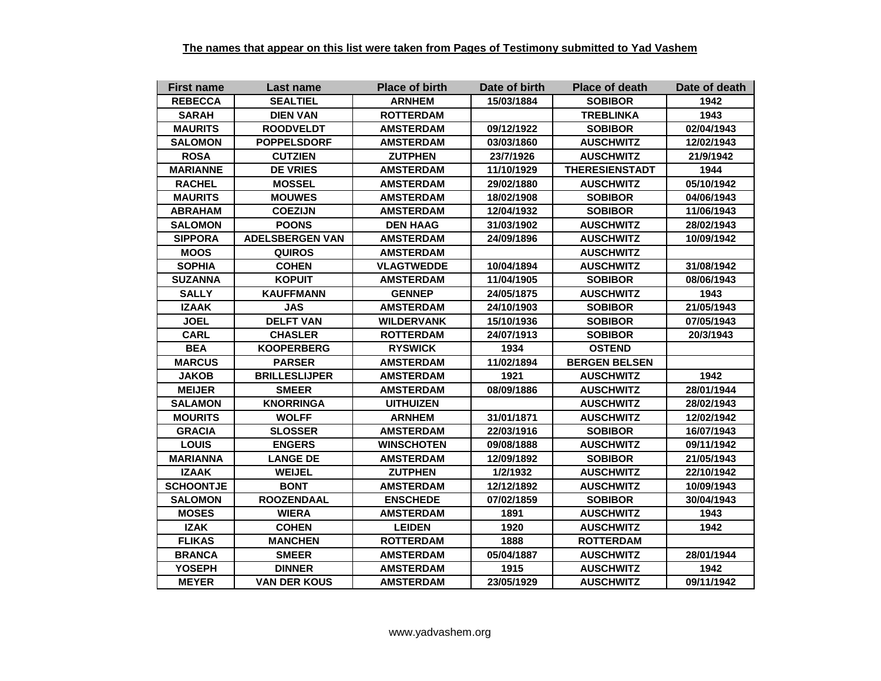| <b>First name</b> | Last name              | <b>Place of birth</b> | Date of birth | <b>Place of death</b> | Date of death |
|-------------------|------------------------|-----------------------|---------------|-----------------------|---------------|
| <b>REBECCA</b>    | <b>SEALTIEL</b>        | <b>ARNHEM</b>         | 15/03/1884    | <b>SOBIBOR</b>        | 1942          |
| <b>SARAH</b>      | <b>DIEN VAN</b>        | <b>ROTTERDAM</b>      |               | <b>TREBLINKA</b>      | 1943          |
| <b>MAURITS</b>    | <b>ROODVELDT</b>       | <b>AMSTERDAM</b>      | 09/12/1922    | <b>SOBIBOR</b>        | 02/04/1943    |
| <b>SALOMON</b>    | <b>POPPELSDORF</b>     | <b>AMSTERDAM</b>      | 03/03/1860    | <b>AUSCHWITZ</b>      | 12/02/1943    |
| <b>ROSA</b>       | <b>CUTZIEN</b>         | <b>ZUTPHEN</b>        | 23/7/1926     | <b>AUSCHWITZ</b>      | 21/9/1942     |
| <b>MARIANNE</b>   | <b>DE VRIES</b>        | <b>AMSTERDAM</b>      | 11/10/1929    | <b>THERESIENSTADT</b> | 1944          |
| <b>RACHEL</b>     | <b>MOSSEL</b>          | <b>AMSTERDAM</b>      | 29/02/1880    | <b>AUSCHWITZ</b>      | 05/10/1942    |
| <b>MAURITS</b>    | <b>MOUWES</b>          | <b>AMSTERDAM</b>      | 18/02/1908    | <b>SOBIBOR</b>        | 04/06/1943    |
| <b>ABRAHAM</b>    | <b>COEZIJN</b>         | <b>AMSTERDAM</b>      | 12/04/1932    | <b>SOBIBOR</b>        | 11/06/1943    |
| <b>SALOMON</b>    | <b>POONS</b>           | <b>DEN HAAG</b>       | 31/03/1902    | <b>AUSCHWITZ</b>      | 28/02/1943    |
| <b>SIPPORA</b>    | <b>ADELSBERGEN VAN</b> | <b>AMSTERDAM</b>      | 24/09/1896    | <b>AUSCHWITZ</b>      | 10/09/1942    |
| <b>MOOS</b>       | <b>QUIROS</b>          | <b>AMSTERDAM</b>      |               | <b>AUSCHWITZ</b>      |               |
| <b>SOPHIA</b>     | <b>COHEN</b>           | <b>VLAGTWEDDE</b>     | 10/04/1894    | <b>AUSCHWITZ</b>      | 31/08/1942    |
| <b>SUZANNA</b>    | <b>KOPUIT</b>          | <b>AMSTERDAM</b>      | 11/04/1905    | <b>SOBIBOR</b>        | 08/06/1943    |
| <b>SALLY</b>      | <b>KAUFFMANN</b>       | <b>GENNEP</b>         | 24/05/1875    | <b>AUSCHWITZ</b>      | 1943          |
| <b>IZAAK</b>      | <b>JAS</b>             | <b>AMSTERDAM</b>      | 24/10/1903    | <b>SOBIBOR</b>        | 21/05/1943    |
| <b>JOEL</b>       | <b>DELFT VAN</b>       | <b>WILDERVANK</b>     | 15/10/1936    | <b>SOBIBOR</b>        | 07/05/1943    |
| <b>CARL</b>       | <b>CHASLER</b>         | <b>ROTTERDAM</b>      | 24/07/1913    | <b>SOBIBOR</b>        | 20/3/1943     |
| <b>BEA</b>        | <b>KOOPERBERG</b>      | <b>RYSWICK</b>        | 1934          | <b>OSTEND</b>         |               |
| <b>MARCUS</b>     | <b>PARSER</b>          | <b>AMSTERDAM</b>      | 11/02/1894    | <b>BERGEN BELSEN</b>  |               |
| <b>JAKOB</b>      | <b>BRILLESLIJPER</b>   | <b>AMSTERDAM</b>      | 1921          | <b>AUSCHWITZ</b>      | 1942          |
| <b>MEIJER</b>     | <b>SMEER</b>           | <b>AMSTERDAM</b>      | 08/09/1886    | <b>AUSCHWITZ</b>      | 28/01/1944    |
| <b>SALAMON</b>    | <b>KNORRINGA</b>       | <b>UITHUIZEN</b>      |               | <b>AUSCHWITZ</b>      | 28/02/1943    |
| <b>MOURITS</b>    | <b>WOLFF</b>           | <b>ARNHEM</b>         | 31/01/1871    | <b>AUSCHWITZ</b>      | 12/02/1942    |
| <b>GRACIA</b>     | <b>SLOSSER</b>         | <b>AMSTERDAM</b>      | 22/03/1916    | <b>SOBIBOR</b>        | 16/07/1943    |
| <b>LOUIS</b>      | <b>ENGERS</b>          | <b>WINSCHOTEN</b>     | 09/08/1888    | <b>AUSCHWITZ</b>      | 09/11/1942    |
| MARIANNA          | <b>LANGE DE</b>        | <b>AMSTERDAM</b>      | 12/09/1892    | <b>SOBIBOR</b>        | 21/05/1943    |
| <b>IZAAK</b>      | <b>WEIJEL</b>          | <b>ZUTPHEN</b>        | 1/2/1932      | <b>AUSCHWITZ</b>      | 22/10/1942    |
| <b>SCHOONTJE</b>  | <b>BONT</b>            | <b>AMSTERDAM</b>      | 12/12/1892    | <b>AUSCHWITZ</b>      | 10/09/1943    |
| <b>SALOMON</b>    | <b>ROOZENDAAL</b>      | <b>ENSCHEDE</b>       | 07/02/1859    | <b>SOBIBOR</b>        | 30/04/1943    |
| <b>MOSES</b>      | <b>WIERA</b>           | <b>AMSTERDAM</b>      | 1891          | <b>AUSCHWITZ</b>      | 1943          |
| <b>IZAK</b>       | <b>COHEN</b>           | <b>LEIDEN</b>         | 1920          | <b>AUSCHWITZ</b>      | 1942          |
| <b>FLIKAS</b>     | <b>MANCHEN</b>         | <b>ROTTERDAM</b>      | 1888          | <b>ROTTERDAM</b>      |               |
| <b>BRANCA</b>     | <b>SMEER</b>           | <b>AMSTERDAM</b>      | 05/04/1887    | <b>AUSCHWITZ</b>      | 28/01/1944    |
| <b>YOSEPH</b>     | <b>DINNER</b>          | <b>AMSTERDAM</b>      | 1915          | <b>AUSCHWITZ</b>      | 1942          |
| <b>MEYER</b>      | <b>VAN DER KOUS</b>    | <b>AMSTERDAM</b>      | 23/05/1929    | <b>AUSCHWITZ</b>      | 09/11/1942    |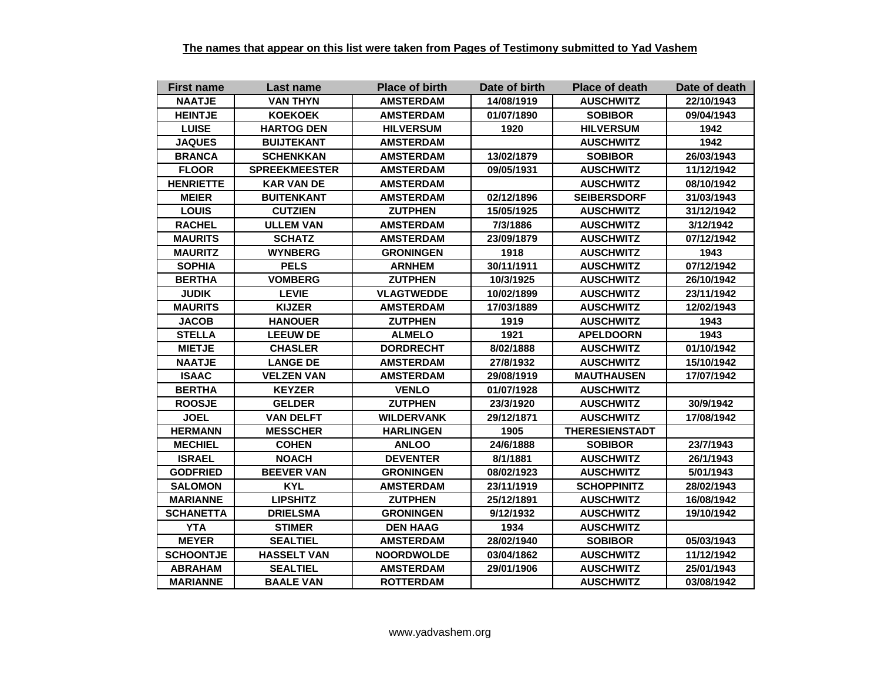| <b>First name</b> | Last name            | <b>Place of birth</b> | Date of birth | <b>Place of death</b> | Date of death |
|-------------------|----------------------|-----------------------|---------------|-----------------------|---------------|
| <b>NAATJE</b>     | <b>VAN THYN</b>      | <b>AMSTERDAM</b>      | 14/08/1919    | <b>AUSCHWITZ</b>      | 22/10/1943    |
| <b>HEINTJE</b>    | <b>KOEKOEK</b>       | <b>AMSTERDAM</b>      | 01/07/1890    | <b>SOBIBOR</b>        | 09/04/1943    |
| <b>LUISE</b>      | <b>HARTOG DEN</b>    | <b>HILVERSUM</b>      | 1920          | <b>HILVERSUM</b>      | 1942          |
| <b>JAQUES</b>     | <b>BUIJTEKANT</b>    | <b>AMSTERDAM</b>      |               | <b>AUSCHWITZ</b>      | 1942          |
| <b>BRANCA</b>     | <b>SCHENKKAN</b>     | <b>AMSTERDAM</b>      | 13/02/1879    | <b>SOBIBOR</b>        | 26/03/1943    |
| <b>FLOOR</b>      | <b>SPREEKMEESTER</b> | <b>AMSTERDAM</b>      | 09/05/1931    | <b>AUSCHWITZ</b>      | 11/12/1942    |
| <b>HENRIETTE</b>  | <b>KAR VAN DE</b>    | <b>AMSTERDAM</b>      |               | <b>AUSCHWITZ</b>      | 08/10/1942    |
| <b>MEIER</b>      | <b>BUITENKANT</b>    | <b>AMSTERDAM</b>      | 02/12/1896    | <b>SEIBERSDORF</b>    | 31/03/1943    |
| <b>LOUIS</b>      | <b>CUTZIEN</b>       | <b>ZUTPHEN</b>        | 15/05/1925    | <b>AUSCHWITZ</b>      | 31/12/1942    |
| <b>RACHEL</b>     | <b>ULLEM VAN</b>     | <b>AMSTERDAM</b>      | 7/3/1886      | <b>AUSCHWITZ</b>      | 3/12/1942     |
| <b>MAURITS</b>    | <b>SCHATZ</b>        | <b>AMSTERDAM</b>      | 23/09/1879    | <b>AUSCHWITZ</b>      | 07/12/1942    |
| <b>MAURITZ</b>    | <b>WYNBERG</b>       | <b>GRONINGEN</b>      | 1918          | <b>AUSCHWITZ</b>      | 1943          |
| <b>SOPHIA</b>     | <b>PELS</b>          | <b>ARNHEM</b>         | 30/11/1911    | <b>AUSCHWITZ</b>      | 07/12/1942    |
| <b>BERTHA</b>     | <b>VOMBERG</b>       | <b>ZUTPHEN</b>        | 10/3/1925     | <b>AUSCHWITZ</b>      | 26/10/1942    |
| <b>JUDIK</b>      | <b>LEVIE</b>         | <b>VLAGTWEDDE</b>     | 10/02/1899    | <b>AUSCHWITZ</b>      | 23/11/1942    |
| <b>MAURITS</b>    | <b>KIJZER</b>        | <b>AMSTERDAM</b>      | 17/03/1889    | <b>AUSCHWITZ</b>      | 12/02/1943    |
| <b>JACOB</b>      | <b>HANOUER</b>       | <b>ZUTPHEN</b>        | 1919          | <b>AUSCHWITZ</b>      | 1943          |
| <b>STELLA</b>     | <b>LEEUW DE</b>      | <b>ALMELO</b>         | 1921          | <b>APELDOORN</b>      | 1943          |
| <b>MIETJE</b>     | <b>CHASLER</b>       | <b>DORDRECHT</b>      | 8/02/1888     | <b>AUSCHWITZ</b>      | 01/10/1942    |
| <b>NAATJE</b>     | <b>LANGE DE</b>      | <b>AMSTERDAM</b>      | 27/8/1932     | <b>AUSCHWITZ</b>      | 15/10/1942    |
| <b>ISAAC</b>      | <b>VELZEN VAN</b>    | <b>AMSTERDAM</b>      | 29/08/1919    | <b>MAUTHAUSEN</b>     | 17/07/1942    |
| <b>BERTHA</b>     | <b>KEYZER</b>        | <b>VENLO</b>          | 01/07/1928    | <b>AUSCHWITZ</b>      |               |
| <b>ROOSJE</b>     | <b>GELDER</b>        | <b>ZUTPHEN</b>        | 23/3/1920     | <b>AUSCHWITZ</b>      | 30/9/1942     |
| <b>JOEL</b>       | <b>VAN DELFT</b>     | <b>WILDERVANK</b>     | 29/12/1871    | <b>AUSCHWITZ</b>      | 17/08/1942    |
| <b>HERMANN</b>    | <b>MESSCHER</b>      | <b>HARLINGEN</b>      | 1905          | <b>THERESIENSTADT</b> |               |
| <b>MECHIEL</b>    | <b>COHEN</b>         | <b>ANLOO</b>          | 24/6/1888     | <b>SOBIBOR</b>        | 23/7/1943     |
| <b>ISRAEL</b>     | <b>NOACH</b>         | <b>DEVENTER</b>       | 8/1/1881      | <b>AUSCHWITZ</b>      | 26/1/1943     |
| <b>GODFRIED</b>   | <b>BEEVER VAN</b>    | <b>GRONINGEN</b>      | 08/02/1923    | <b>AUSCHWITZ</b>      | 5/01/1943     |
| <b>SALOMON</b>    | <b>KYL</b>           | <b>AMSTERDAM</b>      | 23/11/1919    | <b>SCHOPPINITZ</b>    | 28/02/1943    |
| <b>MARIANNE</b>   | <b>LIPSHITZ</b>      | <b>ZUTPHEN</b>        | 25/12/1891    | <b>AUSCHWITZ</b>      | 16/08/1942    |
| <b>SCHANETTA</b>  | <b>DRIELSMA</b>      | <b>GRONINGEN</b>      | 9/12/1932     | <b>AUSCHWITZ</b>      | 19/10/1942    |
| <b>YTA</b>        | <b>STIMER</b>        | <b>DEN HAAG</b>       | 1934          | <b>AUSCHWITZ</b>      |               |
| <b>MEYER</b>      | <b>SEALTIEL</b>      | <b>AMSTERDAM</b>      | 28/02/1940    | <b>SOBIBOR</b>        | 05/03/1943    |
| <b>SCHOONTJE</b>  | <b>HASSELT VAN</b>   | <b>NOORDWOLDE</b>     | 03/04/1862    | <b>AUSCHWITZ</b>      | 11/12/1942    |
| <b>ABRAHAM</b>    | <b>SEALTIEL</b>      | <b>AMSTERDAM</b>      | 29/01/1906    | <b>AUSCHWITZ</b>      | 25/01/1943    |
| <b>MARIANNE</b>   | <b>BAALE VAN</b>     | <b>ROTTERDAM</b>      |               | <b>AUSCHWITZ</b>      | 03/08/1942    |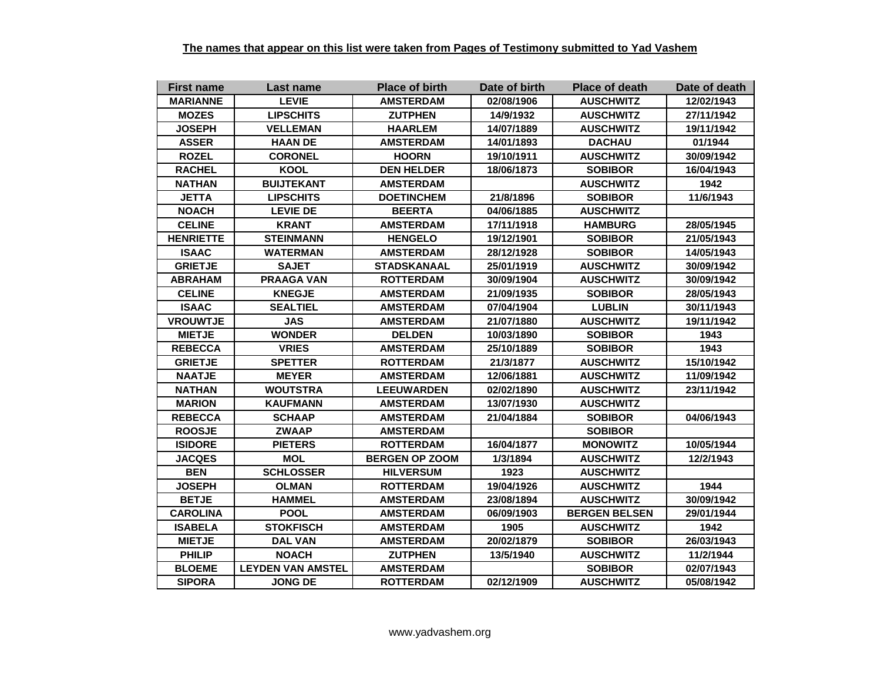| <b>First name</b> | Last name                | <b>Place of birth</b> | Date of birth | <b>Place of death</b> | Date of death |
|-------------------|--------------------------|-----------------------|---------------|-----------------------|---------------|
| <b>MARIANNE</b>   | <b>LEVIE</b>             | <b>AMSTERDAM</b>      | 02/08/1906    | <b>AUSCHWITZ</b>      | 12/02/1943    |
| <b>MOZES</b>      | <b>LIPSCHITS</b>         | <b>ZUTPHEN</b>        | 14/9/1932     | <b>AUSCHWITZ</b>      | 27/11/1942    |
| <b>JOSEPH</b>     | <b>VELLEMAN</b>          | <b>HAARLEM</b>        | 14/07/1889    | <b>AUSCHWITZ</b>      | 19/11/1942    |
| <b>ASSER</b>      | <b>HAAN DE</b>           | <b>AMSTERDAM</b>      | 14/01/1893    | <b>DACHAU</b>         | 01/1944       |
| <b>ROZEL</b>      | <b>CORONEL</b>           | <b>HOORN</b>          | 19/10/1911    | <b>AUSCHWITZ</b>      | 30/09/1942    |
| <b>RACHEL</b>     | <b>KOOL</b>              | <b>DEN HELDER</b>     | 18/06/1873    | <b>SOBIBOR</b>        | 16/04/1943    |
| <b>NATHAN</b>     | <b>BUIJTEKANT</b>        | <b>AMSTERDAM</b>      |               | <b>AUSCHWITZ</b>      | 1942          |
| <b>JETTA</b>      | <b>LIPSCHITS</b>         | <b>DOETINCHEM</b>     | 21/8/1896     | <b>SOBIBOR</b>        | 11/6/1943     |
| <b>NOACH</b>      | <b>LEVIE DE</b>          | <b>BEERTA</b>         | 04/06/1885    | <b>AUSCHWITZ</b>      |               |
| <b>CELINE</b>     | <b>KRANT</b>             | <b>AMSTERDAM</b>      | 17/11/1918    | <b>HAMBURG</b>        | 28/05/1945    |
| <b>HENRIETTE</b>  | <b>STEINMANN</b>         | <b>HENGELO</b>        | 19/12/1901    | <b>SOBIBOR</b>        | 21/05/1943    |
| <b>ISAAC</b>      | <b>WATERMAN</b>          | <b>AMSTERDAM</b>      | 28/12/1928    | <b>SOBIBOR</b>        | 14/05/1943    |
| <b>GRIETJE</b>    | <b>SAJET</b>             | STADSKANAAL           | 25/01/1919    | <b>AUSCHWITZ</b>      | 30/09/1942    |
| <b>ABRAHAM</b>    | <b>PRAAGA VAN</b>        | <b>ROTTERDAM</b>      | 30/09/1904    | <b>AUSCHWITZ</b>      | 30/09/1942    |
| <b>CELINE</b>     | <b>KNEGJE</b>            | <b>AMSTERDAM</b>      | 21/09/1935    | <b>SOBIBOR</b>        | 28/05/1943    |
| <b>ISAAC</b>      | <b>SEALTIEL</b>          | <b>AMSTERDAM</b>      | 07/04/1904    | <b>LUBLIN</b>         | 30/11/1943    |
| <b>VROUWTJE</b>   | <b>JAS</b>               | <b>AMSTERDAM</b>      | 21/07/1880    | <b>AUSCHWITZ</b>      | 19/11/1942    |
| <b>MIETJE</b>     | <b>WONDER</b>            | <b>DELDEN</b>         | 10/03/1890    | <b>SOBIBOR</b>        | 1943          |
| <b>REBECCA</b>    | <b>VRIES</b>             | <b>AMSTERDAM</b>      | 25/10/1889    | <b>SOBIBOR</b>        | 1943          |
| <b>GRIETJE</b>    | <b>SPETTER</b>           | <b>ROTTERDAM</b>      | 21/3/1877     | <b>AUSCHWITZ</b>      | 15/10/1942    |
| <b>NAATJE</b>     | <b>MEYER</b>             | <b>AMSTERDAM</b>      | 12/06/1881    | <b>AUSCHWITZ</b>      | 11/09/1942    |
| <b>NATHAN</b>     | <b>WOUTSTRA</b>          | <b>LEEUWARDEN</b>     | 02/02/1890    | <b>AUSCHWITZ</b>      | 23/11/1942    |
| <b>MARION</b>     | <b>KAUFMANN</b>          | <b>AMSTERDAM</b>      | 13/07/1930    | <b>AUSCHWITZ</b>      |               |
| <b>REBECCA</b>    | <b>SCHAAP</b>            | <b>AMSTERDAM</b>      | 21/04/1884    | <b>SOBIBOR</b>        | 04/06/1943    |
| <b>ROOSJE</b>     | <b>ZWAAP</b>             | <b>AMSTERDAM</b>      |               | <b>SOBIBOR</b>        |               |
| <b>ISIDORE</b>    | <b>PIETERS</b>           | <b>ROTTERDAM</b>      | 16/04/1877    | <b>MONOWITZ</b>       | 10/05/1944    |
| <b>JACQES</b>     | <b>MOL</b>               | <b>BERGEN OP ZOOM</b> | 1/3/1894      | <b>AUSCHWITZ</b>      | 12/2/1943     |
| <b>BEN</b>        | <b>SCHLOSSER</b>         | <b>HILVERSUM</b>      | 1923          | <b>AUSCHWITZ</b>      |               |
| <b>JOSEPH</b>     | <b>OLMAN</b>             | <b>ROTTERDAM</b>      | 19/04/1926    | <b>AUSCHWITZ</b>      | 1944          |
| <b>BETJE</b>      | <b>HAMMEL</b>            | <b>AMSTERDAM</b>      | 23/08/1894    | <b>AUSCHWITZ</b>      | 30/09/1942    |
| <b>CAROLINA</b>   | <b>POOL</b>              | <b>AMSTERDAM</b>      | 06/09/1903    | <b>BERGEN BELSEN</b>  | 29/01/1944    |
| <b>ISABELA</b>    | <b>STOKFISCH</b>         | <b>AMSTERDAM</b>      | 1905          | <b>AUSCHWITZ</b>      | 1942          |
| <b>MIETJE</b>     | <b>DAL VAN</b>           | <b>AMSTERDAM</b>      | 20/02/1879    | <b>SOBIBOR</b>        | 26/03/1943    |
| <b>PHILIP</b>     | <b>NOACH</b>             | <b>ZUTPHEN</b>        | 13/5/1940     | <b>AUSCHWITZ</b>      | 11/2/1944     |
| <b>BLOEME</b>     | <b>LEYDEN VAN AMSTEL</b> | <b>AMSTERDAM</b>      |               | <b>SOBIBOR</b>        | 02/07/1943    |
| <b>SIPORA</b>     | <b>JONG DE</b>           | <b>ROTTERDAM</b>      | 02/12/1909    | <b>AUSCHWITZ</b>      | 05/08/1942    |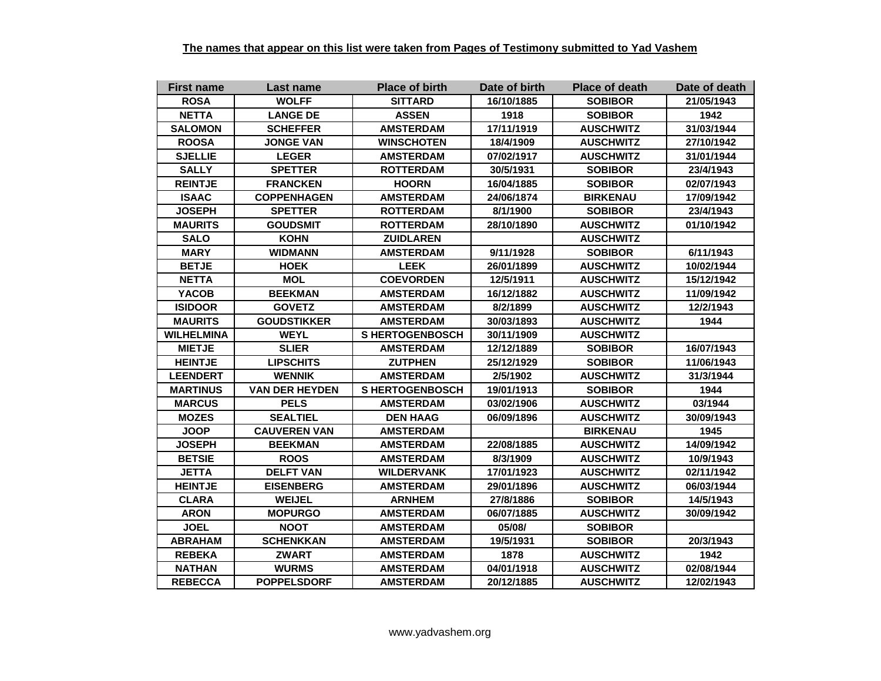| <b>First name</b> | Last name             | <b>Place of birth</b>  | Date of birth | <b>Place of death</b> | Date of death |
|-------------------|-----------------------|------------------------|---------------|-----------------------|---------------|
| <b>ROSA</b>       | <b>WOLFF</b>          | <b>SITTARD</b>         | 16/10/1885    | <b>SOBIBOR</b>        | 21/05/1943    |
| <b>NETTA</b>      | <b>LANGE DE</b>       | <b>ASSEN</b>           | 1918          | <b>SOBIBOR</b>        | 1942          |
| <b>SALOMON</b>    | <b>SCHEFFER</b>       | <b>AMSTERDAM</b>       | 17/11/1919    | <b>AUSCHWITZ</b>      | 31/03/1944    |
| <b>ROOSA</b>      | <b>JONGE VAN</b>      | <b>WINSCHOTEN</b>      | 18/4/1909     | <b>AUSCHWITZ</b>      | 27/10/1942    |
| <b>SJELLIE</b>    | <b>LEGER</b>          | <b>AMSTERDAM</b>       | 07/02/1917    | <b>AUSCHWITZ</b>      | 31/01/1944    |
| <b>SALLY</b>      | <b>SPETTER</b>        | <b>ROTTERDAM</b>       | 30/5/1931     | <b>SOBIBOR</b>        | 23/4/1943     |
| <b>REINTJE</b>    | <b>FRANCKEN</b>       | <b>HOORN</b>           | 16/04/1885    | <b>SOBIBOR</b>        | 02/07/1943    |
| <b>ISAAC</b>      | <b>COPPENHAGEN</b>    | <b>AMSTERDAM</b>       | 24/06/1874    | <b>BIRKENAU</b>       | 17/09/1942    |
| <b>JOSEPH</b>     | <b>SPETTER</b>        | <b>ROTTERDAM</b>       | 8/1/1900      | <b>SOBIBOR</b>        | 23/4/1943     |
| <b>MAURITS</b>    | <b>GOUDSMIT</b>       | <b>ROTTERDAM</b>       | 28/10/1890    | <b>AUSCHWITZ</b>      | 01/10/1942    |
| <b>SALO</b>       | <b>KOHN</b>           | <b>ZUIDLAREN</b>       |               | <b>AUSCHWITZ</b>      |               |
| <b>MARY</b>       | <b>WIDMANN</b>        | <b>AMSTERDAM</b>       | 9/11/1928     | <b>SOBIBOR</b>        | 6/11/1943     |
| <b>BETJE</b>      | <b>HOEK</b>           | <b>LEEK</b>            | 26/01/1899    | <b>AUSCHWITZ</b>      | 10/02/1944    |
| <b>NETTA</b>      | <b>MOL</b>            | <b>COEVORDEN</b>       | 12/5/1911     | <b>AUSCHWITZ</b>      | 15/12/1942    |
| <b>YACOB</b>      | <b>BEEKMAN</b>        | <b>AMSTERDAM</b>       | 16/12/1882    | <b>AUSCHWITZ</b>      | 11/09/1942    |
| <b>ISIDOOR</b>    | <b>GOVETZ</b>         | <b>AMSTERDAM</b>       | 8/2/1899      | <b>AUSCHWITZ</b>      | 12/2/1943     |
| <b>MAURITS</b>    | <b>GOUDSTIKKER</b>    | <b>AMSTERDAM</b>       | 30/03/1893    | <b>AUSCHWITZ</b>      | 1944          |
| <b>WILHELMINA</b> | <b>WEYL</b>           | <b>SHERTOGENBOSCH</b>  | 30/11/1909    | <b>AUSCHWITZ</b>      |               |
| <b>MIETJE</b>     | <b>SLIER</b>          | <b>AMSTERDAM</b>       | 12/12/1889    | <b>SOBIBOR</b>        | 16/07/1943    |
| <b>HEINTJE</b>    | <b>LIPSCHITS</b>      | <b>ZUTPHEN</b>         | 25/12/1929    | <b>SOBIBOR</b>        | 11/06/1943    |
| <b>LEENDERT</b>   | <b>WENNIK</b>         | <b>AMSTERDAM</b>       | 2/5/1902      | <b>AUSCHWITZ</b>      | 31/3/1944     |
| <b>MARTINUS</b>   | <b>VAN DER HEYDEN</b> | <b>S HERTOGENBOSCH</b> | 19/01/1913    | <b>SOBIBOR</b>        | 1944          |
| <b>MARCUS</b>     | <b>PELS</b>           | <b>AMSTERDAM</b>       | 03/02/1906    | <b>AUSCHWITZ</b>      | 03/1944       |
| <b>MOZES</b>      | <b>SEALTIEL</b>       | <b>DEN HAAG</b>        | 06/09/1896    | <b>AUSCHWITZ</b>      | 30/09/1943    |
| <b>JOOP</b>       | <b>CAUVEREN VAN</b>   | <b>AMSTERDAM</b>       |               | <b>BIRKENAU</b>       | 1945          |
| <b>JOSEPH</b>     | <b>BEEKMAN</b>        | <b>AMSTERDAM</b>       | 22/08/1885    | <b>AUSCHWITZ</b>      | 14/09/1942    |
| <b>BETSIE</b>     | <b>ROOS</b>           | <b>AMSTERDAM</b>       | 8/3/1909      | <b>AUSCHWITZ</b>      | 10/9/1943     |
| <b>JETTA</b>      | <b>DELFT VAN</b>      | <b>WILDERVANK</b>      | 17/01/1923    | <b>AUSCHWITZ</b>      | 02/11/1942    |
| <b>HEINTJE</b>    | <b>EISENBERG</b>      | <b>AMSTERDAM</b>       | 29/01/1896    | <b>AUSCHWITZ</b>      | 06/03/1944    |
| <b>CLARA</b>      | <b>WEIJEL</b>         | <b>ARNHEM</b>          | 27/8/1886     | <b>SOBIBOR</b>        | 14/5/1943     |
| <b>ARON</b>       | <b>MOPURGO</b>        | <b>AMSTERDAM</b>       | 06/07/1885    | <b>AUSCHWITZ</b>      | 30/09/1942    |
| <b>JOEL</b>       | <b>NOOT</b>           | <b>AMSTERDAM</b>       | 05/08/        | <b>SOBIBOR</b>        |               |
| <b>ABRAHAM</b>    | <b>SCHENKKAN</b>      | <b>AMSTERDAM</b>       | 19/5/1931     | <b>SOBIBOR</b>        | 20/3/1943     |
| <b>REBEKA</b>     | <b>ZWART</b>          | <b>AMSTERDAM</b>       | 1878          | <b>AUSCHWITZ</b>      | 1942          |
| <b>NATHAN</b>     | <b>WURMS</b>          | <b>AMSTERDAM</b>       | 04/01/1918    | <b>AUSCHWITZ</b>      | 02/08/1944    |
| <b>REBECCA</b>    | <b>POPPELSDORF</b>    | <b>AMSTERDAM</b>       | 20/12/1885    | <b>AUSCHWITZ</b>      | 12/02/1943    |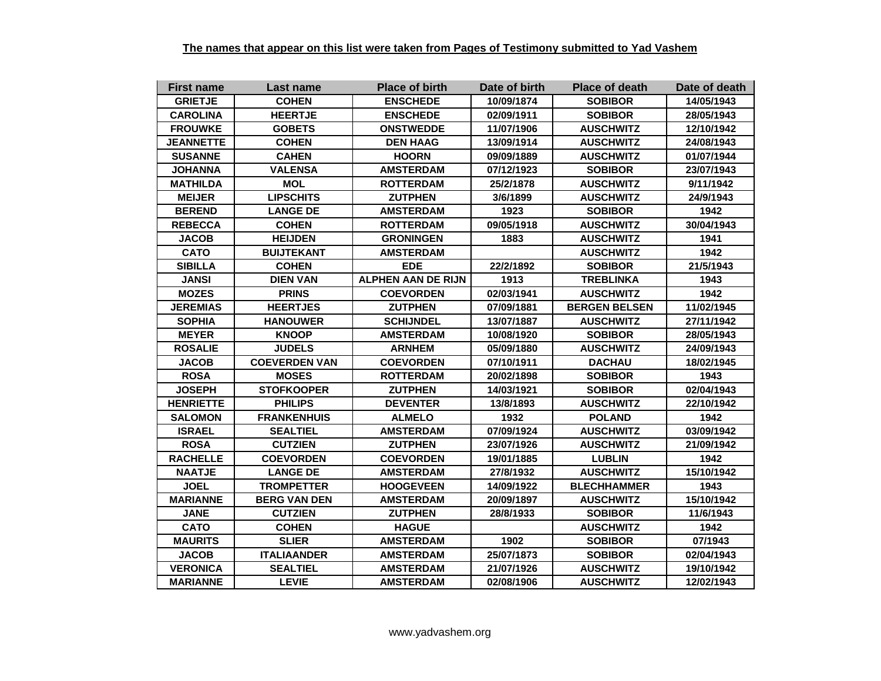| <b>First name</b> | Last name            | <b>Place of birth</b>     | Date of birth | <b>Place of death</b> | Date of death |
|-------------------|----------------------|---------------------------|---------------|-----------------------|---------------|
| <b>GRIETJE</b>    | <b>COHEN</b>         | <b>ENSCHEDE</b>           | 10/09/1874    | <b>SOBIBOR</b>        | 14/05/1943    |
| <b>CAROLINA</b>   | <b>HEERTJE</b>       | <b>ENSCHEDE</b>           | 02/09/1911    | <b>SOBIBOR</b>        | 28/05/1943    |
| <b>FROUWKE</b>    | <b>GOBETS</b>        | <b>ONSTWEDDE</b>          | 11/07/1906    | <b>AUSCHWITZ</b>      | 12/10/1942    |
| <b>JEANNETTE</b>  | <b>COHEN</b>         | <b>DEN HAAG</b>           | 13/09/1914    | <b>AUSCHWITZ</b>      | 24/08/1943    |
| <b>SUSANNE</b>    | <b>CAHEN</b>         | <b>HOORN</b>              | 09/09/1889    | <b>AUSCHWITZ</b>      | 01/07/1944    |
| <b>JOHANNA</b>    | <b>VALENSA</b>       | <b>AMSTERDAM</b>          | 07/12/1923    | <b>SOBIBOR</b>        | 23/07/1943    |
| <b>MATHILDA</b>   | <b>MOL</b>           | <b>ROTTERDAM</b>          | 25/2/1878     | <b>AUSCHWITZ</b>      | 9/11/1942     |
| <b>MEIJER</b>     | <b>LIPSCHITS</b>     | <b>ZUTPHEN</b>            | 3/6/1899      | <b>AUSCHWITZ</b>      | 24/9/1943     |
| <b>BEREND</b>     | <b>LANGE DE</b>      | <b>AMSTERDAM</b>          | 1923          | <b>SOBIBOR</b>        | 1942          |
| <b>REBECCA</b>    | <b>COHEN</b>         | <b>ROTTERDAM</b>          | 09/05/1918    | <b>AUSCHWITZ</b>      | 30/04/1943    |
| <b>JACOB</b>      | <b>HEIJDEN</b>       | <b>GRONINGEN</b>          | 1883          | <b>AUSCHWITZ</b>      | 1941          |
| <b>CATO</b>       | <b>BUIJTEKANT</b>    | <b>AMSTERDAM</b>          |               | <b>AUSCHWITZ</b>      | 1942          |
| <b>SIBILLA</b>    | <b>COHEN</b>         | <b>EDE</b>                | 22/2/1892     | <b>SOBIBOR</b>        | 21/5/1943     |
| <b>JANSI</b>      | <b>DIEN VAN</b>      | <b>ALPHEN AAN DE RIJN</b> | 1913          | <b>TREBLINKA</b>      | 1943          |
| <b>MOZES</b>      | <b>PRINS</b>         | <b>COEVORDEN</b>          | 02/03/1941    | <b>AUSCHWITZ</b>      | 1942          |
| <b>JEREMIAS</b>   | <b>HEERTJES</b>      | <b>ZUTPHEN</b>            | 07/09/1881    | <b>BERGEN BELSEN</b>  | 11/02/1945    |
| <b>SOPHIA</b>     | <b>HANOUWER</b>      | <b>SCHIJNDEL</b>          | 13/07/1887    | <b>AUSCHWITZ</b>      | 27/11/1942    |
| <b>MEYER</b>      | <b>KNOOP</b>         | <b>AMSTERDAM</b>          | 10/08/1920    | <b>SOBIBOR</b>        | 28/05/1943    |
| <b>ROSALIE</b>    | <b>JUDELS</b>        | <b>ARNHEM</b>             | 05/09/1880    | <b>AUSCHWITZ</b>      | 24/09/1943    |
| <b>JACOB</b>      | <b>COEVERDEN VAN</b> | <b>COEVORDEN</b>          | 07/10/1911    | <b>DACHAU</b>         | 18/02/1945    |
| <b>ROSA</b>       | <b>MOSES</b>         | <b>ROTTERDAM</b>          | 20/02/1898    | <b>SOBIBOR</b>        | 1943          |
| <b>JOSEPH</b>     | <b>STOFKOOPER</b>    | <b>ZUTPHEN</b>            | 14/03/1921    | <b>SOBIBOR</b>        | 02/04/1943    |
| <b>HENRIETTE</b>  | <b>PHILIPS</b>       | <b>DEVENTER</b>           | 13/8/1893     | <b>AUSCHWITZ</b>      | 22/10/1942    |
| <b>SALOMON</b>    | <b>FRANKENHUIS</b>   | <b>ALMELO</b>             | 1932          | <b>POLAND</b>         | 1942          |
| <b>ISRAEL</b>     | <b>SEALTIEL</b>      | <b>AMSTERDAM</b>          | 07/09/1924    | <b>AUSCHWITZ</b>      | 03/09/1942    |
| <b>ROSA</b>       | <b>CUTZIEN</b>       | <b>ZUTPHEN</b>            | 23/07/1926    | <b>AUSCHWITZ</b>      | 21/09/1942    |
| <b>RACHELLE</b>   | <b>COEVORDEN</b>     | <b>COEVORDEN</b>          | 19/01/1885    | <b>LUBLIN</b>         | 1942          |
| <b>NAATJE</b>     | <b>LANGE DE</b>      | <b>AMSTERDAM</b>          | 27/8/1932     | <b>AUSCHWITZ</b>      | 15/10/1942    |
| <b>JOEL</b>       | <b>TROMPETTER</b>    | <b>HOOGEVEEN</b>          | 14/09/1922    | <b>BLECHHAMMER</b>    | 1943          |
| <b>MARIANNE</b>   | <b>BERG VAN DEN</b>  | <b>AMSTERDAM</b>          | 20/09/1897    | <b>AUSCHWITZ</b>      | 15/10/1942    |
| <b>JANE</b>       | <b>CUTZIEN</b>       | <b>ZUTPHEN</b>            | 28/8/1933     | <b>SOBIBOR</b>        | 11/6/1943     |
| <b>CATO</b>       | <b>COHEN</b>         | <b>HAGUE</b>              |               | <b>AUSCHWITZ</b>      | 1942          |
| <b>MAURITS</b>    | <b>SLIER</b>         | <b>AMSTERDAM</b>          | 1902          | <b>SOBIBOR</b>        | 07/1943       |
| <b>JACOB</b>      | <b>ITALIAANDER</b>   | <b>AMSTERDAM</b>          | 25/07/1873    | <b>SOBIBOR</b>        | 02/04/1943    |
| <b>VERONICA</b>   | <b>SEALTIEL</b>      | <b>AMSTERDAM</b>          | 21/07/1926    | <b>AUSCHWITZ</b>      | 19/10/1942    |
| <b>MARIANNE</b>   | <b>LEVIE</b>         | <b>AMSTERDAM</b>          | 02/08/1906    | <b>AUSCHWITZ</b>      | 12/02/1943    |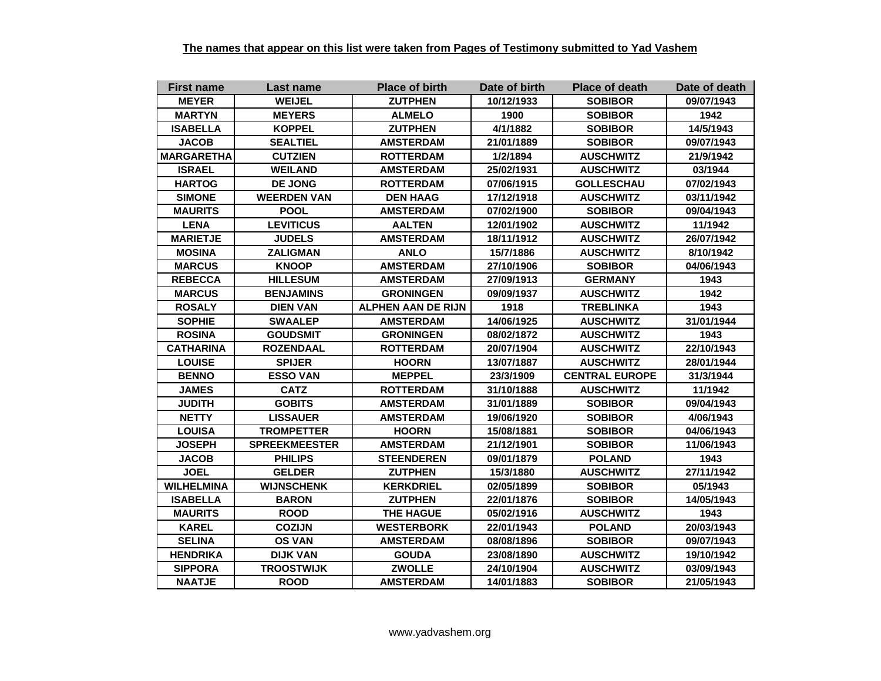| <b>First name</b> | Last name            | <b>Place of birth</b>     | Date of birth | <b>Place of death</b> | Date of death |
|-------------------|----------------------|---------------------------|---------------|-----------------------|---------------|
| <b>MEYER</b>      | <b>WEIJEL</b>        | <b>ZUTPHEN</b>            | 10/12/1933    | <b>SOBIBOR</b>        | 09/07/1943    |
| <b>MARTYN</b>     | <b>MEYERS</b>        | <b>ALMELO</b>             | 1900          | <b>SOBIBOR</b>        | 1942          |
| <b>ISABELLA</b>   | <b>KOPPEL</b>        | <b>ZUTPHEN</b>            | 4/1/1882      | <b>SOBIBOR</b>        | 14/5/1943     |
| <b>JACOB</b>      | <b>SEALTIEL</b>      | <b>AMSTERDAM</b>          | 21/01/1889    | <b>SOBIBOR</b>        | 09/07/1943    |
| <b>MARGARETHA</b> | <b>CUTZIEN</b>       | <b>ROTTERDAM</b>          | 1/2/1894      | <b>AUSCHWITZ</b>      | 21/9/1942     |
| <b>ISRAEL</b>     | <b>WEILAND</b>       | <b>AMSTERDAM</b>          | 25/02/1931    | <b>AUSCHWITZ</b>      | 03/1944       |
| <b>HARTOG</b>     | <b>DE JONG</b>       | <b>ROTTERDAM</b>          | 07/06/1915    | <b>GOLLESCHAU</b>     | 07/02/1943    |
| <b>SIMONE</b>     | <b>WEERDEN VAN</b>   | <b>DEN HAAG</b>           | 17/12/1918    | <b>AUSCHWITZ</b>      | 03/11/1942    |
| <b>MAURITS</b>    | <b>POOL</b>          | <b>AMSTERDAM</b>          | 07/02/1900    | <b>SOBIBOR</b>        | 09/04/1943    |
| <b>LENA</b>       | <b>LEVITICUS</b>     | <b>AALTEN</b>             | 12/01/1902    | <b>AUSCHWITZ</b>      | 11/1942       |
| <b>MARIETJE</b>   | <b>JUDELS</b>        | <b>AMSTERDAM</b>          | 18/11/1912    | <b>AUSCHWITZ</b>      | 26/07/1942    |
| <b>MOSINA</b>     | <b>ZALIGMAN</b>      | <b>ANLO</b>               | 15/7/1886     | <b>AUSCHWITZ</b>      | 8/10/1942     |
| <b>MARCUS</b>     | <b>KNOOP</b>         | <b>AMSTERDAM</b>          | 27/10/1906    | <b>SOBIBOR</b>        | 04/06/1943    |
| <b>REBECCA</b>    | <b>HILLESUM</b>      | <b>AMSTERDAM</b>          | 27/09/1913    | <b>GERMANY</b>        | 1943          |
| <b>MARCUS</b>     | <b>BENJAMINS</b>     | <b>GRONINGEN</b>          | 09/09/1937    | <b>AUSCHWITZ</b>      | 1942          |
| <b>ROSALY</b>     | <b>DIEN VAN</b>      | <b>ALPHEN AAN DE RIJN</b> | 1918          | <b>TREBLINKA</b>      | 1943          |
| <b>SOPHIE</b>     | <b>SWAALEP</b>       | <b>AMSTERDAM</b>          | 14/06/1925    | <b>AUSCHWITZ</b>      | 31/01/1944    |
| <b>ROSINA</b>     | <b>GOUDSMIT</b>      | <b>GRONINGEN</b>          | 08/02/1872    | <b>AUSCHWITZ</b>      | 1943          |
| <b>CATHARINA</b>  | <b>ROZENDAAL</b>     | <b>ROTTERDAM</b>          | 20/07/1904    | <b>AUSCHWITZ</b>      | 22/10/1943    |
| <b>LOUISE</b>     | <b>SPIJER</b>        | <b>HOORN</b>              | 13/07/1887    | <b>AUSCHWITZ</b>      | 28/01/1944    |
| <b>BENNO</b>      | <b>ESSO VAN</b>      | <b>MEPPEL</b>             | 23/3/1909     | <b>CENTRAL EUROPE</b> | 31/3/1944     |
| <b>JAMES</b>      | <b>CATZ</b>          | <b>ROTTERDAM</b>          | 31/10/1888    | <b>AUSCHWITZ</b>      | 11/1942       |
| <b>JUDITH</b>     | <b>GOBITS</b>        | <b>AMSTERDAM</b>          | 31/01/1889    | <b>SOBIBOR</b>        | 09/04/1943    |
| <b>NETTY</b>      | <b>LISSAUER</b>      | <b>AMSTERDAM</b>          | 19/06/1920    | <b>SOBIBOR</b>        | 4/06/1943     |
| <b>LOUISA</b>     | <b>TROMPETTER</b>    | <b>HOORN</b>              | 15/08/1881    | <b>SOBIBOR</b>        | 04/06/1943    |
| <b>JOSEPH</b>     | <b>SPREEKMEESTER</b> | <b>AMSTERDAM</b>          | 21/12/1901    | <b>SOBIBOR</b>        | 11/06/1943    |
| <b>JACOB</b>      | <b>PHILIPS</b>       | <b>STEENDEREN</b>         | 09/01/1879    | <b>POLAND</b>         | 1943          |
| <b>JOEL</b>       | <b>GELDER</b>        | <b>ZUTPHEN</b>            | 15/3/1880     | <b>AUSCHWITZ</b>      | 27/11/1942    |
| <b>WILHELMINA</b> | <b>WIJNSCHENK</b>    | <b>KERKDRIEL</b>          | 02/05/1899    | <b>SOBIBOR</b>        | 05/1943       |
| <b>ISABELLA</b>   | <b>BARON</b>         | <b>ZUTPHEN</b>            | 22/01/1876    | <b>SOBIBOR</b>        | 14/05/1943    |
| <b>MAURITS</b>    | <b>ROOD</b>          | <b>THE HAGUE</b>          | 05/02/1916    | <b>AUSCHWITZ</b>      | 1943          |
| <b>KAREL</b>      | <b>COZIJN</b>        | <b>WESTERBORK</b>         | 22/01/1943    | <b>POLAND</b>         | 20/03/1943    |
| <b>SELINA</b>     | <b>OS VAN</b>        | <b>AMSTERDAM</b>          | 08/08/1896    | <b>SOBIBOR</b>        | 09/07/1943    |
| <b>HENDRIKA</b>   | <b>DIJK VAN</b>      | <b>GOUDA</b>              | 23/08/1890    | <b>AUSCHWITZ</b>      | 19/10/1942    |
| <b>SIPPORA</b>    | <b>TROOSTWIJK</b>    | <b>ZWOLLE</b>             | 24/10/1904    | <b>AUSCHWITZ</b>      | 03/09/1943    |
| <b>NAATJE</b>     | <b>ROOD</b>          | <b>AMSTERDAM</b>          | 14/01/1883    | <b>SOBIBOR</b>        | 21/05/1943    |